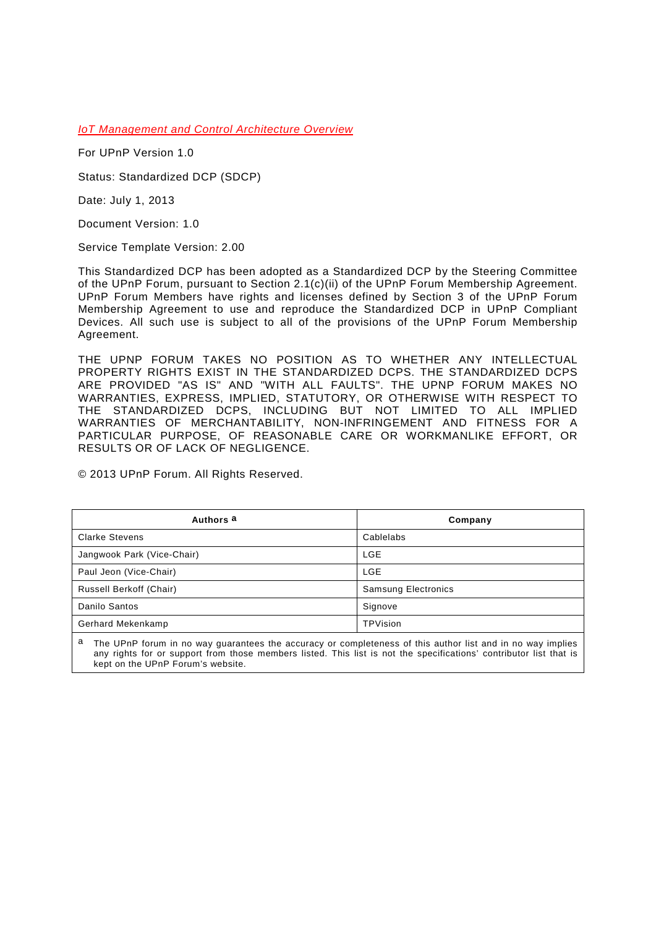*IoT Management and Control Architecture Overview*

For UPnP Version 1.0

Status: Standardized DCP (SDCP)

Date: July 1, 2013

Document Version: 1.0

Service Template Version: 2.00

This Standardized DCP has been adopted as a Standardized DCP by the Steering Committee of the UPnP Forum, pursuant to Section 2.1(c)(ii) of the UPnP Forum Membership Agreement. UPnP Forum Members have rights and licenses defined by Section 3 of the UPnP Forum Membership Agreement to use and reproduce the Standardized DCP in UPnP Compliant Devices. All such use is subject to all of the provisions of the UPnP Forum Membership Agreement.

THE UPNP FORUM TAKES NO POSITION AS TO WHETHER ANY INTELLECTUAL PROPERTY RIGHTS EXIST IN THE STANDARDIZED DCPS. THE STANDARDIZED DCPS ARE PROVIDED "AS IS" AND "WITH ALL FAULTS". THE UPNP FORUM MAKES NO WARRANTIES, EXPRESS, IMPLIED, STATUTORY, OR OTHERWISE WITH RESPECT TO THE STANDARDIZED DCPS, INCLUDING BUT NOT LIMITED TO ALL IMPLIED WARRANTIES OF MERCHANTABILITY, NON-INFRINGEMENT AND FITNESS FOR A PARTICULAR PURPOSE, OF REASONABLE CARE OR WORKMANLIKE EFFORT, OR RESULTS OR OF LACK OF NEGLIGENCE.

© 2013 UPnP Forum. All Rights Reserved.

| Authors <sup>a</sup>                                                                                            | Company                    |  |
|-----------------------------------------------------------------------------------------------------------------|----------------------------|--|
| <b>Clarke Stevens</b>                                                                                           | Cablelabs                  |  |
| Jangwook Park (Vice-Chair)                                                                                      | LGE                        |  |
| Paul Jeon (Vice-Chair)                                                                                          | LGE                        |  |
| Russell Berkoff (Chair)                                                                                         | <b>Samsung Electronics</b> |  |
| Danilo Santos                                                                                                   | Signove                    |  |
| Gerhard Mekenkamp                                                                                               | TPVision                   |  |
| a<br>The UPnP forum in no way guarantees the accuracy or completeness of this author list and in no way implies |                            |  |

<span id="page-0-0"></span>any rights for or support from those members listed. This list is not the specifications' contributor list that is kept on the UPnP Forum's website.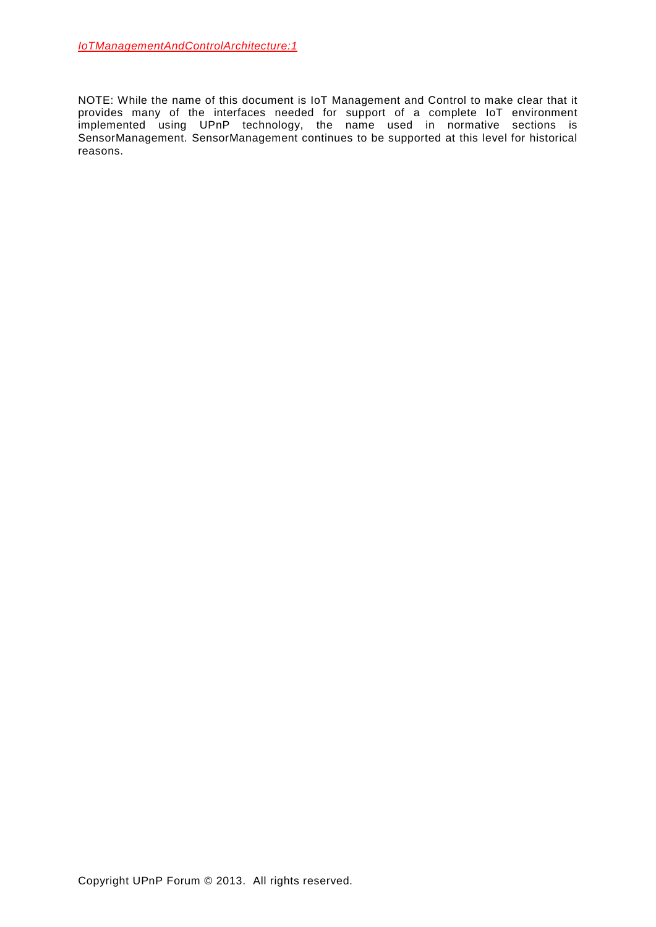NOTE: While the name of this document is IoT Management and Control to make clear that it provides many of the interfaces needed for support of a complete IoT environment implemented using UPnP technology, the name used in normative sections is SensorManagement. SensorManagement continues to be supported at this level for historical reasons.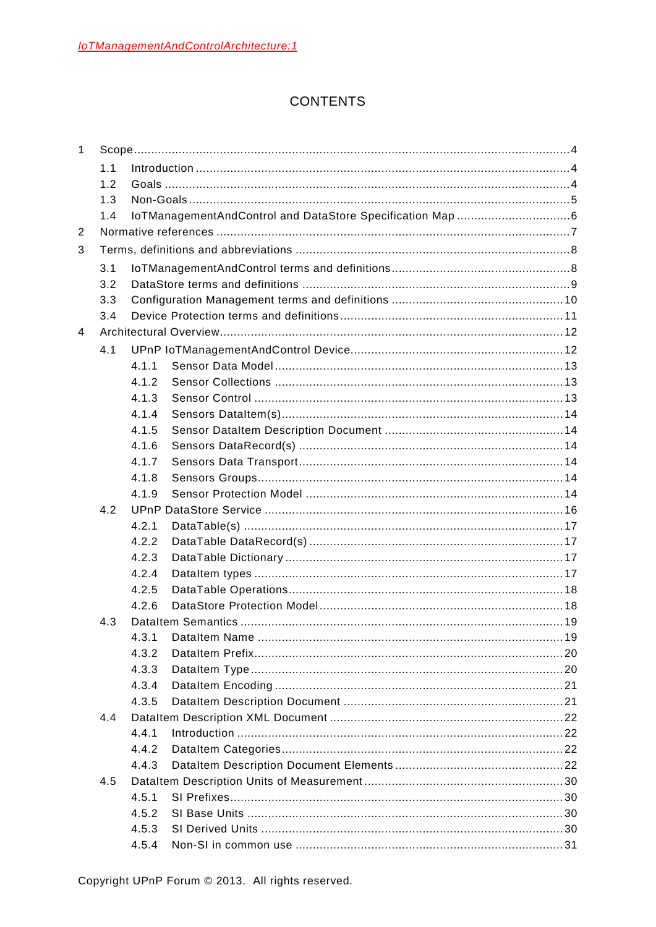# **CONTENTS**

| $\mathbf{1}$ |     |       |  |  |
|--------------|-----|-------|--|--|
|              | 1.1 |       |  |  |
|              | 1.2 |       |  |  |
|              | 1.3 |       |  |  |
|              | 1.4 |       |  |  |
| 2            |     |       |  |  |
| 3            |     |       |  |  |
|              | 3.1 |       |  |  |
|              | 3.2 |       |  |  |
|              | 3.3 |       |  |  |
|              | 3.4 |       |  |  |
| 4            |     |       |  |  |
|              | 4.1 |       |  |  |
|              |     | 4 1 1 |  |  |
|              |     | 4.1.2 |  |  |
|              |     | 4.1.3 |  |  |
|              |     | 4.1.4 |  |  |
|              |     | 4.1.5 |  |  |
|              |     | 4.1.6 |  |  |
|              |     | 4.1.7 |  |  |
|              |     | 4.1.8 |  |  |
|              |     | 4.1.9 |  |  |
|              | 4.2 |       |  |  |
|              |     | 4.2.1 |  |  |
|              |     | 4.2.2 |  |  |
|              |     | 4.2.3 |  |  |
|              |     | 4.2.4 |  |  |
|              |     | 4.2.5 |  |  |
|              |     | 4.2.6 |  |  |
|              | 4.3 |       |  |  |
|              |     |       |  |  |
|              |     | 4.3.2 |  |  |
|              |     | 4.3.3 |  |  |
|              |     | 4.3.4 |  |  |
|              |     | 4.3.5 |  |  |
|              | 4.4 |       |  |  |
|              |     | 4.4.1 |  |  |
|              |     | 4.4.2 |  |  |
|              |     | 4.4.3 |  |  |
|              | 4.5 |       |  |  |
|              |     | 4.5.1 |  |  |
|              |     | 4.5.2 |  |  |
|              |     | 4.5.3 |  |  |
|              |     | 4.5.4 |  |  |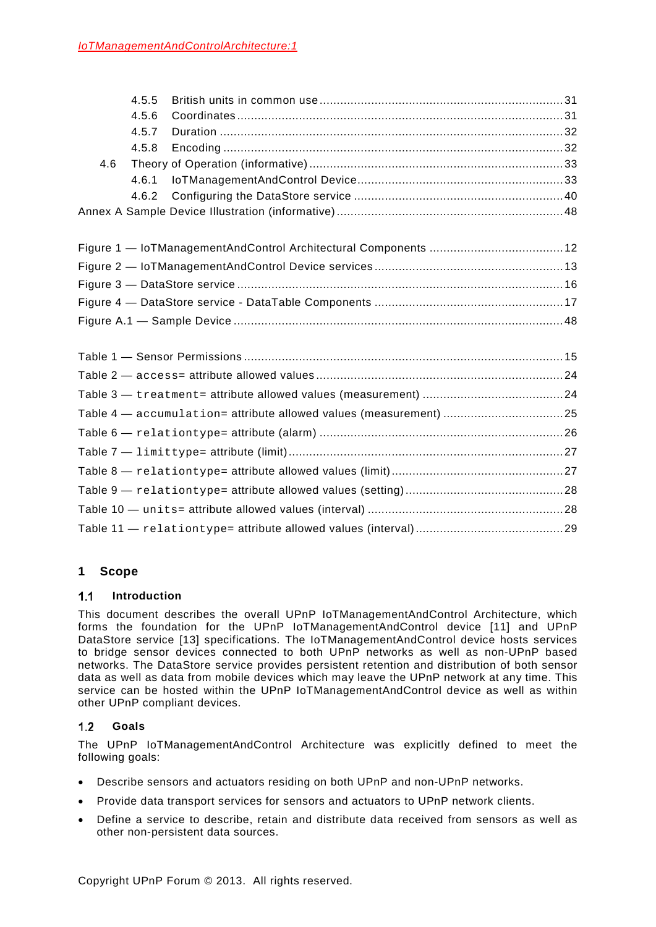|     | 4.5.5 |                                                                   |  |
|-----|-------|-------------------------------------------------------------------|--|
|     | 4.5.6 |                                                                   |  |
|     | 4.5.7 |                                                                   |  |
|     | 4.5.8 |                                                                   |  |
| 4.6 |       |                                                                   |  |
|     | 4.6.1 |                                                                   |  |
|     | 4.6.2 |                                                                   |  |
|     |       |                                                                   |  |
|     |       |                                                                   |  |
|     |       |                                                                   |  |
|     |       |                                                                   |  |
|     |       |                                                                   |  |
|     |       |                                                                   |  |
|     |       |                                                                   |  |
|     |       |                                                                   |  |
|     |       |                                                                   |  |
|     |       | Table 4 - accumulation= attribute allowed values (measurement) 25 |  |
|     |       |                                                                   |  |
|     |       |                                                                   |  |
|     |       |                                                                   |  |
|     |       |                                                                   |  |
|     |       |                                                                   |  |
|     |       |                                                                   |  |

# **1 Scope**

#### $1.1$ **Introduction**

This document describes the overall UPnP IoTManagementAndControl Architecture, which forms the foundation for the UPnP IoTManagementAndControl device [\[11\]](#page-6-0) and UPnP DataStore service [\[13\]](#page-6-1) specifications. The IoTManagementAndControl device hosts services to bridge sensor devices connected to both UPnP networks as well as non-UPnP based networks. The DataStore service provides persistent retention and distribution of both sensor data as well as data from mobile devices which may leave the UPnP network at any time. This service can be hosted within the UPnP IoTManagementAndControl device as well as within other UPnP compliant devices.

#### $1.2$ **Goals**

The UPnP IoTManagementAndControl Architecture was explicitly defined to meet the following goals:

- Describe sensors and actuators residing on both UPnP and non-UPnP networks.
- Provide data transport services for sensors and actuators to UPnP network clients.
- Define a service to describe, retain and distribute data received from sensors as well as other non-persistent data sources.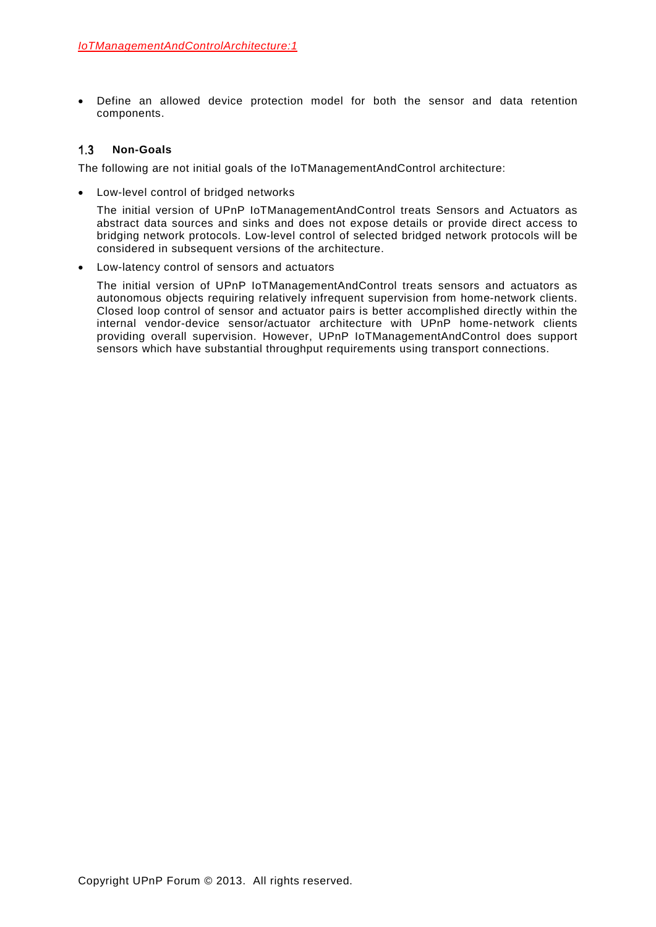• Define an allowed device protection model for both the sensor and data retention components.

#### $1.3$ **Non-Goals**

The following are not initial goals of the IoTManagementAndControl architecture:

• Low-level control of bridged networks

The initial version of UPnP IoTManagementAndControl treats Sensors and Actuators as abstract data sources and sinks and does not expose details or provide direct access to bridging network protocols. Low-level control of selected bridged network protocols will be considered in subsequent versions of the architecture.

• Low-latency control of sensors and actuators

The initial version of UPnP IoTManagementAndControl treats sensors and actuators as autonomous objects requiring relatively infrequent supervision from home-network clients. Closed loop control of sensor and actuator pairs is better accomplished directly within the internal vendor-device sensor/actuator architecture with UPnP home-network clients providing overall supervision. However, UPnP IoTManagementAndControl does support sensors which have substantial throughput requirements using transport connections.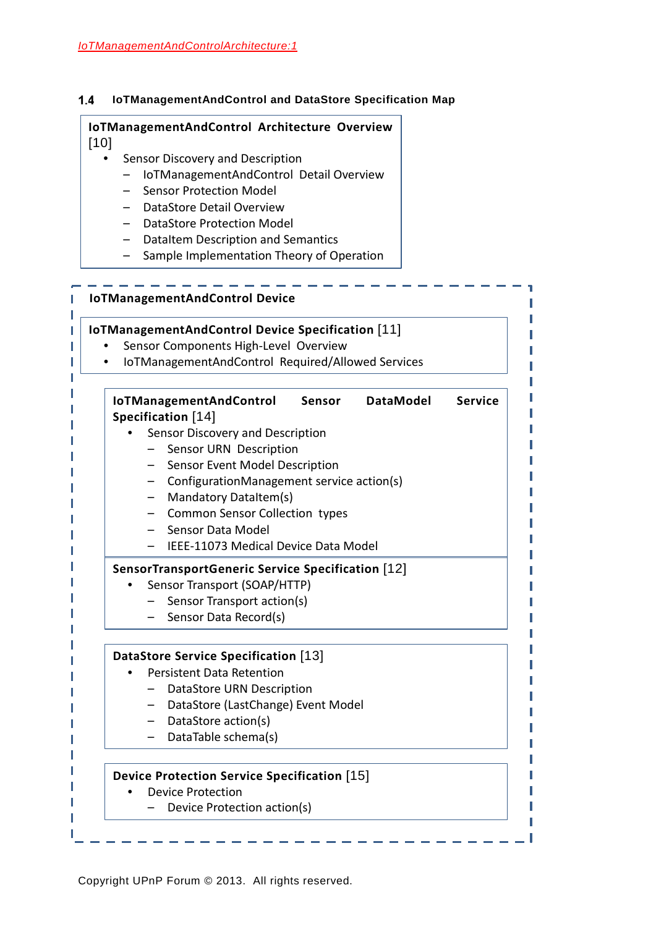#### $1.4$ **IoTManagementAndControl and DataStore Specification Map**

# **IoTManagementAndControl Architecture Overview**  [\[10\]](#page-6-3)

- Sensor Discovery and Description
	- IoTManagementAndControl Detail Overview
	- Sensor Protection Model
	- DataStore Detail Overview
	- DataStore Protection Model
	- DataItem Description and Semantics
	- Sample Implementation Theory of Operation

| <b>IoTManagementAndControl Device Specification [11]</b><br>Sensor Components High-Level Overview<br>IoTManagementAndControl Required/Allowed Services |
|--------------------------------------------------------------------------------------------------------------------------------------------------------|
| <b>Service</b><br><b>DataModel</b><br><b>IoTManagementAndControl</b><br>Sensor                                                                         |
| Specification [14]                                                                                                                                     |
| Sensor Discovery and Description                                                                                                                       |
| Sensor URN Description                                                                                                                                 |
| - Sensor Event Model Description                                                                                                                       |
| ConfigurationManagement service action(s)                                                                                                              |
| Mandatory DataItem(s)                                                                                                                                  |
| Common Sensor Collection types                                                                                                                         |
| - Sensor Data Model                                                                                                                                    |
| IEEE-11073 Medical Device Data Model                                                                                                                   |
| SensorTransportGeneric Service Specification [12]                                                                                                      |
| Sensor Transport (SOAP/HTTP)                                                                                                                           |
| Sensor Transport action(s)                                                                                                                             |
| Sensor Data Record(s)                                                                                                                                  |
| DataStore Service Specification [13]                                                                                                                   |
| <b>Persistent Data Retention</b>                                                                                                                       |
| DataStore URN Description                                                                                                                              |
| DataStore (LastChange) Event Model                                                                                                                     |
| - DataStore action(s)                                                                                                                                  |
| DataTable schema(s)                                                                                                                                    |
| <b>Device Protection Service Specification</b> [15]                                                                                                    |
| <b>Device Protection</b>                                                                                                                               |
| Device Protection action(s)                                                                                                                            |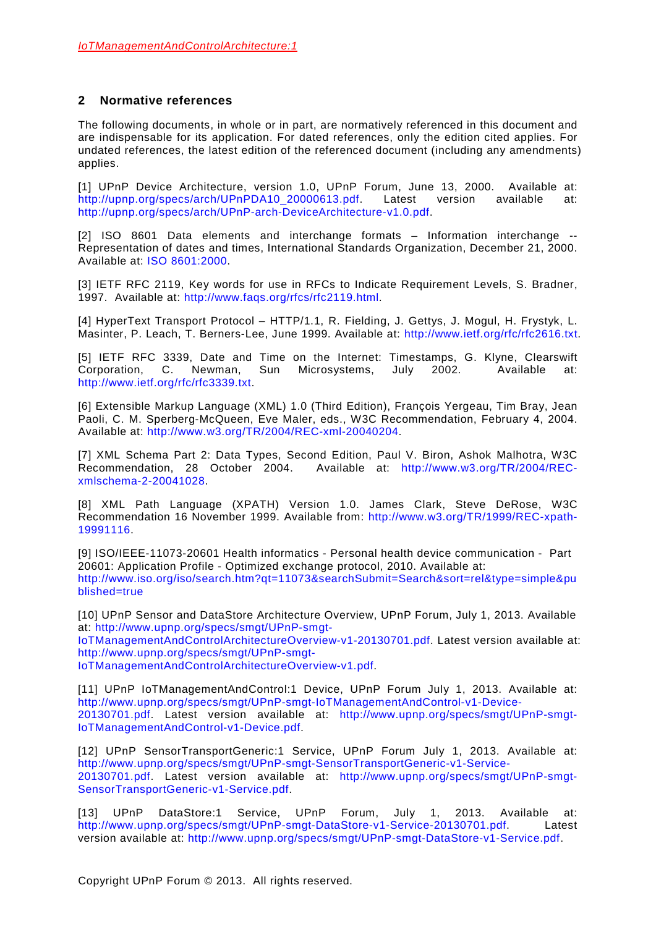## **2 Normative references**

The following documents, in whole or in part, are normatively referenced in this document and are indispensable for its application. For dated references, only the edition cited applies. For undated references, the latest edition of the referenced document (including any amendments) applies.

[1] UPnP Device Architecture, version 1.0, UPnP Forum, June 13, 2000. Available at: [http://upnp.org/specs/arch/UPnPDA10\\_20000613.pdf.](http://upnp.org/specs/arch/UPnPDA10_20000613.pdf) Latest version available at: [http://upnp.org/specs/arch/UPnP-arch-DeviceArchitecture-v1.0.pdf.](http://upnp.org/specs/arch/UPnP-arch-DeviceArchitecture-v1.0.pdf)

[2] ISO 8601 Data elements and interchange formats – Information interchange -- Representation of dates and times, International Standards Organization, December 21, 2000. Available at: [ISO 8601:2000.](http://www.iso.org/iso/en/CatalogueDetailPage.CatalogueDetail?CSNUMBER=26780&ICS1=1&ICS2=140&ICS3=30)

[3] IETF RFC 2119, Key words for use in RFCs to Indicate Requirement Levels, S. Bradner, 1997. Available at: [http://www.faqs.org/rfcs/rfc2119.html.](http://www.faqs.org/rfcs/rfc2119.html)

[4] HyperText Transport Protocol – HTTP/1.1, R. Fielding, J. Gettys, J. Mogul, H. Frystyk, L. Masinter, P. Leach, T. Berners-Lee, June 1999. Available at: [http://www.ietf.org/rfc/rfc2616.txt.](http://www.ietf.org/rfc/rfc2616.txt)

[5] IETF RFC 3339, Date and Time on the Internet: Timestamps, G. Klyne, Clearswift Corporation, C. Newman, Sun Microsystems, July 2002. Available at: [http://www.ietf.org/rfc/rfc3339.txt.](http://www.ietf.org/rfc/rfc3339.txt)

[6] Extensible Markup Language (XML) 1.0 (Third Edition), François Yergeau, Tim Bray, Jean Paoli, C. M. Sperberg-McQueen, Eve Maler, eds., W3C Recommendation, February 4, 2004. Available at: [http://www.w3.org/TR/2004/REC-xml-20040204.](http://www.w3.org/TR/2004/REC-xml-20040204/)

[7] XML Schema Part 2: Data Types, Second Edition, Paul V. Biron, Ashok Malhotra, W3C Recommendation, 28 October 2004. Available at: [http://www.w3.org/TR/2004/REC](http://www.w3.org/TR/2004/REC-xmlschema-2-20041028/)[xmlschema-2-20041028.](http://www.w3.org/TR/2004/REC-xmlschema-2-20041028/)

<span id="page-6-5"></span>[8] XML Path Language (XPATH) Version 1.0. James Clark, Steve DeRose, W3C Recommendation 16 November 1999. Available from: [http://www.w3.org/TR/1999/REC-xpath-](http://www.w3.org/TR/1999/REC-xpath-19991116)[19991116.](http://www.w3.org/TR/1999/REC-xpath-19991116)

<span id="page-6-4"></span>[9] ISO/IEEE-11073-20601 Health informatics - Personal health device communication - Part 20601: Application Profile - Optimized exchange protocol, 2010. Available at: [http://www.iso.org/iso/search.htm?qt=11073&searchSubmit=Search&sort=rel&type=simple&pu](http://www.iso.org/iso/search.htm?qt=11073&searchSubmit=Search&sort=rel&type=simple&published=true) [blished=true](http://www.iso.org/iso/search.htm?qt=11073&searchSubmit=Search&sort=rel&type=simple&published=true)

<span id="page-6-3"></span>[10] UPnP Sensor and DataStore Architecture Overview, UPnP Forum, July 1, 2013. Available at: [http://www.upnp.org/specs/smgt/UPnP-smgt-](http://www.upnp.org/specs/smgt/UPnP-smgt-SensorManagementArchitectureOverview-v1-20130701.pdf)[IoTManagementAndControlArchitectureOverview-v1-20130701.pdf.](http://www.upnp.org/specs/smgt/UPnP-smgt-SensorManagementArchitectureOverview-v1-20130701.pdf) Latest version available at: [http://www.upnp.org/specs/smgt/UPnP-smgt-](http://www.upnp.org/specs/smgt/UPnP-smgt-SensorManagementArchitectureOverview-v1.pdf)

[IoTManagementAndControlArchitectureOverview-v1.pdf.](http://www.upnp.org/specs/smgt/UPnP-smgt-SensorManagementArchitectureOverview-v1.pdf)

<span id="page-6-0"></span>[11] UPnP IoTManagementAndControl:1 Device, UPnP Forum July 1, 2013. Available at: [http://www.upnp.org/specs/smgt/UPnP-smgt-IoTManagementAndControl-v1-Device-](http://www.upnp.org/specs/smgt/UPnP-smgt-SensorManagement-v1-Device-20130701.pdf)[20130701.pdf.](http://www.upnp.org/specs/smgt/UPnP-smgt-SensorManagement-v1-Device-20130701.pdf) Latest version available at: [http://www.upnp.org/specs/smgt/UPnP-smgt-](http://www.upnp.org/specs/smgt/UPnP-smgt-SensorManagement-v1-Device.pdf)[IoTManagementAndControl-v1-Device.pdf.](http://www.upnp.org/specs/smgt/UPnP-smgt-SensorManagement-v1-Device.pdf)

<span id="page-6-2"></span>[12] UPnP SensorTransportGeneric:1 Service, UPnP Forum July 1, 2013. Available at: [http://www.upnp.org/specs/smgt/UPnP-smgt-SensorTransportGeneric-v1-Service-](http://www.upnp.org/specs/smgt/UPnP-smgt-SensorTransportGeneric-v1-Service-20130701.pdf)[20130701.pdf.](http://www.upnp.org/specs/smgt/UPnP-smgt-SensorTransportGeneric-v1-Service-20130701.pdf) Latest version available at: [http://www.upnp.org/specs/smgt/UPnP-smgt-](http://www.upnp.org/specs/smgt/UPnP-smgt-SensorTransportGeneric-v1-Service.pdf)[SensorTransportGeneric-v1-Service.pdf.](http://www.upnp.org/specs/smgt/UPnP-smgt-SensorTransportGeneric-v1-Service.pdf)

<span id="page-6-1"></span>[13] UPnP DataStore:1 Service, UPnP Forum, July 1, 2013. Available at: [http://www.upnp.org/specs/smgt/UPnP-smgt-DataStore-v1-Service-20130701.pdf.](http://www.upnp.org/specs/smgt/UPnP-smgt-DataStore-v1-Service-20130701.pdf) Latest version available at: [http://www.upnp.org/specs/smgt/UPnP-smgt-DataStore-v1-Service.pdf.](http://www.upnp.org/specs/smgt/UPnP-smgt-DataStore-v1-Service.pdf)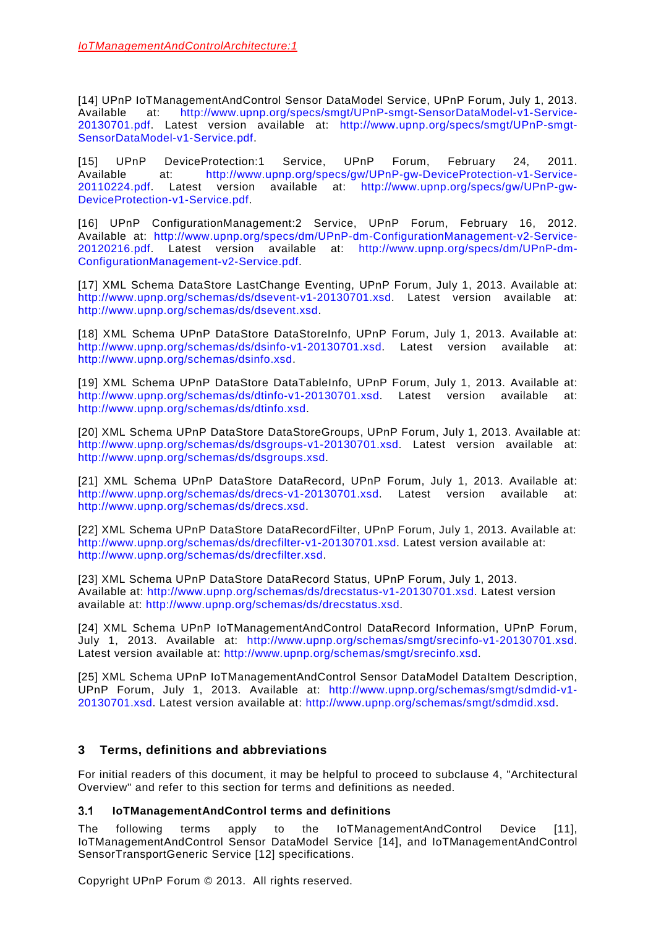<span id="page-7-0"></span>[14] UPnP IoTManagementAndControl Sensor DataModel Service, UPnP Forum, July 1, 2013. Available at: [http://www.upnp.org/specs/smgt/UPnP-smgt-SensorDataModel-v1-Service-](http://www.upnp.org/specs/smgt/UPnP-smgt-SensorManagementDataModel-v1-Service-20130701.pdf)[20130701.pdf.](http://www.upnp.org/specs/smgt/UPnP-smgt-SensorManagementDataModel-v1-Service-20130701.pdf) Latest version available at: [http://www.upnp.org/specs/smgt/UPnP-smgt-](http://www.upnp.org/specs/smgt/UPnP-smgt-SensorDataModel-v1-Service.pdf)[SensorDataModel-v1-Service.pdf.](http://www.upnp.org/specs/smgt/UPnP-smgt-SensorDataModel-v1-Service.pdf)

<span id="page-7-1"></span>[15] UPnP DeviceProtection:1 Service, UPnP Forum, February 24, 2011.<br>Available at: http://www.upnp.org/specs/gw/UPnP-gw-DeviceProtection-v1-Service[http://www.upnp.org/specs/gw/UPnP-gw-DeviceProtection-v1-Service-](http://www.upnp.org/specs/gw/UPnP-gw-DeviceProtection-v1-Service-20110224.pdf)[20110224.pdf.](http://www.upnp.org/specs/gw/UPnP-gw-DeviceProtection-v1-Service-20110224.pdf) Latest version available at: [http://www.upnp.org/specs/gw/UPnP-gw-](http://www.upnp.org/specs/gw/UPnP-gw-DeviceProtection-v1-Service.pdf)[DeviceProtection-v1-Service.pdf.](http://www.upnp.org/specs/gw/UPnP-gw-DeviceProtection-v1-Service.pdf)

<span id="page-7-2"></span>[16] UPnP ConfigurationManagement:2 Service, UPnP Forum, February 16, 2012. Available at: [http://www.upnp.org/specs/dm/UPnP-dm-ConfigurationManagement-v2-Service-](http://www.upnp.org/specs/dm/UPnP-dm-ConfigurationManagement-v2-Service-20120216.pdf)[20120216.pdf.](http://www.upnp.org/specs/dm/UPnP-dm-ConfigurationManagement-v2-Service-20120216.pdf) Latest version available at: [http://www.upnp.org/specs/dm/UPnP-dm-](http://www.upnp.org/specs/dm/UPnP-dm-ConfigurationManagement-v2-Service.pdf)[ConfigurationManagement-v2-Service.pdf.](http://www.upnp.org/specs/dm/UPnP-dm-ConfigurationManagement-v2-Service.pdf)

[17] XML Schema DataStore LastChange Eventing, UPnP Forum, July 1, 2013. Available at: [http://www.upnp.org/schemas/ds/dsevent-v1-20130701.xsd.](http://www.upnp.org/schemas/ds/dsevent-v1-20130701.xsd) Latest version available at: [http://www.upnp.org/schemas/ds/dsevent.xsd.](http://www.upnp.org/schemas/ds/dsevent.xsd)

[18] XML Schema UPnP DataStore DataStoreInfo, UPnP Forum, July 1, 2013. Available at: [http://www.upnp.org/schemas/ds/dsinfo-v1-20130701.xsd.](http://www.upnp.org/schemas/ds/dsinfo-v1-20130701.xsd) Latest version available at: [http://www.upnp.org/schemas/dsinfo.xsd.](http://www.upnp.org/schemas/dsinfo.xsd)

<span id="page-7-4"></span>[19] XML Schema UPnP DataStore DataTableInfo, UPnP Forum, July 1, 2013. Available at: [http://www.upnp.org/schemas/ds/dtinfo-v1-20130701.xsd.](http://www.upnp.org/schemas/ds/dtinfo-v1-20130701.xsd) Latest version available at: [http://www.upnp.org/schemas/ds/dtinfo.xsd.](http://www.upnp.org/schemas/ds/dtinfo.xsd)

[20] XML Schema UPnP DataStore DataStoreGroups, UPnP Forum, July 1, 2013. Available at: [http://www.upnp.org/schemas/ds/dsgroups-v1-20130701.xsd.](http://www.upnp.org/schemas/ds/dsgroups-v1-20130701.xsd) Latest version available at: [http://www.upnp.org/schemas/ds/dsgroups.xsd.](http://www.upnp.org/schemas/ds/dsgroups.xsd)

<span id="page-7-5"></span>[21] XML Schema UPnP DataStore DataRecord, UPnP Forum, July 1, 2013. Available at: [http://www.upnp.org/schemas/ds/drecs-v1-20130701.xsd.](http://www.upnp.org/schemas/ds/drecs-v1-20130701.xsd) Latest version available at: [http://www.upnp.org/schemas/ds/drecs.xsd.](http://www.upnp.org/schemas/ds/drecs.xsd)

[22] XML Schema UPnP DataStore DataRecordFilter, UPnP Forum, July 1, 2013. Available at: [http://www.upnp.org/schemas/ds/drecfilter-v1-20130701.xsd.](http://www.upnp.org/schemas/ds/drecfilter-v1-20130701.xsd) Latest version available at: [http://www.upnp.org/schemas/ds/drecfilter.xsd.](http://www.upnp.org/schemas/ds/drecfilter.xsd)

[23] XML Schema UPnP DataStore DataRecord Status, UPnP Forum, July 1, 2013. Available at: [http://www.upnp.org/schemas/ds/drecstatus-v1-20130701.xsd.](http://www.upnp.org/schemas/ds/drecstatus-v1-20130701.xsd) Latest version available at: [http://www.upnp.org/schemas/ds/drecstatus.xsd.](http://www.upnp.org/schemas/ds/drecstatus.xsd)

[24] XML Schema UPnP IoTManagementAndControl DataRecord Information, UPnP Forum, July 1, 2013. Available at: [http://www.upnp.org/schemas/smgt/srecinfo-v1-20130701.xsd.](http://www.upnp.org/schemas/smgt/srecinfo-v1-20130701.xsd) Latest version available at: [http://www.upnp.org/schemas/smgt/srecinfo.xsd.](http://www.upnp.org/schemas/smgt/srecinfo.xsd)

<span id="page-7-3"></span>[25] XML Schema UPnP IoTManagementAndControl Sensor DataModel DataItem Description, UPnP Forum, July 1, 2013. Available at: [http://www.upnp.org/schemas/smgt/sdmdid-v1-](http://www.upnp.org/schemas/smgt/sdmdid-v1-20130701.xsd) [20130701.xsd.](http://www.upnp.org/schemas/smgt/sdmdid-v1-20130701.xsd) Latest version available at: [http://www.upnp.org/schemas/smgt/sdmdid.xsd.](http://www.upnp.org/schemas/smgt/sdmdid.xsd)

## **3 Terms, definitions and abbreviations**

For initial readers of this document, it may be helpful to proceed to subclause [4,](#page-11-0) "Architectural Overview" and refer to this section for terms and definitions as needed.

#### $3.1$ **IoTManagementAndControl terms and definitions**

The following terms apply to the IoTManagementAndControl Device [\[11\],](#page-6-0) IoTManagementAndControl Sensor DataModel Service [\[14\],](#page-7-0) and IoTManagementAndControl SensorTransportGeneric Service [\[12\]](#page-6-2) specifications.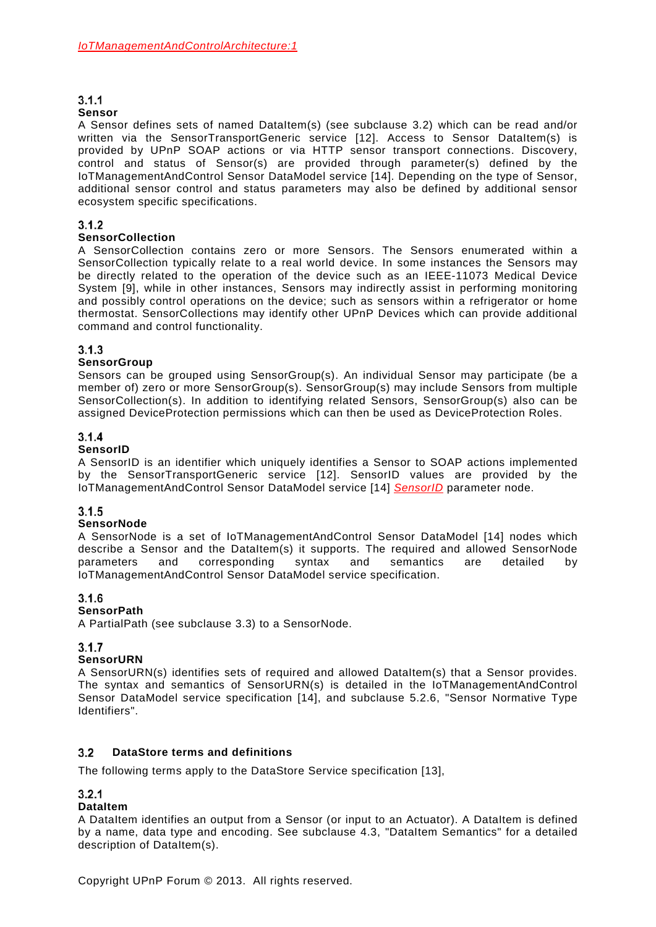# $3.1.1$

### **Sensor**

A Sensor defines sets of named DataItem(s) (see subclause [3.2\)](#page-8-0) which can be read and/or written via the SensorTransportGeneric service [\[12\].](#page-6-2) Access to Sensor DataItem(s) is provided by UPnP SOAP actions or via HTTP sensor transport connections. Discovery, control and status of Sensor(s) are provided through parameter(s) defined by the IoTManagementAndControl Sensor DataModel service [\[14\].](#page-7-0) Depending on the type of Sensor, additional sensor control and status parameters may also be defined by additional sensor ecosystem specific specifications.

## $3.1.2$

### **SensorCollection**

A SensorCollection contains zero or more Sensors. The Sensors enumerated within a SensorCollection typically relate to a real world device. In some instances the Sensors may be directly related to the operation of the device such as an IEEE-11073 Medical Device System [\[9\],](#page-6-4) while in other instances, Sensors may indirectly assist in performing monitoring and possibly control operations on the device; such as sensors within a refrigerator or home thermostat. SensorCollections may identify other UPnP Devices which can provide additional command and control functionality.

### $3.1.3$

### **SensorGroup**

Sensors can be grouped using SensorGroup(s). An individual Sensor may participate (be a member of) zero or more SensorGroup(s). SensorGroup(s) may include Sensors from multiple SensorCollection(s). In addition to identifying related Sensors, SensorGroup(s) also can be assigned DeviceProtection permissions which can then be used as DeviceProtection Roles.

## $3.1.4$

### **SensorID**

A SensorID is an identifier which uniquely identifies a Sensor to SOAP actions implemented by the SensorTransportGeneric service [\[12\].](#page-6-2) SensorID values are provided by the IoTManagementAndControl Sensor DataModel service [\[14\]](#page-7-0) *SensorID* parameter node.

## $3.1.5$

### **SensorNode**

A SensorNode is a set of IoTManagementAndControl Sensor DataModel [\[14\]](#page-7-0) nodes which describe a Sensor and the DataItem(s) it supports. The required and allowed SensorNode<br>parameters and corresponding syntax and semantics are detailed by parameters and corresponding syntax and semantics are detailed by IoTManagementAndControl Sensor DataModel service specification.

### $3.1.6$

### **SensorPath**

A PartialPath (see subclause [3.3\)](#page-9-0) to a SensorNode.

## $3.1.7$

## **SensorURN**

A SensorURN(s) identifies sets of required and allowed DataItem(s) that a Sensor provides. The syntax and semantics of SensorURN(s) is detailed in the IoTManagementAndControl Sensor DataModel service specification [\[14\],](#page-7-0) and subclause 5.2.6, "Sensor Normative Type Identifiers".

#### <span id="page-8-0"></span> $3.2$ **DataStore terms and definitions**

The following terms apply to the DataStore Service specification [\[13\],](#page-6-1)

## $3.2.1$

## **DataItem**

A DataItem identifies an output from a Sensor (or input to an Actuator). A DataItem is defined by a name, data type and encoding. See subclause [4.3,](#page-18-0) "DataItem Semantics" for a detailed description of DataItem(s).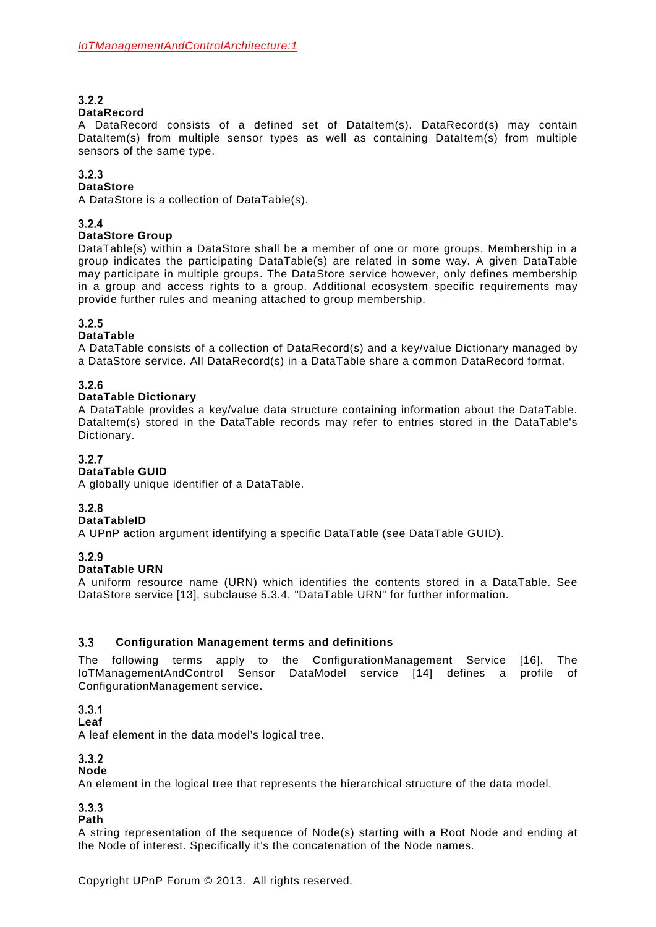# $3.2.2$

### **DataRecord**

A DataRecord consists of a defined set of DataItem(s). DataRecord(s) may contain DataItem(s) from multiple sensor types as well as containing DataItem(s) from multiple sensors of the same type.

## $3.2.3$

### **DataStore**

A DataStore is a collection of DataTable(s).

## $324$

### **DataStore Group**

DataTable(s) within a DataStore shall be a member of one or more groups. Membership in a group indicates the participating DataTable(s) are related in some way. A given DataTable may participate in multiple groups. The DataStore service however, only defines membership in a group and access rights to a group. Additional ecosystem specific requirements may provide further rules and meaning attached to group membership.

## $3.2.5$

## **DataTable**

A DataTable consists of a collection of DataRecord(s) and a key/value Dictionary managed by a DataStore service. All DataRecord(s) in a DataTable share a common DataRecord format.

## $3.2.6$

### **DataTable Dictionary**

A DataTable provides a key/value data structure containing information about the DataTable. DataItem(s) stored in the DataTable records may refer to entries stored in the DataTable's Dictionary.

### $3.2.7$

## **DataTable GUID**

A globally unique identifier of a DataTable.

## $3.2.8$

### **DataTableID**

A UPnP action argument identifying a specific DataTable (see DataTable GUID).

### $3.2.9$

### **DataTable URN**

A uniform resource name (URN) which identifies the contents stored in a DataTable. See DataStore service [\[13\],](#page-6-1) subclause 5.3.4, "DataTable URN" for further information.

#### <span id="page-9-0"></span> $3.3$ **Configuration Management terms and definitions**

The following terms apply to the ConfigurationManagement Service [\[16\].](#page-7-2) The IoTManagementAndControl Sensor DataModel service [\[14\]](#page-7-0) defines a profile of ConfigurationManagement service.

## $3.3.1$

**Leaf**

A leaf element in the data model's logical tree.

## $3.3.2$

### **Node**

An element in the logical tree that represents the hierarchical structure of the data model.

## $3.3.3$

## **Path**

A string representation of the sequence of Node(s) starting with a Root Node and ending at the Node of interest. Specifically it's the concatenation of the Node names.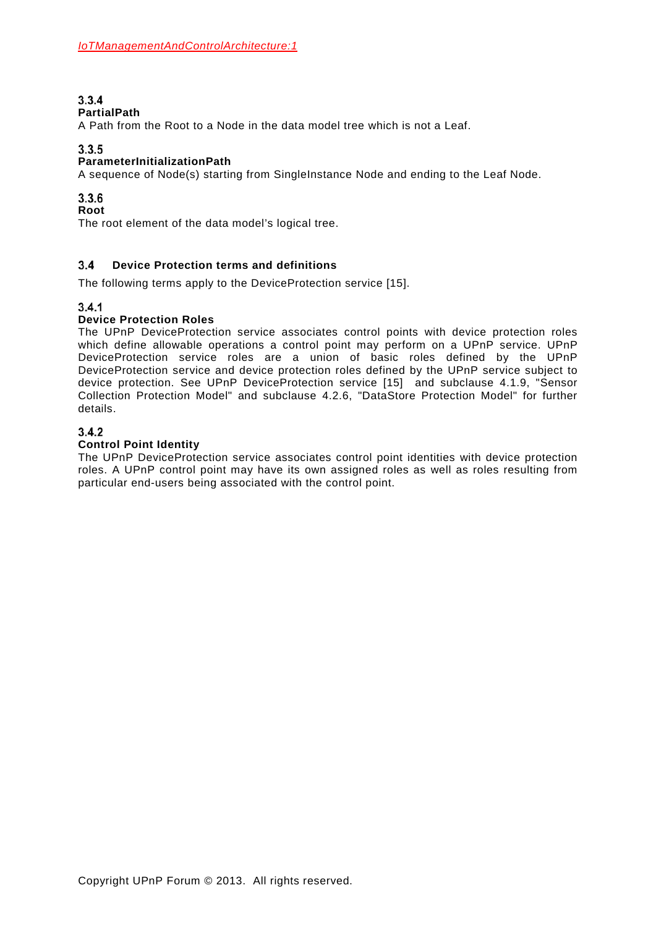## $3.3.4$

### **PartialPath**

A Path from the Root to a Node in the data model tree which is not a Leaf.

## $3.3.5$

## **ParameterInitializationPath**

A sequence of Node(s) starting from SingleInstance Node and ending to the Leaf Node.

## $3.3.6$

### **Root**

The root element of the data model's logical tree.

#### $3.4$ **Device Protection terms and definitions**

The following terms apply to the DeviceProtection service [\[15\].](#page-7-1)

## $3.4.1$

### **Device Protection Roles**

The UPnP DeviceProtection service associates control points with device protection roles which define allowable operations a control point may perform on a UPnP service. UPnP DeviceProtection service roles are a union of basic roles defined by the UPnP DeviceProtection service and device protection roles defined by the UPnP service subject to device protection. See UPnP DeviceProtection service [\[15\]](#page-7-1) and subclause [4.1.9,](#page-13-0) "Sensor Collection Protection Model" and subclause [4.2.6,](#page-17-0) "DataStore Protection Model" for further details.

## $3.4.2$

### **Control Point Identity**

The UPnP DeviceProtection service associates control point identities with device protection roles. A UPnP control point may have its own assigned roles as well as roles resulting from particular end-users being associated with the control point.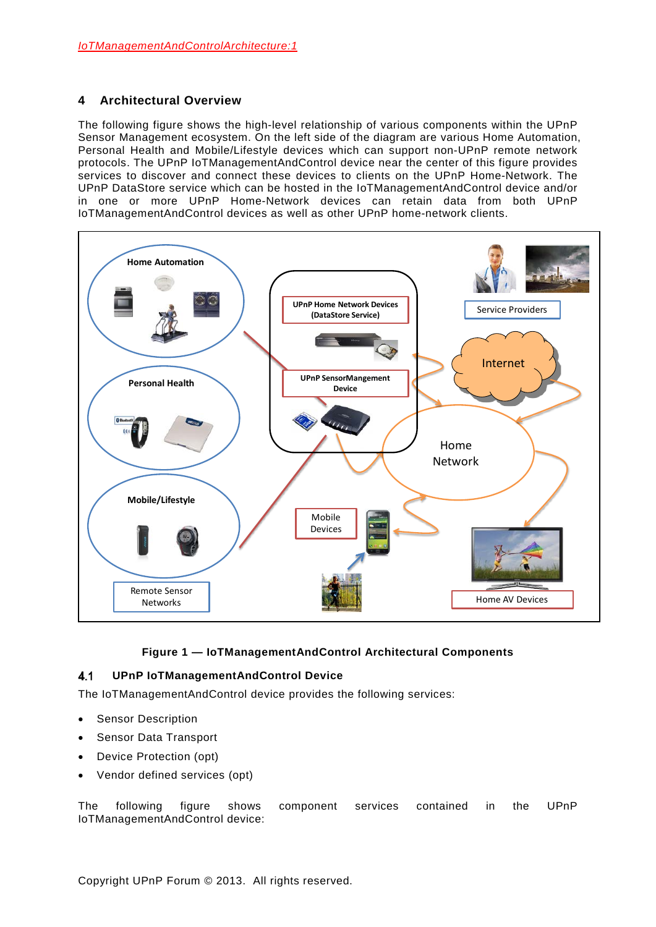## <span id="page-11-0"></span>**4 Architectural Overview**

The following figure shows the high-level relationship of various components within the UPnP Sensor Management ecosystem. On the left side of the diagram are various Home Automation, Personal Health and Mobile/Lifestyle devices which can support non-UPnP remote network protocols. The UPnP IoTManagementAndControl device near the center of this figure provides services to discover and connect these devices to clients on the UPnP Home-Network. The UPnP DataStore service which can be hosted in the IoTManagementAndControl device and/or in one or more UPnP Home-Network devices can retain data from both UPnP IoTManagementAndControl devices as well as other UPnP home-network clients.



## **Figure 1 — IoTManagementAndControl Architectural Components**

#### $4.1$ **UPnP IoTManagementAndControl Device**

The IoTManagementAndControl device provides the following services:

- Sensor Description
- Sensor Data Transport
- Device Protection (opt)
- Vendor defined services (opt)

The following figure shows component services contained in the UPnP IoTManagementAndControl device: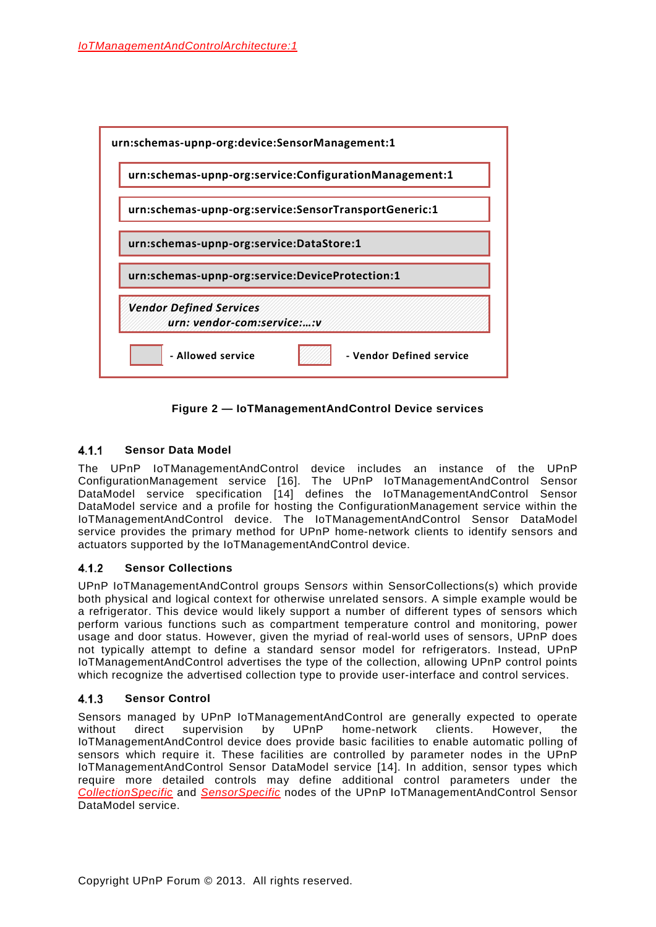

**Figure 2 — IoTManagementAndControl Device services**

#### $4.1.1$ **Sensor Data Model**

The UPnP IoTManagementAndControl device includes an instance of the UPnP ConfigurationManagement service [\[16\].](#page-7-2) The UPnP IoTManagementAndControl Sensor DataModel service specification [\[14\]](#page-7-0) defines the IoTManagementAndControl Sensor DataModel service and a profile for hosting the ConfigurationManagement service within the IoTManagementAndControl device. The IoTManagementAndControl Sensor DataModel service provides the primary method for UPnP home-network clients to identify sensors and actuators supported by the IoTManagementAndControl device.

#### $4.1.2$ **Sensor Collections**

UPnP IoTManagementAndControl groups Sen*sors* within SensorCollections(s) which provide both physical and logical context for otherwise unrelated sensors. A simple example would be a refrigerator. This device would likely support a number of different types of sensors which perform various functions such as compartment temperature control and monitoring, power usage and door status. However, given the myriad of real-world uses of sensors, UPnP does not typically attempt to define a standard sensor model for refrigerators. Instead, UPnP IoTManagementAndControl advertises the type of the collection, allowing UPnP control points which recognize the advertised collection type to provide user-interface and control services.

#### $4.1.3$ **Sensor Control**

Sensors managed by UPnP IoTManagementAndControl are generally expected to operate<br>without direct supervision by UPnP home-network clients. However, the without direct supervision by UPnP home-network clients. However, the IoTManagementAndControl device does provide basic facilities to enable automatic polling of sensors which require it. These facilities are controlled by parameter nodes in the UPnP IoTManagementAndControl Sensor DataModel service [\[14\].](#page-7-0) In addition, sensor types which require more detailed controls may define additional control parameters under the *CollectionSpecific* and *SensorSpecific* nodes of the UPnP IoTManagementAndControl Sensor DataModel service.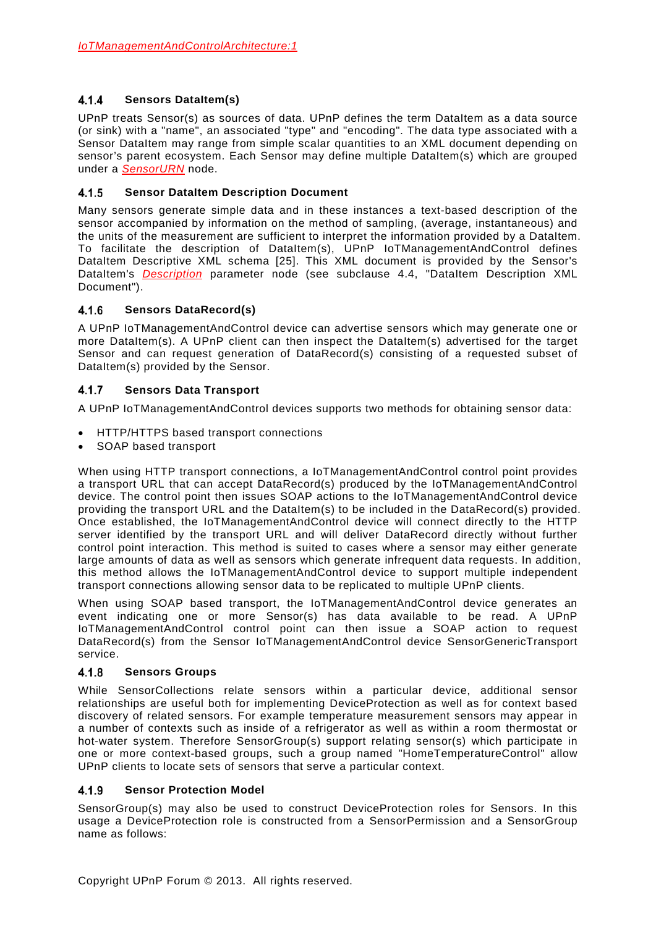#### $4.1.4$ **Sensors DataItem(s)**

UPnP treats Sensor(s) as sources of data. UPnP defines the term DataItem as a data source (or sink) with a "name", an associated "type" and "encoding". The data type associated with a Sensor DataItem may range from simple scalar quantities to an XML document depending on sensor's parent ecosystem. Each Sensor may define multiple DataItem(s) which are grouped under a *SensorURN* node.

#### $4.1.5$ **Sensor DataItem Description Document**

Many sensors generate simple data and in these instances a text-based description of the sensor accompanied by information on the method of sampling, (average, instantaneous) and the units of the measurement are sufficient to interpret the information provided by a DataItem. To facilitate the description of DataItem(s), UPnP IoTManagementAndControl defines DataItem Descriptive XML schema [\[25\].](#page-7-3) This XML document is provided by the Sensor's DataItem's *Description* parameter node (see subclause [4.4,](#page-21-0) "DataItem Description XML Document").

#### 416 **Sensors DataRecord(s)**

A UPnP IoTManagementAndControl device can advertise sensors which may generate one or more DataItem(s). A UPnP client can then inspect the DataItem(s) advertised for the target Sensor and can request generation of DataRecord(s) consisting of a requested subset of DataItem(s) provided by the Sensor.

#### $4.1.7$ **Sensors Data Transport**

A UPnP IoTManagementAndControl devices supports two methods for obtaining sensor data:

- HTTP/HTTPS based transport connections
- SOAP based transport

When using HTTP transport connections, a IoTManagementAndControl control point provides a transport URL that can accept DataRecord(s) produced by the IoTManagementAndControl device. The control point then issues SOAP actions to the IoTManagementAndControl device providing the transport URL and the DataItem(s) to be included in the DataRecord(s) provided. Once established, the IoTManagementAndControl device will connect directly to the HTTP server identified by the transport URL and will deliver DataRecord directly without further control point interaction. This method is suited to cases where a sensor may either generate large amounts of data as well as sensors which generate infrequent data requests. In addition, this method allows the IoTManagementAndControl device to support multiple independent transport connections allowing sensor data to be replicated to multiple UPnP clients.

When using SOAP based transport, the IoTManagementAndControl device generates an event indicating one or more Sensor(s) has data available to be read. A UPnP IoTManagementAndControl control point can then issue a SOAP action to request DataRecord(s) from the Sensor IoTManagementAndControl device SensorGenericTransport service.

#### 4.1.8 **Sensors Groups**

While SensorCollections relate sensors within a particular device, additional sensor relationships are useful both for implementing DeviceProtection as well as for context based discovery of related sensors. For example temperature measurement sensors may appear in a number of contexts such as inside of a refrigerator as well as within a room thermostat or hot-water system. Therefore SensorGroup(s) support relating sensor(s) which participate in one or more context-based groups, such a group named "HomeTemperatureControl" allow UPnP clients to locate sets of sensors that serve a particular context.

#### <span id="page-13-0"></span> $4.1.9$ **Sensor Protection Model**

SensorGroup(s) may also be used to construct DeviceProtection roles for Sensors. In this usage a DeviceProtection role is constructed from a SensorPermission and a SensorGroup name as follows: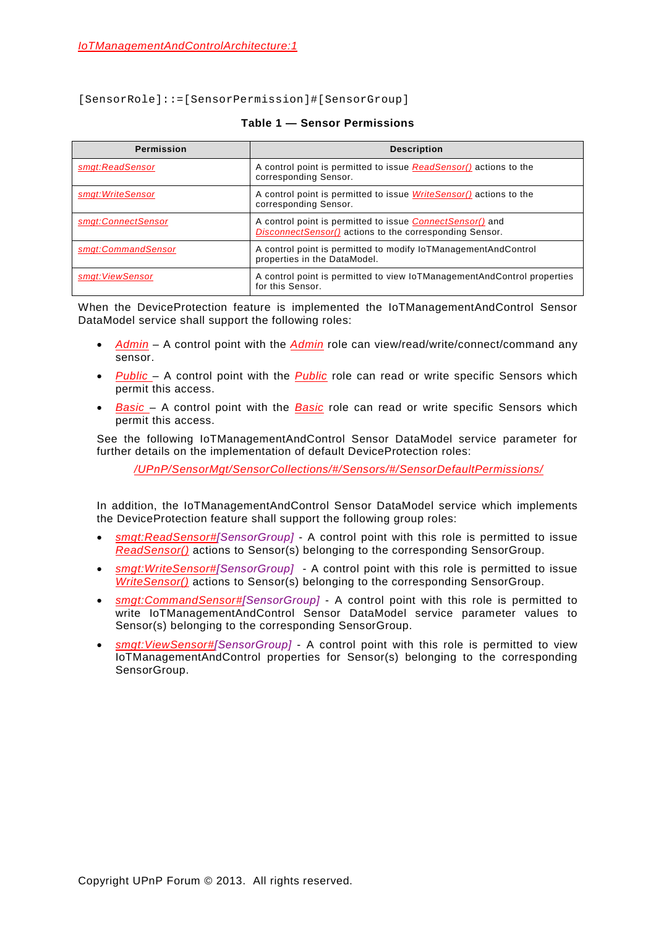[SensorRole]::=[SensorPermission]#[SensorGroup]

| <b>Permission</b>  | <b>Description</b>                                                                                                          |  |
|--------------------|-----------------------------------------------------------------------------------------------------------------------------|--|
| smgt:ReadSensor    | A control point is permitted to issue ReadSensor() actions to the<br>corresponding Sensor.                                  |  |
| smgt: WriteSensor  | A control point is permitted to issue <i>WriteSensor()</i> actions to the<br>corresponding Sensor.                          |  |
| smat:ConnectSensor | A control point is permitted to issue <i>ConnectSensor()</i> and<br>DisconnectSensor() actions to the corresponding Sensor. |  |
| smat:CommandSensor | A control point is permitted to modify IoTManagementAndControl<br>properties in the DataModel.                              |  |
| smat: ViewSensor   | A control point is permitted to view IoTManagementAndControl properties<br>for this Sensor.                                 |  |

### **Table 1 — Sensor Permissions**

When the DeviceProtection feature is implemented the IoTManagementAndControl Sensor DataModel service shall support the following roles:

- *Admin* A control point with the *Admin* role can view/read/write/connect/command any sensor.
- *Public*  A control point with the *Public* role can read or write specific Sensors which permit this access.
- *Basic*  A control point with the *Basic* role can read or write specific Sensors which permit this access.

See the following IoTManagementAndControl Sensor DataModel service parameter for further details on the implementation of default DeviceProtection roles:

*/UPnP/SensorMgt/SensorCollections/#/Sensors/#/SensorDefaultPermissions/*

In addition, the IoTManagementAndControl Sensor DataModel service which implements the DeviceProtection feature shall support the following group roles:

- *smgt:ReadSensor#[SensorGroup]* A control point with this role is permitted to issue *ReadSensor()* actions to Sensor(s) belonging to the corresponding SensorGroup.
- *smgt:WriteSensor#[SensorGroup]* A control point with this role is permitted to issue *WriteSensor()* actions to Sensor(s) belonging to the corresponding SensorGroup.
- *smgt:CommandSensor#[SensorGroup]* A control point with this role is permitted to write IoTManagementAndControl Sensor DataModel service parameter values to Sensor(s) belonging to the corresponding SensorGroup.
- *smgt:ViewSensor#[SensorGroup]* A control point with this role is permitted to view IoTManagementAndControl properties for Sensor(s) belonging to the corresponding SensorGroup.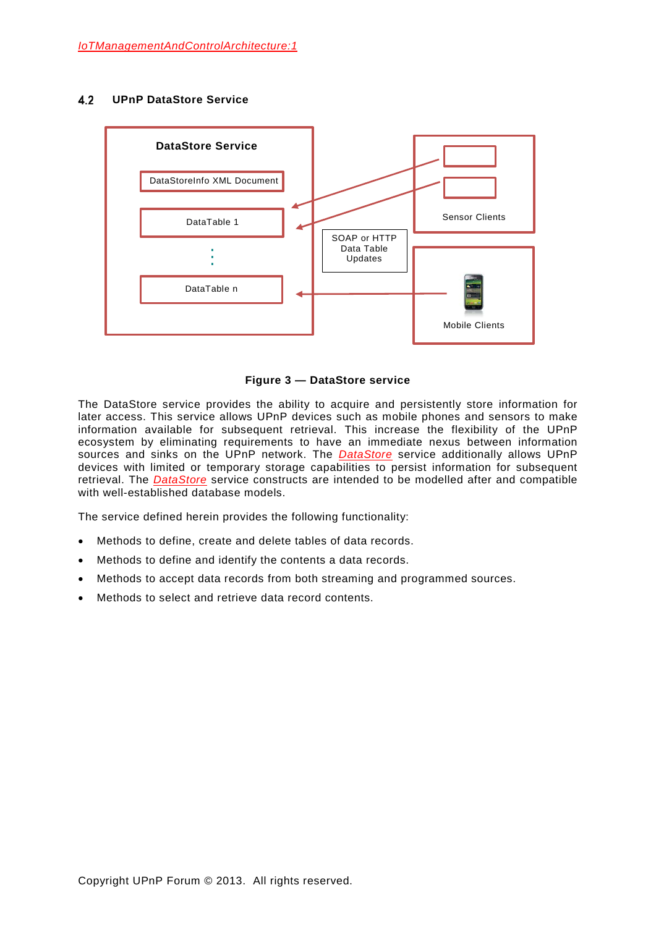#### $4.2$ **UPnP DataStore Service**



**Figure 3 — DataStore service**

The DataStore service provides the ability to acquire and persistently store information for later access. This service allows UPnP devices such as mobile phones and sensors to make information available for subsequent retrieval. This increase the flexibility of the UPnP ecosystem by eliminating requirements to have an immediate nexus between information sources and sinks on the UPnP network. The *DataStore* service additionally allows UPnP devices with limited or temporary storage capabilities to persist information for subsequent retrieval. The *DataStore* service constructs are intended to be modelled after and compatible with well-established database models.

The service defined herein provides the following functionality:

- Methods to define, create and delete tables of data records.
- Methods to define and identify the contents a data records.
- Methods to accept data records from both streaming and programmed sources.
- Methods to select and retrieve data record contents.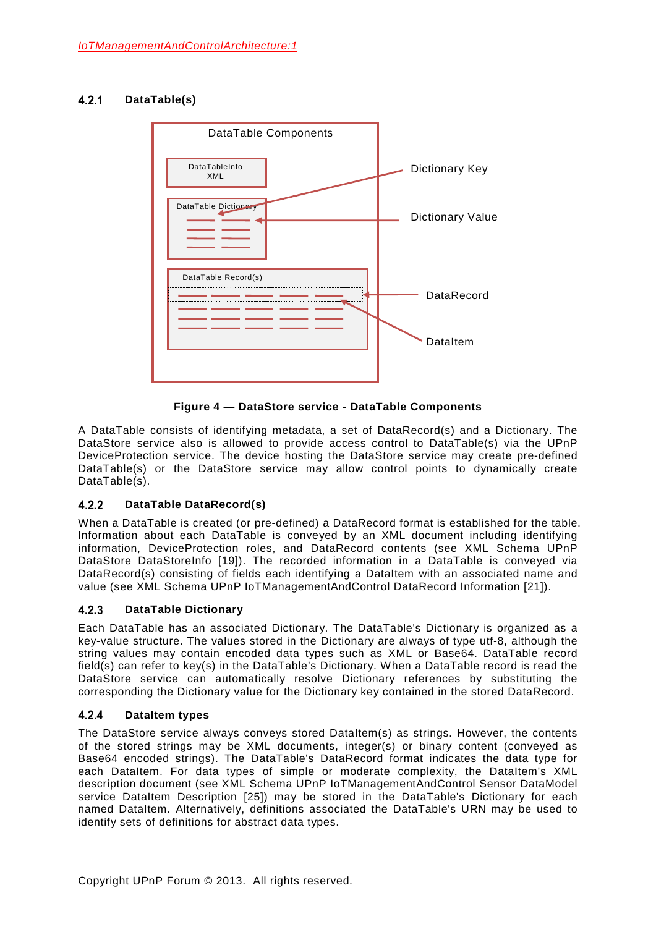#### $4.2.1$ **DataTable(s)**



**Figure 4 — DataStore service - DataTable Components**

A DataTable consists of identifying metadata, a set of DataRecord(s) and a Dictionary. The DataStore service also is allowed to provide access control to DataTable(s) via the UPnP DeviceProtection service. The device hosting the DataStore service may create pre-defined DataTable(s) or the DataStore service may allow control points to dynamically create DataTable(s).

#### $4.2.2$ **DataTable DataRecord(s)**

When a DataTable is created (or pre-defined) a DataRecord format is established for the table. Information about each DataTable is conveyed by an XML document including identifying information, DeviceProtection roles, and DataRecord contents (see XML Schema UPnP DataStore DataStoreInfo [\[19\]\)](#page-7-4). The recorded information in a DataTable is conveyed via DataRecord(s) consisting of fields each identifying a DataItem with an associated name and value (see XML Schema UPnP IoTManagementAndControl DataRecord Information [\[21\]\)](#page-7-5).

#### $4.2.3$ **DataTable Dictionary**

Each DataTable has an associated Dictionary. The DataTable's Dictionary is organized as a key-value structure. The values stored in the Dictionary are always of type utf-8, although the string values may contain encoded data types such as XML or Base64. DataTable record field(s) can refer to key(s) in the DataTable's Dictionary. When a DataTable record is read the DataStore service can automatically resolve Dictionary references by substituting the corresponding the Dictionary value for the Dictionary key contained in the stored DataRecord.

#### $4.2.4$ **DataItem types**

The DataStore service always conveys stored DataItem(s) as strings. However, the contents of the stored strings may be XML documents, integer(s) or binary content (conveyed as Base64 encoded strings). The DataTable's DataRecord format indicates the data type for each DataItem. For data types of simple or moderate complexity, the DataItem's XML description document (see XML Schema UPnP IoTManagementAndControl Sensor DataModel service DataItem Description [\[25\]\)](#page-7-3) may be stored in the DataTable's Dictionary for each named DataItem. Alternatively, definitions associated the DataTable's URN may be used to identify sets of definitions for abstract data types.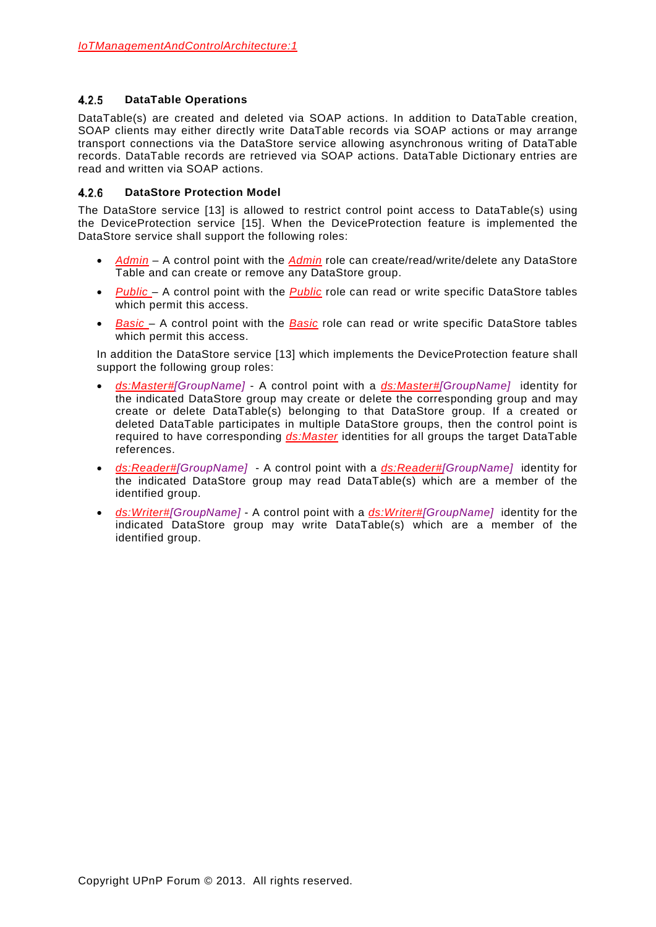#### $4.2.5$ **DataTable Operations**

DataTable(s) are created and deleted via SOAP actions. In addition to DataTable creation, SOAP clients may either directly write DataTable records via SOAP actions or may arrange transport connections via the DataStore service allowing asynchronous writing of DataTable records. DataTable records are retrieved via SOAP actions. DataTable Dictionary entries are read and written via SOAP actions.

#### <span id="page-17-0"></span>**DataStore Protection Model**  $4.2.6$

The DataStore service [\[13\]](#page-6-1) is allowed to restrict control point access to DataTable(s) using the DeviceProtection service [\[15\].](#page-7-1) When the DeviceProtection feature is implemented the DataStore service shall support the following roles:

- *Admin* A control point with the *Admin* role can create/read/write/delete any DataStore Table and can create or remove any DataStore group.
- *Public*  A control point with the *Public* role can read or write specific DataStore tables which permit this access.
- *Basic*  A control point with the *Basic* role can read or write specific DataStore tables which permit this access.

In addition the DataStore service [\[13\]](#page-6-1) which implements the DeviceProtection feature shall support the following group roles:

- *ds:Master#[GroupName]* A control point with a *ds:Master#[GroupName]* identity for the indicated DataStore group may create or delete the corresponding group and may create or delete DataTable(s) belonging to that DataStore group. If a created or deleted DataTable participates in multiple DataStore groups, then the control point is required to have corresponding *ds:Master* identities for all groups the target DataTable references.
- *ds:Reader#[GroupName]* A control point with a *ds:Reader#[GroupName]* identity for the indicated DataStore group may read DataTable(s) which are a member of the identified group.
- *ds:Writer#[GroupName]* A control point with a *ds:Writer#[GroupName]* identity for the indicated DataStore group may write DataTable(s) which are a member of the identified group.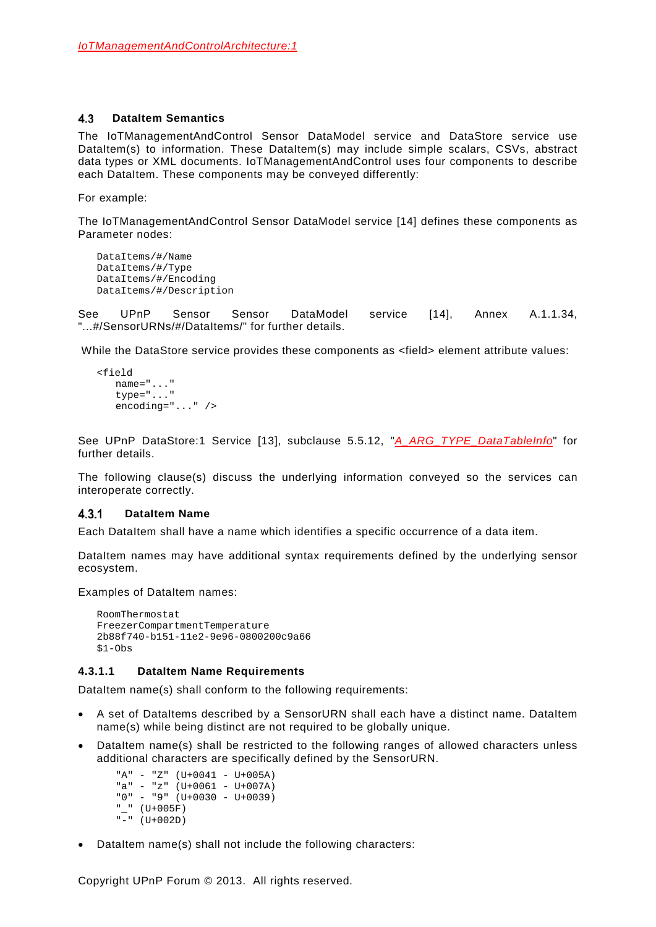#### <span id="page-18-0"></span> $4.3$ **DataItem Semantics**

The IoTManagementAndControl Sensor DataModel service and DataStore service use DataItem(s) to information. These DataItem(s) may include simple scalars, CSVs, abstract data types or XML documents. IoTManagementAndControl uses four components to describe each DataItem. These components may be conveyed differently:

For example:

The IoTManagementAndControl Sensor DataModel service [\[14\]](#page-7-0) defines these components as Parameter nodes:

DataItems/#/Name DataItems/#/Type DataItems/#/Encoding DataItems/#/Description

See UPnP Sensor Sensor DataModel service [\[14\],](#page-7-0) Annex A.1.1.34, ...#/SensorURNs/#/DataItems/" for further details.

While the DataStore service provides these components as <field> element attribute values:

```
<field
  name="..."
   type="..."
   encoding="..." />
```
See UPnP DataStore:1 Service [\[13\],](#page-6-1) subclause 5.5.12, "*A\_ARG\_TYPE\_DataTableInfo*" for further details.

The following clause(s) discuss the underlying information conveyed so the services can interoperate correctly.

#### $4.3.1$ **DataItem Name**

Each DataItem shall have a name which identifies a specific occurrence of a data item.

DataItem names may have additional syntax requirements defined by the underlying sensor ecosystem.

Examples of DataItem names:

```
RoomThermostat
FreezerCompartmentTemperature
2b88f740-b151-11e2-9e96-0800200c9a66
$1-Obs
```
### **4.3.1.1 DataItem Name Requirements**

DataItem name(s) shall conform to the following requirements:

- A set of DataItems described by a SensorURN shall each have a distinct name. DataItem name(s) while being distinct are not required to be globally unique.
- DataItem name(s) shall be restricted to the following ranges of allowed characters unless additional characters are specifically defined by the SensorURN.

"A" - "Z" (U+0041 - U+005A) "a" - "z" (U+0061 - U+007A) "0" - "9" (U+0030 - U+0039) "\_" (U+005F) "-" (U+002D)

• DataItem name(s) shall not include the following characters: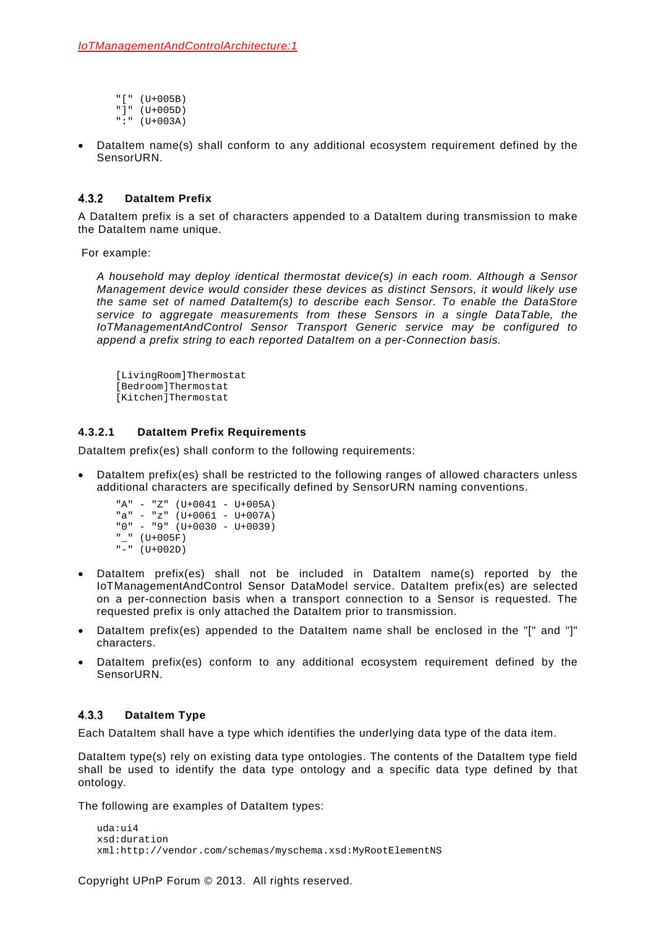"[" (U+005B) "]" (U+005D)  $" : " (U+003A)$ 

DataItem name(s) shall conform to any additional ecosystem requirement defined by the SensorURN.

#### $4.3.2$ **DataItem Prefix**

A DataItem prefix is a set of characters appended to a DataItem during transmission to make the DataItem name unique.

For example:

*A household may deploy identical thermostat device(s) in each room. Although a Sensor Management device would consider these devices as distinct Sensors, it would likely use the same set of named DataItem(s) to describe each Sensor. To enable the DataStore service to aggregate measurements from these Sensors in a single DataTable, the IoTManagementAndControl Sensor Transport Generic service may be configured to append a prefix string to each reported DataItem on a per-Connection basis.*

[LivingRoom]Thermostat [Bedroom]Thermostat [Kitchen]Thermostat

## **4.3.2.1 DataItem Prefix Requirements**

DataItem prefix(es) shall conform to the following requirements:

DataItem prefix(es) shall be restricted to the following ranges of allowed characters unless additional characters are specifically defined by SensorURN naming conventions.

 $"A" - "Z"$  (U+0041 - U+005A)  $"a" - "z"$  (U+0061 - U+007A) "0" - "9" (U+0030 - U+0039) "\_" (U+005F) "-" (U+002D)

- DataItem prefix(es) shall not be included in DataItem name(s) reported by the IoTManagementAndControl Sensor DataModel service. DataItem prefix(es) are selected on a per-connection basis when a transport connection to a Sensor is requested. The requested prefix is only attached the DataItem prior to transmission.
- DataItem prefix(es) appended to the DataItem name shall be enclosed in the "[" and "]" characters.
- DataItem prefix(es) conform to any additional ecosystem requirement defined by the SensorURN.

#### $4.3.3$ **DataItem Type**

Each DataItem shall have a type which identifies the underlying data type of the data item.

DataItem type(s) rely on existing data type ontologies. The contents of the DataItem type field shall be used to identify the data type ontology and a specific data type defined by that ontology.

The following are examples of DataItem types:

```
uda:ui4
xsd:duration
xml:http://vendor.com/schemas/myschema.xsd:MyRootElementNS
```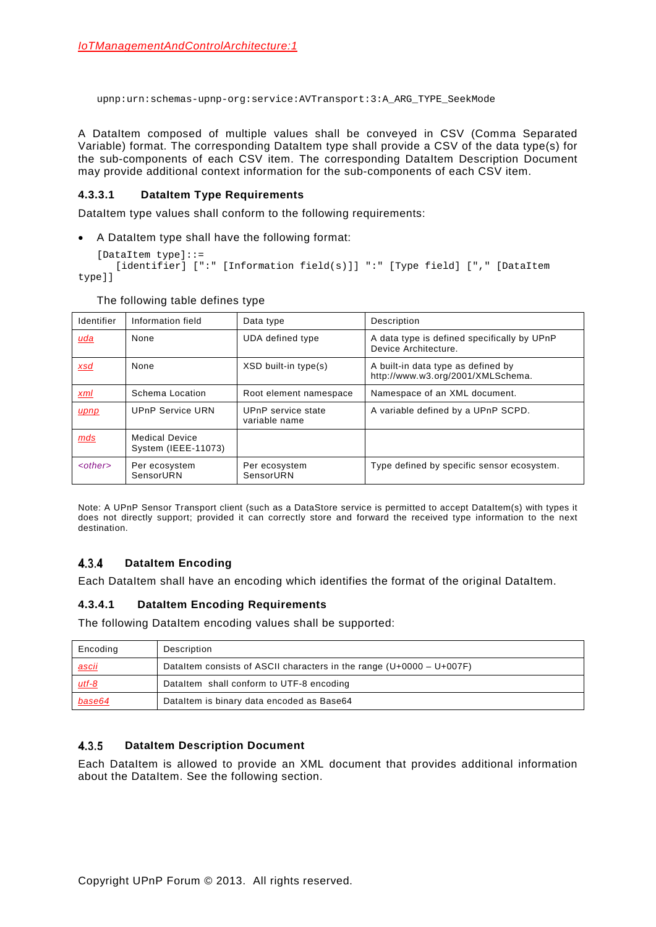upnp:urn:schemas-upnp-org:service:AVTransport:3:A\_ARG\_TYPE\_SeekMode

A DataItem composed of multiple values shall be conveyed in CSV (Comma Separated Variable) format. The corresponding DataItem type shall provide a CSV of the data type(s) for the sub-components of each CSV item. The corresponding DataItem Description Document may provide additional context information for the sub-components of each CSV item.

### **4.3.3.1 DataItem Type Requirements**

DataItem type values shall conform to the following requirements:

• A DataItem type shall have the following format:

```
[DataItem type]::=
   [identifier] [":" [Information field(s)]] ":" [Type field] ["," [DataItem
```
type]]

| Identifier    | Information field                            | Data type                           | Description                                                             |  |
|---------------|----------------------------------------------|-------------------------------------|-------------------------------------------------------------------------|--|
| <u>uda</u>    | None                                         | UDA defined type                    | A data type is defined specifically by UPnP<br>Device Architecture.     |  |
| <u>xsd</u>    | None                                         | XSD built-in type(s)                | A built-in data type as defined by<br>http://www.w3.org/2001/XMLSchema. |  |
| xml           | Schema Location                              | Root element namespace              | Namespace of an XML document.                                           |  |
| upnp          | <b>UPnP Service URN</b>                      | UPnP service state<br>variable name | A variable defined by a UPnP SCPD.                                      |  |
| mds           | <b>Medical Device</b><br>System (IEEE-11073) |                                     |                                                                         |  |
| $<$ other $>$ | Per ecosystem<br>SensorURN                   | Per ecosystem<br>SensorURN          | Type defined by specific sensor ecosystem.                              |  |

The following table defines type

Note: A UPnP Sensor Transport client (such as a DataStore service is permitted to accept DataItem(s) with types it does not directly support; provided it can correctly store and forward the received type information to the next destination.

#### $4.3.4$ **DataItem Encoding**

Each DataItem shall have an encoding which identifies the format of the original DataItem.

### **4.3.4.1 DataItem Encoding Requirements**

The following DataItem encoding values shall be supported:

| Encoding     | Description                                                            |
|--------------|------------------------------------------------------------------------|
| ascii        | Dataltem consists of ASCII characters in the range $(U+0000 - U+007F)$ |
| <u>utf-8</u> | Dataltem shall conform to UTF-8 encoding                               |
| base64       | Dataltem is binary data encoded as Base64                              |

#### $4.3.5$ **DataItem Description Document**

Each DataItem is allowed to provide an XML document that provides additional information about the DataItem. See the following section.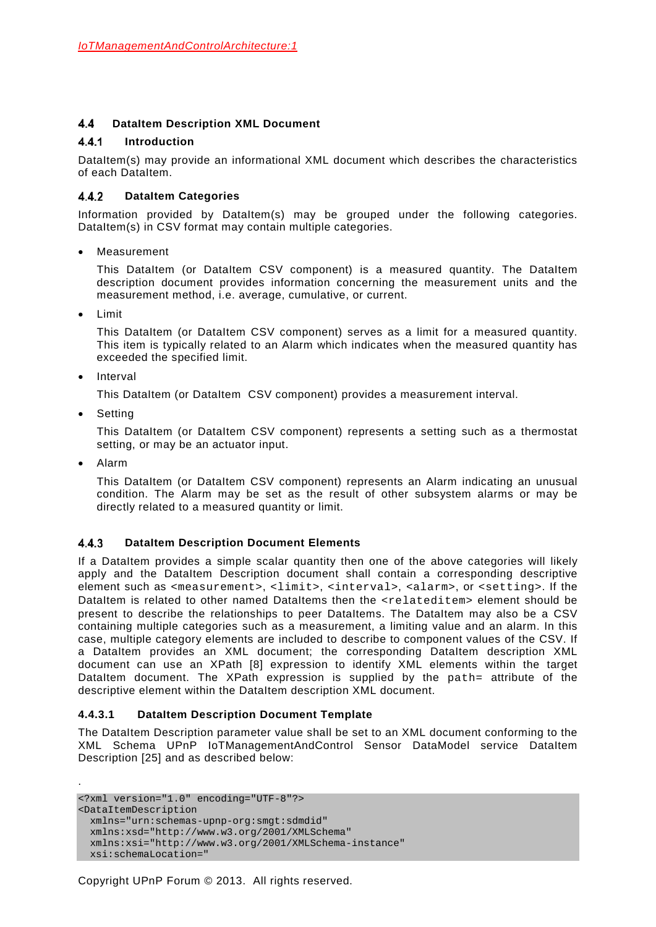#### <span id="page-21-0"></span> $4.4$ **DataItem Description XML Document**

#### $4.4.1$ **Introduction**

DataItem(s) may provide an informational XML document which describes the characteristics of each DataItem.

#### **DataItem Categories**  $4.4.2$

Information provided by DataItem(s) may be grouped under the following categories. DataItem(s) in CSV format may contain multiple categories.

• Measurement

This DataItem (or DataItem CSV component) is a measured quantity. The DataItem description document provides information concerning the measurement units and the measurement method, i.e. average, cumulative, or current.

• Limit

This DataItem (or DataItem CSV component) serves as a limit for a measured quantity. This item is typically related to an Alarm which indicates when the measured quantity has exceeded the specified limit.

**Interval** 

This DataItem (or DataItem CSV component) provides a measurement interval.

• Setting

This DataItem (or DataItem CSV component) represents a setting such as a thermostat setting, or may be an actuator input.

• Alarm

.

This DataItem (or DataItem CSV component) represents an Alarm indicating an unusual condition. The Alarm may be set as the result of other subsystem alarms or may be directly related to a measured quantity or limit.

#### $4.4.3$ **DataItem Description Document Elements**

If a DataItem provides a simple scalar quantity then one of the above categories will likely apply and the DataItem Description document shall contain a corresponding descriptive element such as <measurement>, <limit>, <interval>, <alarm>, or <setting>. If the DataItem is related to other named DataItems then the <relateditem> element should be present to describe the relationships to peer DataItems. The DataItem may also be a CSV containing multiple categories such as a measurement, a limiting value and an alarm. In this case, multiple category elements are included to describe to component values of the CSV. If a DataItem provides an XML document; the corresponding DataItem description XML document can use an XPath [\[8\]](#page-6-5) expression to identify XML elements within the target DataItem document. The XPath expression is supplied by the path= attribute of the descriptive element within the DataItem description XML document.

## **4.4.3.1 DataItem Description Document Template**

The DataItem Description parameter value shall be set to an XML document conforming to the XML Schema UPnP IoTManagementAndControl Sensor DataModel service DataItem Description [\[25\]](#page-7-3) and as described below:

<?xml version="1.0" encoding="UTF-8"?> <DataItemDescription xmlns="urn:schemas-upnp-org:smgt:sdmdid" xmlns:xsd="http://www.w3.org/2001/XMLSchema" xmlns:xsi="http://www.w3.org/2001/XMLSchema-instance" xsi:schemaLocation="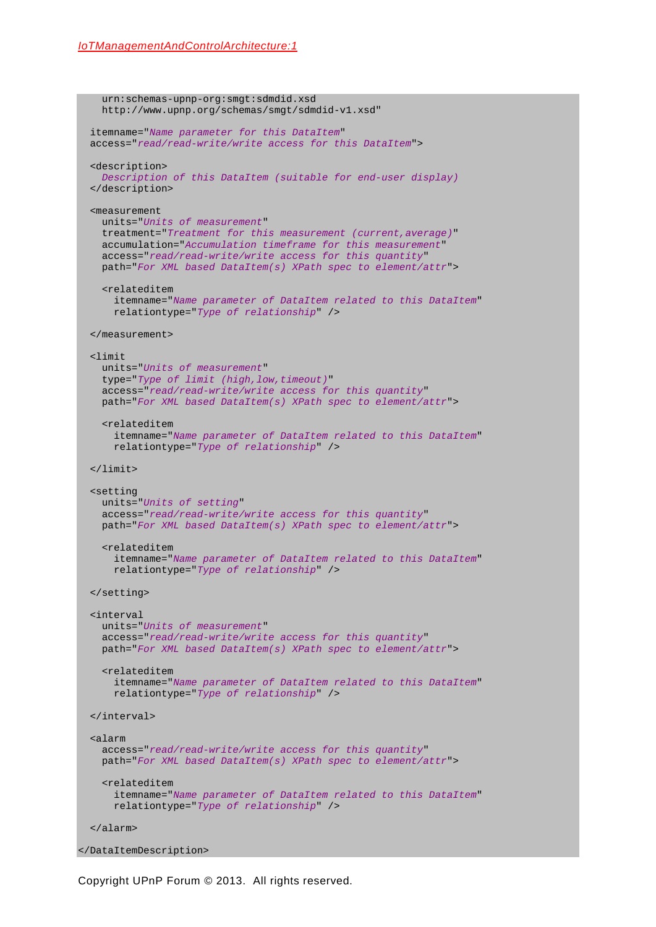```
 urn:schemas-upnp-org:smgt:sdmdid.xsd
     http://www.upnp.org/schemas/smgt/sdmdid-v1.xsd"
   itemname="Name parameter for this DataItem"
   access="read/read-write/write access for this DataItem">
   <description>
     Description of this DataItem (suitable for end-user display)
   </description>
   <measurement
     units="Units of measurement"
     treatment="Treatment for this measurement (current,average)"
    accumulation="Accumulation timeframe for this measurement"
     access="read/read-write/write access for this quantity"
    path="For XML based DataItem(s) XPath spec to element/attr">
     <relateditem 
       itemname="Name parameter of DataItem related to this DataItem"
       relationtype="Type of relationship" />
   </measurement>
   <limit
    units="Units of measurement"
    type="Type of limit (high,low,timeout)"
     access="read/read-write/write access for this quantity"
    path="For XML based DataItem(s) XPath spec to element/attr">
     <relateditem 
       itemname="Name parameter of DataItem related to this DataItem"
       relationtype="Type of relationship" />
   </limit>
   <setting
    units="Units of setting"
     access="read/read-write/write access for this quantity"
     path="For XML based DataItem(s) XPath spec to element/attr">
     <relateditem 
       itemname="Name parameter of DataItem related to this DataItem"
       relationtype="Type of relationship" />
   </setting>
   <interval
    units="Units of measurement"
     access="read/read-write/write access for this quantity"
     path="For XML based DataItem(s) XPath spec to element/attr">
     <relateditem 
       itemname="Name parameter of DataItem related to this DataItem"
       relationtype="Type of relationship" />
   </interval>
   <alarm
    access="read/read-write/write access for this quantity"
    path="For XML based DataItem(s) XPath spec to element/attr">
     <relateditem 
       itemname="Name parameter of DataItem related to this DataItem"
       relationtype="Type of relationship" />
   </alarm>
</DataItemDescription>
```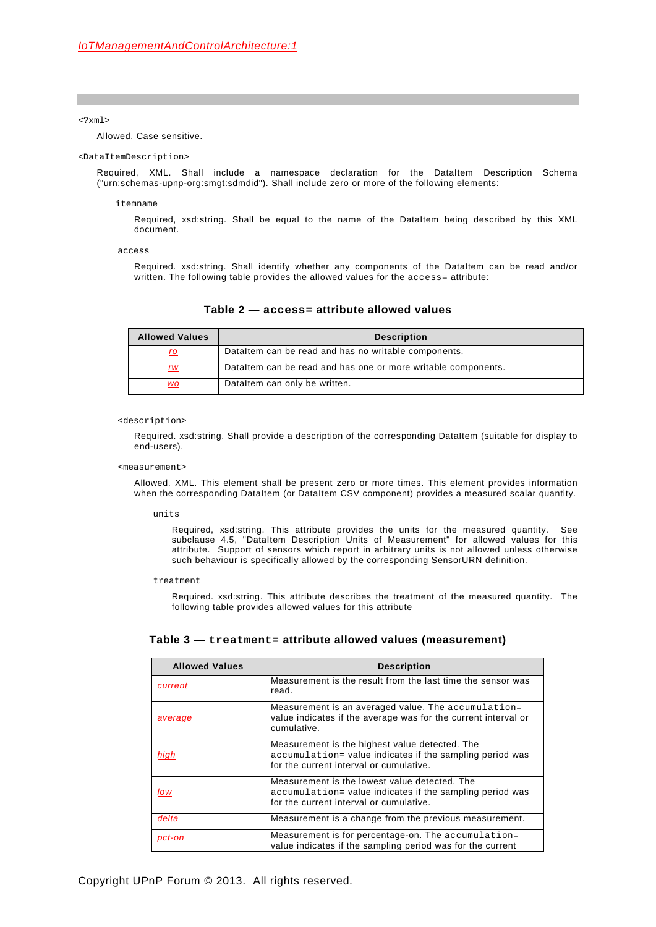### <?xml>

Allowed. Case sensitive.

### <DataItemDescription>

Required, XML. Shall include a namespace declaration for the DataItem Description Schema ("urn:schemas-upnp-org:smgt:sdmdid"). Shall include zero or more of the following elements:

### itemname

Required, xsd:string. Shall be equal to the name of the DataItem being described by this XML document.

access

Required. xsd:string. Shall identify whether any components of the DataItem can be read and/or written. The following table provides the allowed values for the access= attribute:

<span id="page-23-0"></span>

| <b>Allowed Values</b> | <b>Description</b>                                            |
|-----------------------|---------------------------------------------------------------|
| ro                    | Dataltem can be read and has no writable components.          |
| rw                    | Dataltem can be read and has one or more writable components. |
| WO                    | Dataltem can only be written.                                 |

### **Table 2 — access= attribute allowed values**

### <description>

Required. xsd:string. Shall provide a description of the corresponding DataItem (suitable for display to end-users).

### <measurement>

Allowed. XML. This element shall be present zero or more times. This element provides information when the corresponding DataItem (or DataItem CSV component) provides a measured scalar quantity.

units

Required, xsd:string. This attribute provides the units for the measured quantity. See subclause [4.5,](#page-29-0) "DataItem Description Units of Measurement" for allowed values for this attribute. Support of sensors which report in arbitrary units is not allowed unless otherwise such behaviour is specifically allowed by the corresponding SensorURN definition.

treatment

Required. xsd:string. This attribute describes the treatment of the measured quantity. The following table provides allowed values for this attribute

### **Table 3 — treatment= attribute allowed values (measurement)**

| <b>Allowed Values</b> | <b>Description</b>                                                                                                                                    |  |
|-----------------------|-------------------------------------------------------------------------------------------------------------------------------------------------------|--|
| current               | Measurement is the result from the last time the sensor was<br>read.                                                                                  |  |
| average               | Measurement is an averaged value. The accumulation=<br>value indicates if the average was for the current interval or<br>cumulative.                  |  |
| hiah                  | Measurement is the highest value detected. The<br>accumulation= value indicates if the sampling period was<br>for the current interval or cumulative. |  |
| low                   | Measurement is the lowest value detected. The<br>accumulation= value indicates if the sampling period was<br>for the current interval or cumulative.  |  |
| delta                 | Measurement is a change from the previous measurement.                                                                                                |  |
| pct-on                | Measurement is for percentage-on. The accumulation=<br>value indicates if the sampling period was for the current                                     |  |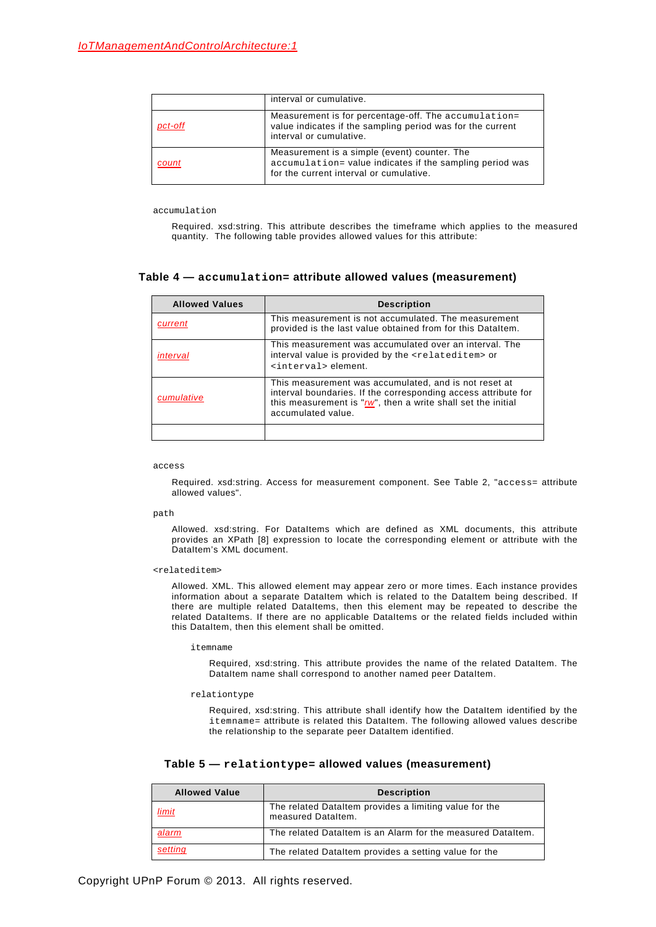|         | interval or cumulative.                                                                                                                             |
|---------|-----------------------------------------------------------------------------------------------------------------------------------------------------|
| pct-off | Measurement is for percentage-off. The accumulation=<br>value indicates if the sampling period was for the current<br>interval or cumulative.       |
| count   | Measurement is a simple (event) counter. The<br>accumulation= value indicates if the sampling period was<br>for the current interval or cumulative. |

accumulation

Required. xsd:string. This attribute describes the timeframe which applies to the measured quantity. The following table provides allowed values for this attribute:

### **Table 4 — accumulation= attribute allowed values (measurement)**

| <b>Allowed Values</b><br><b>Description</b> |                                                                                                                                                                                                                   |
|---------------------------------------------|-------------------------------------------------------------------------------------------------------------------------------------------------------------------------------------------------------------------|
| current                                     | This measurement is not accumulated. The measurement<br>provided is the last value obtained from for this Dataltem.                                                                                               |
| interval                                    | This measurement was accumulated over an interval. The<br>interval value is provided by the <relateditem> or<br/><interval> element.</interval></relateditem>                                                     |
| cumulative                                  | This measurement was accumulated, and is not reset at<br>interval boundaries. If the corresponding access attribute for<br>this measurement is " $rw$ ", then a write shall set the initial<br>accumulated value. |
|                                             |                                                                                                                                                                                                                   |

access

Required. xsd:string. Access for measurement component. See [Table 2,](#page-23-0) "access= attribute allowed values".

path

Allowed. xsd:string. For DataItems which are defined as XML documents, this attribute provides an XPath [\[8\]](#page-6-5) expression to locate the corresponding element or attribute with the DataItem's XML document.

<relateditem>

Allowed. XML. This allowed element may appear zero or more times. Each instance provides information about a separate DataItem which is related to the DataItem being described. If there are multiple related DataItems, then this element may be repeated to describe the related DataItems. If there are no applicable DataItems or the related fields included within this DataItem, then this element shall be omitted.

### itemname

Required, xsd:string. This attribute provides the name of the related DataItem. The DataItem name shall correspond to another named peer DataItem.

relationtype

Required, xsd:string. This attribute shall identify how the DataItem identified by the itemname= attribute is related this DataItem. The following allowed values describe the relationship to the separate peer DataItem identified.

| Table 5 - relationtype= allowed values (measurement) |  |  |
|------------------------------------------------------|--|--|
|------------------------------------------------------|--|--|

| <b>Allowed Value</b> | <b>Description</b>                                                           |  |
|----------------------|------------------------------------------------------------------------------|--|
| limit                | The related Dataltem provides a limiting value for the<br>measured Dataltem. |  |
| alarm                | The related Dataltem is an Alarm for the measured Dataltem.                  |  |
| setting              | The related DataItem provides a setting value for the                        |  |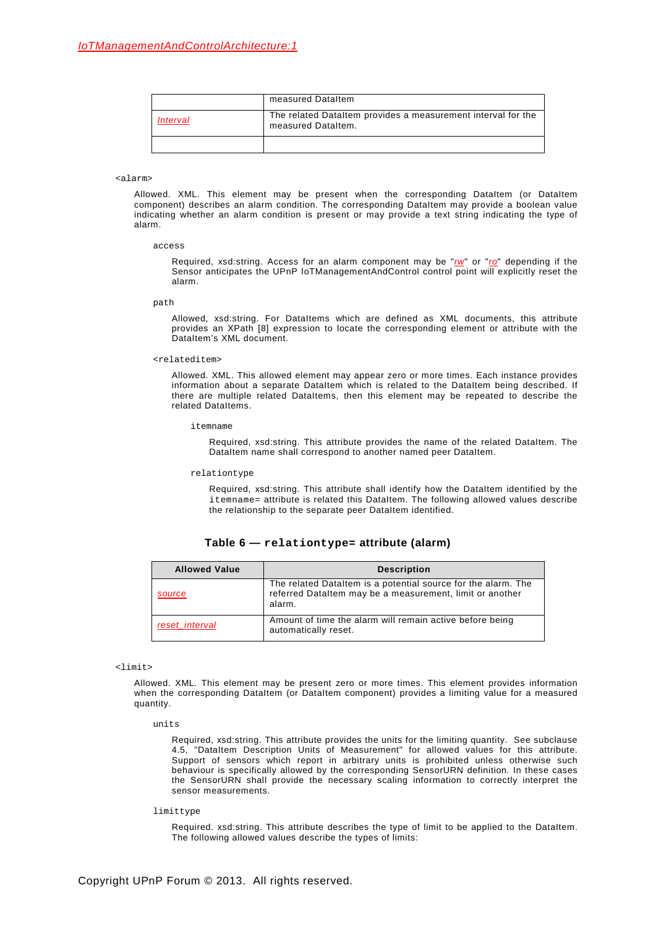|          | measured DataItem                                                                  |
|----------|------------------------------------------------------------------------------------|
| Interval | The related DataItem provides a measurement interval for the<br>measured Dataltem. |
|          |                                                                                    |

### <alarm>

Allowed. XML. This element may be present when the corresponding DataItem (or DataItem component) describes an alarm condition. The corresponding DataItem may provide a boolean value indicating whether an alarm condition is present or may provide a text string indicating the type of alarm.

access

Required, xsd:string. Access for an alarm component may be "*rw*" or "*ro*" depending if the Sensor anticipates the UPnP IoTManagementAndControl control point will explicitly reset the alarm.

path

Allowed, xsd:string. For DataItems which are defined as XML documents, this attribute provides an XPath [\[8\]](#page-6-5) expression to locate the corresponding element or attribute with the DataItem's XML document.

### <relateditem>

Allowed. XML. This allowed element may appear zero or more times. Each instance provides information about a separate DataItem which is related to the DataItem being described. If there are multiple related DataItems, then this element may be repeated to describe the related DataItems.

itemname

Required, xsd:string. This attribute provides the name of the related DataItem. The DataItem name shall correspond to another named peer DataItem.

### relationtype

Required, xsd:string. This attribute shall identify how the DataItem identified by the itemname= attribute is related this DataItem. The following allowed values describe the relationship to the separate peer DataItem identified.

### **Table 6 — relationtype= attribute (alarm)**

| <b>Allowed Value</b> | <b>Description</b>                                                                                                                  |  |
|----------------------|-------------------------------------------------------------------------------------------------------------------------------------|--|
| source               | The related Dataltem is a potential source for the alarm. The<br>referred Dataltem may be a measurement, limit or another<br>alarm. |  |
| reset interval       | Amount of time the alarm will remain active before being<br>automatically reset.                                                    |  |

<limit>

Allowed. XML. This element may be present zero or more times. This element provides information when the corresponding DataItem (or DataItem component) provides a limiting value for a measured quantity.

units

Required, xsd:string. This attribute provides the units for the limiting quantity. See subclause [4.5,](#page-29-0) "DataItem Description Units of Measurement" for allowed values for this attribute. Support of sensors which report in arbitrary units is prohibited unless otherwise such behaviour is specifically allowed by the corresponding SensorURN definition. In these cases the SensorURN shall provide the necessary scaling information to correctly interpret the sensor measurements.

### limittype

Required. xsd:string. This attribute describes the type of limit to be applied to the DataItem. The following allowed values describe the types of limits: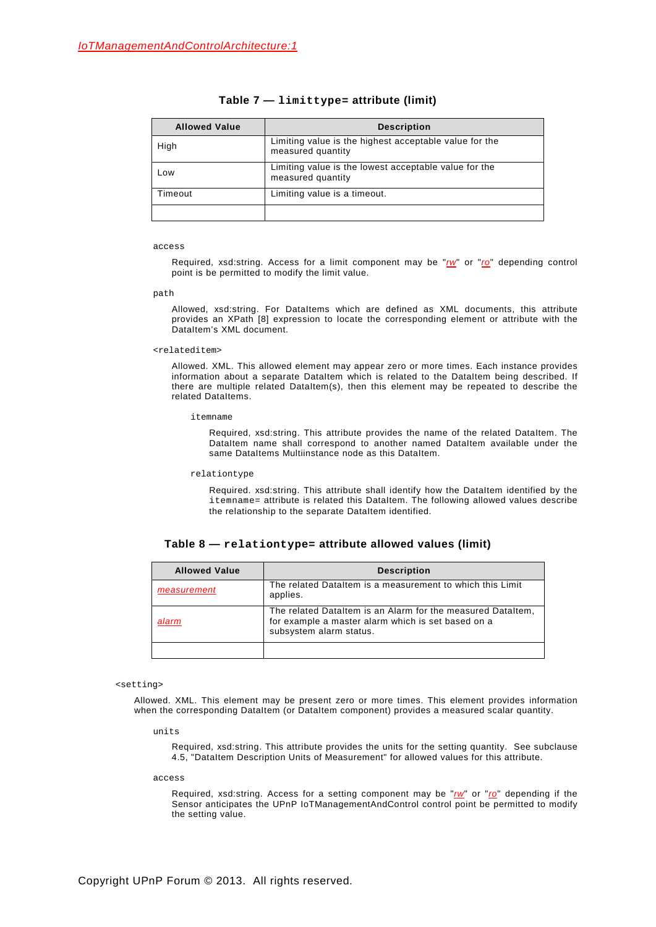| <b>Allowed Value</b> | <b>Description</b>                                                          |
|----------------------|-----------------------------------------------------------------------------|
| High                 | Limiting value is the highest acceptable value for the<br>measured quantity |
| Low                  | Limiting value is the lowest acceptable value for the<br>measured quantity  |
| Timeout              | Limiting value is a timeout.                                                |
|                      |                                                                             |

### **Table 7 — limittype= attribute (limit)**

### access

Required, xsd:string. Access for a limit component may be "*rw*" or "*ro*" depending control point is be permitted to modify the limit value.

path

Allowed, xsd:string. For DataItems which are defined as XML documents, this attribute provides an XPath [\[8\]](#page-6-5) expression to locate the corresponding element or attribute with the DataItem's XML document.

### <relateditem>

Allowed. XML. This allowed element may appear zero or more times. Each instance provides information about a separate DataItem which is related to the DataItem being described. If there are multiple related DataItem(s), then this element may be repeated to describe the related DataItems.

itemname

Required, xsd:string. This attribute provides the name of the related DataItem. The DataItem name shall correspond to another named DataItem available under the same DataItems Multiinstance node as this DataItem.

### relationtype

Required. xsd:string. This attribute shall identify how the DataItem identified by the itemname= attribute is related this DataItem. The following allowed values describe the relationship to the separate DataItem identified.

| <b>Allowed Value</b> | <b>Description</b>                                                                                                                           |  |
|----------------------|----------------------------------------------------------------------------------------------------------------------------------------------|--|
| measurement          | The related DataItem is a measurement to which this Limit<br>applies.                                                                        |  |
| alarm                | The related Dataltem is an Alarm for the measured Dataltem,<br>for example a master alarm which is set based on a<br>subsystem alarm status. |  |
|                      |                                                                                                                                              |  |

### <setting>

Allowed. XML. This element may be present zero or more times. This element provides information when the corresponding DataItem (or DataItem component) provides a measured scalar quantity.

units

Required, xsd:string. This attribute provides the units for the setting quantity. See subclause [4.5,](#page-29-0) "DataItem Description Units of Measurement" for allowed values for this attribute.

access

Required, xsd:string. Access for a setting component may be "*rw*" or "*ro*" depending if the Sensor anticipates the UPnP IoTManagementAndControl control point be permitted to modify the setting value.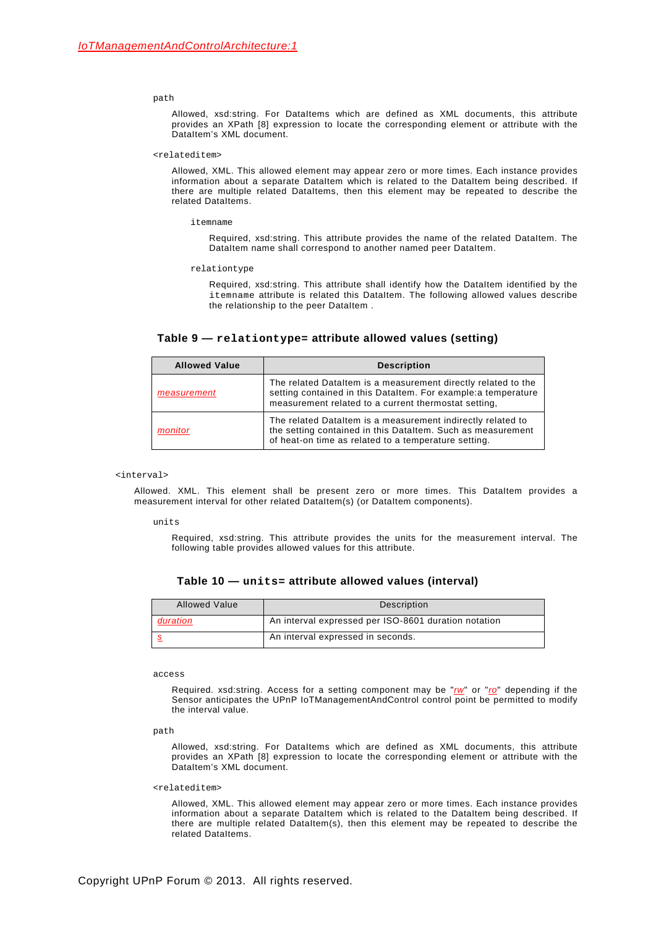### path

Allowed, xsd:string. For DataItems which are defined as XML documents, this attribute provides an XPath [\[8\]](#page-6-5) expression to locate the corresponding element or attribute with the DataItem's XML document.

### <relateditem>

Allowed, XML. This allowed element may appear zero or more times. Each instance provides information about a separate DataItem which is related to the DataItem being described. If there are multiple related DataItems, then this element may be repeated to describe the related DataItems.

itemname

Required, xsd:string. This attribute provides the name of the related DataItem. The DataItem name shall correspond to another named peer DataItem.

### relationtype

Required, xsd:string. This attribute shall identify how the DataItem identified by the itemname attribute is related this DataItem. The following allowed values describe the relationship to the peer DataItem .

### **Table 9 — relationtype= attribute allowed values (setting)**

| <b>Allowed Value</b> | <b>Description</b>                                                                                                                                                                      |  |
|----------------------|-----------------------------------------------------------------------------------------------------------------------------------------------------------------------------------------|--|
| measurement          | The related DataItem is a measurement directly related to the<br>setting contained in this DataItem. For example: a temperature<br>measurement related to a current thermostat setting, |  |
| monitor              | The related Dataltem is a measurement indirectly related to<br>the setting contained in this DataItem. Such as measurement<br>of heat-on time as related to a temperature setting.      |  |

<interval>

Allowed. XML. This element shall be present zero or more times. This DataItem provides a measurement interval for other related DataItem(s) (or DataItem components).

units

Required, xsd:string. This attribute provides the units for the measurement interval. The following table provides allowed values for this attribute.

| Table 10 — $\texttt{units=}$ attribute allowed values (interval) |  |  |
|------------------------------------------------------------------|--|--|
|------------------------------------------------------------------|--|--|

| <b>Allowed Value</b> | Description                                          |  |
|----------------------|------------------------------------------------------|--|
| duration             | An interval expressed per ISO-8601 duration notation |  |
|                      | An interval expressed in seconds.                    |  |

access

Required. xsd:string. Access for a setting component may be "*rw*" or "*ro*" depending if the Sensor anticipates the UPnP IoTManagementAndControl control point be permitted to modify the interval value.

path

Allowed, xsd:string. For DataItems which are defined as XML documents, this attribute provides an XPath [\[8\]](#page-6-5) expression to locate the corresponding element or attribute with the DataItem's XML document.

<relateditem>

Allowed, XML. This allowed element may appear zero or more times. Each instance provides information about a separate DataItem which is related to the DataItem being described. If there are multiple related DataItem(s), then this element may be repeated to describe the related DataItems.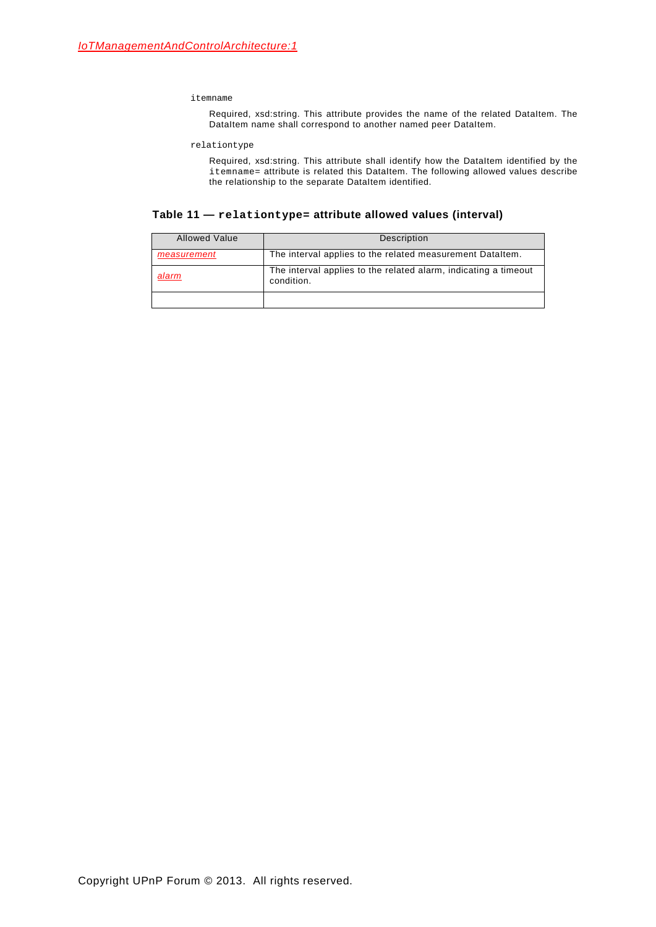itemname

Required, xsd:string. This attribute provides the name of the related DataItem. The DataItem name shall correspond to another named peer DataItem.

relationtype

Required, xsd:string. This attribute shall identify how the DataItem identified by the itemname= attribute is related this DataItem. The following allowed values describe the relationship to the separate DataItem identified.

**Table 11 — relationtype= attribute allowed values (interval)**

| <b>Allowed Value</b> | Description                                                                   |  |
|----------------------|-------------------------------------------------------------------------------|--|
| measurement          | The interval applies to the related measurement Dataltem.                     |  |
| alarm                | The interval applies to the related alarm, indicating a timeout<br>condition. |  |
|                      |                                                                               |  |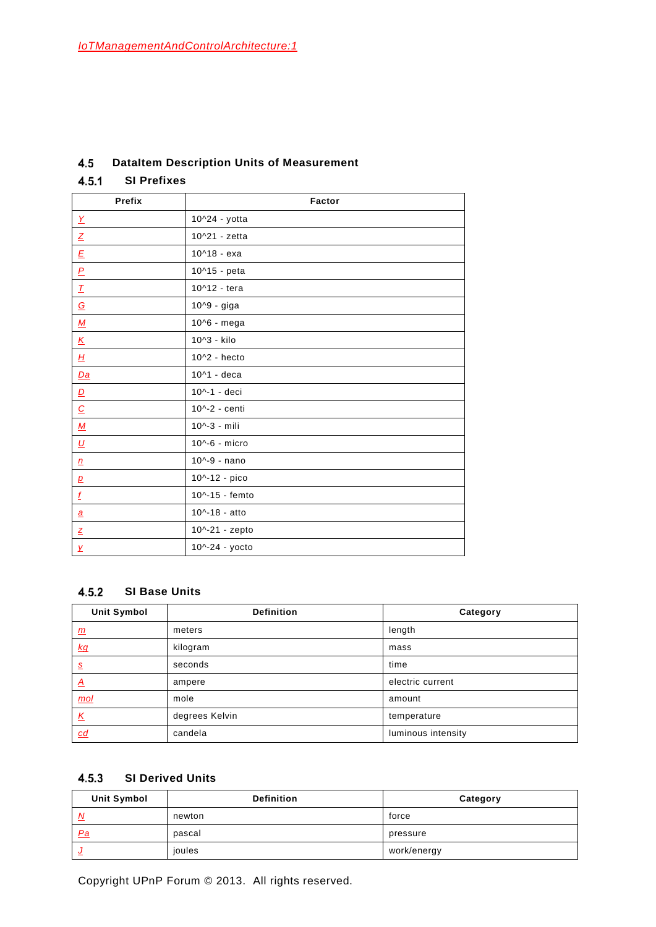#### <span id="page-29-0"></span> $4.5$ **DataItem Description Units of Measurement**

#### <span id="page-29-2"></span> $4.5.1$ **SI Prefixes**

| Prefix                          | Factor           |
|---------------------------------|------------------|
| $\overline{X}$                  | 10^24 - yotta    |
| $\underline{Z}$                 | 10^21 - zetta    |
| $\underline{\mathsf{E}}$        | $10^{4}18 - exa$ |
| $\underline{P}$                 | 10^15 - peta     |
| $\underline{\mathcal{T}}$       | 10^12 - tera     |
| $\underline{\mathcal{G}}$       | 10^9 - giga      |
| $\underline{M}$                 | 10^6 - mega      |
| $\underline{\kappa}$            | 10^3 - kilo      |
| $H_{\!\scriptscriptstyle\rm I}$ | 10^2 - hecto     |
| $Da$                            | 10^1 - deca      |
| $\underline{\mathsf{D}}$        | 10^-1 - deci     |
| $\underline{\mathcal{C}}$       | 10^-2 - centi    |
| $\underline{M}$                 | 10^-3 - mili     |
| $\underline{\upsilon}$          | 10^-6 - micro    |
| $\underline{n}$                 | 10^-9 - nano     |
| $\mathbf{p}$                    | 10^-12 - pico    |
| $\underline{f}$                 | 10^-15 - femto   |
| $\underline{a}$                 | 10^-18 - atto    |
| $\mathbf{z}$                    | 10^-21 - zepto   |
| $\overline{\mathbf{y}}$         | 10^-24 - yocto   |

## <span id="page-29-1"></span>**SI Base Units**

| <b>Unit Symbol</b> | <b>Definition</b> | Category           |
|--------------------|-------------------|--------------------|
| <u>m</u>           | meters            | length             |
| kq                 | kilogram          | mass               |
| $\underline{s}$    | seconds           | time               |
| $\Delta$           | ampere            | electric current   |
| $mol$              | mole              | amount             |
| <u>K</u>           | degrees Kelvin    | temperature        |
| <u>cd</u>          | candela           | luminous intensity |

# **SI Derived Units**

| <b>Unit Symbol</b> | <b>Definition</b> | Category    |
|--------------------|-------------------|-------------|
| N                  | newton            | force       |
| Pa                 | pascal            | pressure    |
| U                  | joules            | work/energy |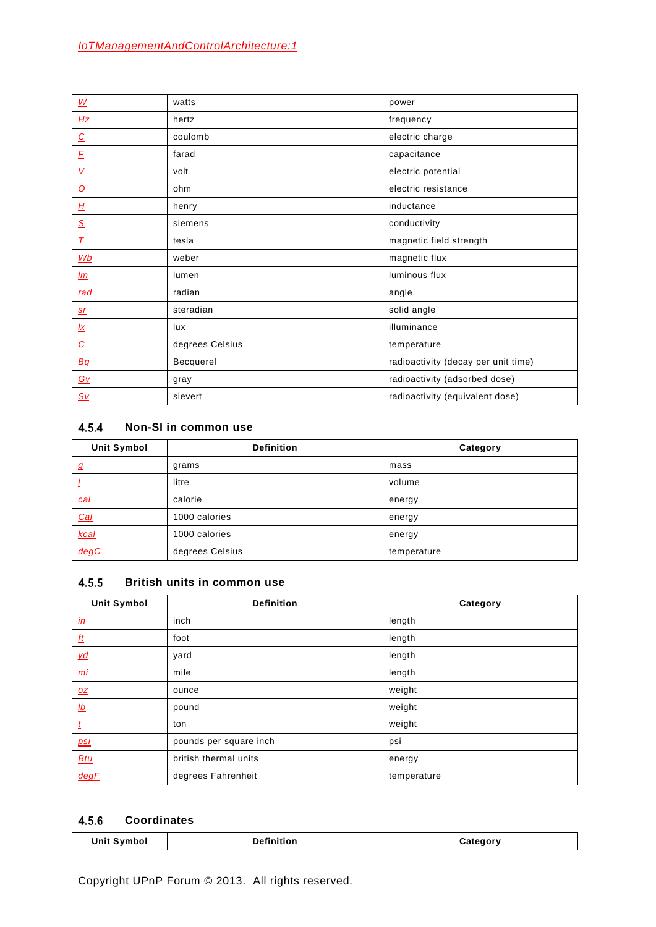| $\underline{\underline{W}}$        | watts           | power                               |
|------------------------------------|-----------------|-------------------------------------|
| Hz                                 | hertz           | frequency                           |
| $\overline{C}$                     | coulomb         | electric charge                     |
| $\cal E$                           | farad           | capacitance                         |
| $\underline{\mathsf{V}}$           | volt            | electric potential                  |
| $\overline{\mathsf{O}}$            | ohm             | electric resistance                 |
| $\underline{H}$                    | henry           | inductance                          |
| $\underline{\mathcal{S}}$          | siemens         | conductivity                        |
| $\underline{\mathcal{T}}$          | tesla           | magnetic field strength             |
| Wb                                 | weber           | magnetic flux                       |
| $\mathbf{m}$                       | lumen           | luminous flux                       |
| rad                                | radian          | angle                               |
| <u>sr</u>                          | steradian       | solid angle                         |
| <u>lx</u>                          | lux             | illuminance                         |
| $\overline{C}$                     | degrees Celsius | temperature                         |
| Bq                                 | Becquerel       | radioactivity (decay per unit time) |
| $\underline{G}\underline{V}$       | gray            | radioactivity (adsorbed dose)       |
| $\underline{\mathsf{S}\mathsf{v}}$ | sievert         | radioactivity (equivalent dose)     |

## <span id="page-30-0"></span>**Non-SI in common use**

| <b>Unit Symbol</b> | <b>Definition</b> | Category    |
|--------------------|-------------------|-------------|
| $\boldsymbol{q}$   | grams             | mass        |
|                    | litre             | volume      |
| <u>cal</u>         | calorie           | energy      |
| Cal                | 1000 calories     | energy      |
| kcal               | 1000 calories     | energy      |
| degC               | degrees Celsius   | temperature |

#### **British units in common use**  $4.5.5$

| <b>Unit Symbol</b>      | <b>Definition</b>      | Category    |
|-------------------------|------------------------|-------------|
| $\underline{\text{in}}$ | inch                   | length      |
| $ft$                    | foot                   | length      |
| yd                      | yard                   | length      |
| <u>mi</u>               | mile                   | length      |
| QZ                      | ounce                  | weight      |
| $\underline{Ib}$        | pound                  | weight      |
| $\mathbf{t}$            | ton                    | weight      |
| <u>psi</u>              | pounds per square inch | psi         |
| <b>Btu</b>              | british thermal units  | energy      |
| degF                    | degrees Fahrenheit     | temperature |

## **Coordinates**

| llnit Svmhol<br>$\ddotsc$ | .<br>rinition<br>the contract of the contract of the contract of the contract of the contract of the contract of the contract of | atedor |
|---------------------------|----------------------------------------------------------------------------------------------------------------------------------|--------|
|                           |                                                                                                                                  |        |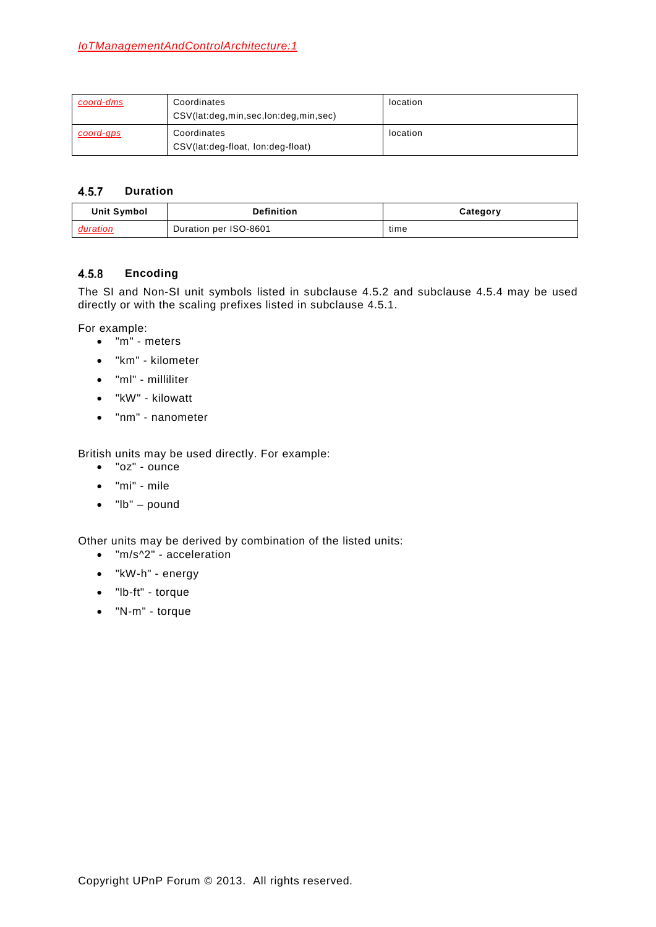| coord-dms | Coordinates<br>CSV(lat:deg,min,sec,lon:deg,min,sec) | location |
|-----------|-----------------------------------------------------|----------|
| coord-gps | Coordinates<br>CSV(lat:deg-float, lon:deg-float)    | location |

#### $4.5.7$ **Duration**

| Unit Symbol | <b>Definition</b>     | Category |
|-------------|-----------------------|----------|
| duration    | Duration per ISO-8601 | time     |

#### $4.5.8$ **Encoding**

The SI and Non-SI unit symbols listed in subclause [4.5.2](#page-29-1) and subclause [4.5.4](#page-30-0) may be used directly or with the scaling prefixes listed in subclause [4.5.1.](#page-29-2)

For example:

- "m" meters
- "km" kilometer
- "ml" milliliter
- "kW" kilowatt
- "nm" nanometer

British units may be used directly. For example:

- "oz" ounce
- "mi" mile
- "lb" pound

Other units may be derived by combination of the listed units:

- "m/s^2" acceleration
- "kW-h" energy
- "lb-ft" torque
- "N-m" torque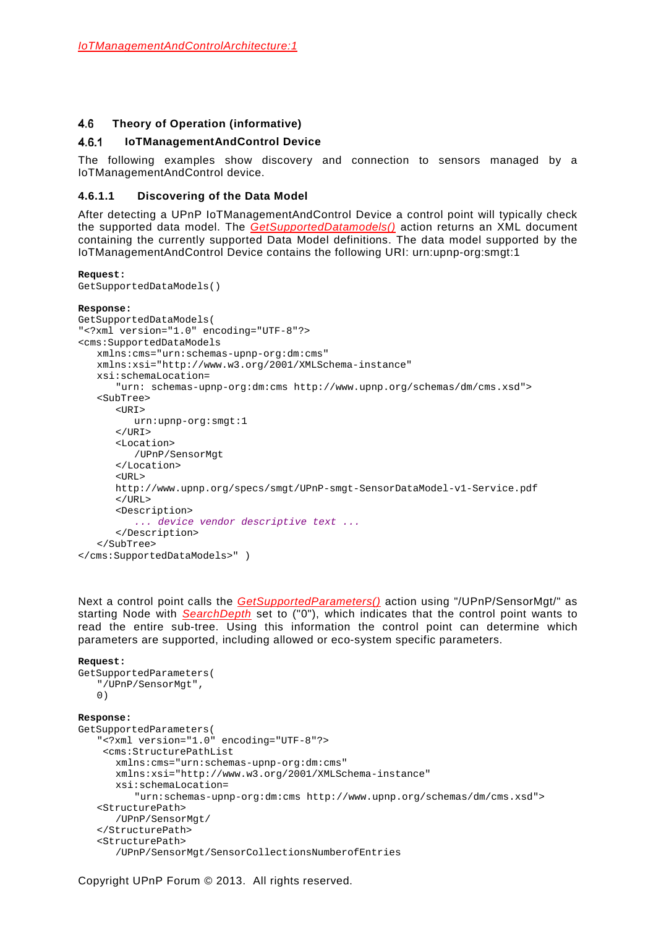#### 4.6 **Theory of Operation (informative)**

#### <span id="page-32-0"></span>**IoTManagementAndControl Device**  $4.6.1$

The following examples show discovery and connection to sensors managed by a IoTManagementAndControl device.

## **4.6.1.1 Discovering of the Data Model**

After detecting a UPnP IoTManagementAndControl Device a control point will typically check the supported data model. The *GetSupportedDatamodels()* action returns an XML document containing the currently supported Data Model definitions. The data model supported by the IoTManagementAndControl Device contains the following URI: urn:upnp-org:smgt:1

```
Request:
GetSupportedDataModels()
Response:
GetSupportedDataModels(
"<?xml version="1.0" encoding="UTF-8"?>
<cms:SupportedDataModels
   xmlns:cms="urn:schemas-upnp-org:dm:cms" 
   xmlns:xsi="http://www.w3.org/2001/XMLSchema-instance" 
   xsi:schemaLocation=
       "urn: schemas-upnp-org:dm:cms http://www.upnp.org/schemas/dm/cms.xsd">
   <SubTree>
      <URI>urn:upnp-org:smgt:1
      \langle/URI\rangle<Location>
         /UPnP/SensorMgt
      </Location>
      <URL>
      http://www.upnp.org/specs/smgt/UPnP-smgt-SensorDataModel-v1-Service.pdf
      \langle/URL>
      <Description>
         ... device vendor descriptive text ...
      </Description>
   </SubTree>
</cms:SupportedDataModels>" )
```
Next a control point calls the *GetSupportedParameters()* action using "/UPnP/SensorMgt/" as starting Node with *SearchDepth* set to ("0"), which indicates that the control point wants to read the entire sub-tree. Using this information the control point can determine which parameters are supported, including allowed or eco-system specific parameters.

```
Request:
GetSupportedParameters(
   "/UPnP/SensorMgt",
   0)
Response:
GetSupportedParameters(
   "<?xml version="1.0" encoding="UTF-8"?>
    <cms:StructurePathList 
      xmlns:cms="urn:schemas-upnp-org:dm:cms"
       xmlns:xsi="http://www.w3.org/2001/XMLSchema-instance"
      xsi:schemaLocation=
          "urn:schemas-upnp-org:dm:cms http://www.upnp.org/schemas/dm/cms.xsd">
   <StructurePath>
      /UPnP/SensorMgt/
   </StructurePath>
   <StructurePath>
      /UPnP/SensorMgt/SensorCollectionsNumberofEntries
```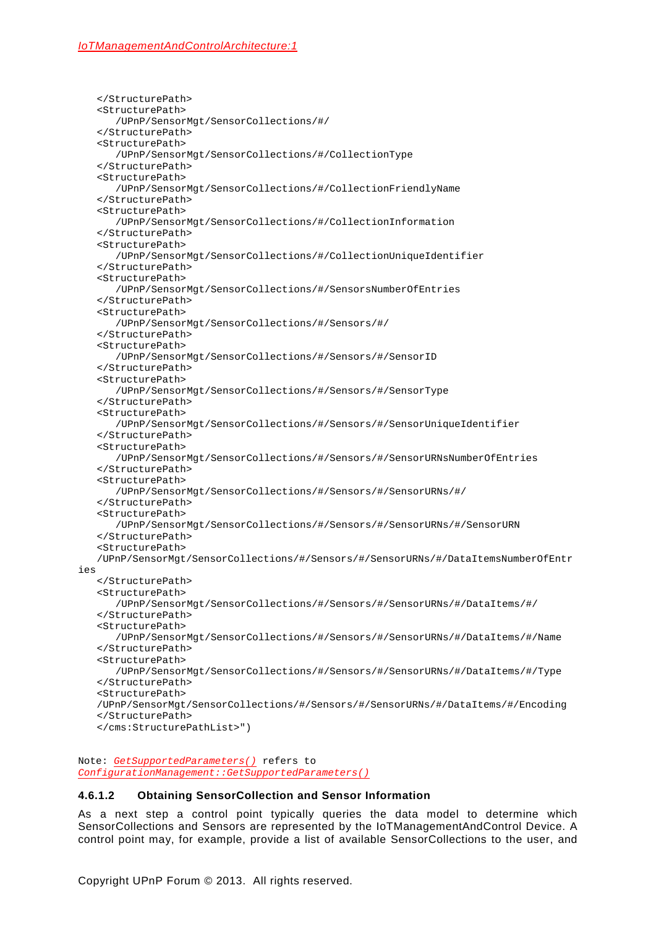</StructurePath> <StructurePath> /UPnP/SensorMgt/SensorCollections/#/ </StructurePath> <StructurePath> /UPnP/SensorMgt/SensorCollections/#/CollectionType </StructurePath> <StructurePath> /UPnP/SensorMgt/SensorCollections/#/CollectionFriendlyName </StructurePath> <StructurePath> /UPnP/SensorMgt/SensorCollections/#/CollectionInformation </StructurePath> <StructurePath> /UPnP/SensorMgt/SensorCollections/#/CollectionUniqueIdentifier </StructurePath> <StructurePath> /UPnP/SensorMgt/SensorCollections/#/SensorsNumberOfEntries </StructurePath> <StructurePath> /UPnP/SensorMgt/SensorCollections/#/Sensors/#/ </StructurePath> <StructurePath> /UPnP/SensorMgt/SensorCollections/#/Sensors/#/SensorID </StructurePath> <StructurePath> /UPnP/SensorMgt/SensorCollections/#/Sensors/#/SensorType </StructurePath> <StructurePath> /UPnP/SensorMgt/SensorCollections/#/Sensors/#/SensorUniqueIdentifier </StructurePath> <StructurePath> /UPnP/SensorMgt/SensorCollections/#/Sensors/#/SensorURNsNumberOfEntries </StructurePath> <StructurePath> /UPnP/SensorMgt/SensorCollections/#/Sensors/#/SensorURNs/#/ </StructurePath> <StructurePath> /UPnP/SensorMgt/SensorCollections/#/Sensors/#/SensorURNs/#/SensorURN </StructurePath> <StructurePath> /UPnP/SensorMgt/SensorCollections/#/Sensors/#/SensorURNs/#/DataItemsNumberOfEntr ies </StructurePath> <StructurePath> /UPnP/SensorMgt/SensorCollections/#/Sensors/#/SensorURNs/#/DataItems/#/ </StructurePath> <StructurePath> /UPnP/SensorMgt/SensorCollections/#/Sensors/#/SensorURNs/#/DataItems/#/Name </StructurePath> <StructurePath> /UPnP/SensorMgt/SensorCollections/#/Sensors/#/SensorURNs/#/DataItems/#/Type </StructurePath> <StructurePath> /UPnP/SensorMgt/SensorCollections/#/Sensors/#/SensorURNs/#/DataItems/#/Encoding </StructurePath> </cms:StructurePathList>")

Note: *GetSupportedParameters()* refers to *ConfigurationManagement::GetSupportedParameters()*

### **4.6.1.2 Obtaining SensorCollection and Sensor Information**

As a next step a control point typically queries the data model to determine which SensorCollections and Sensors are represented by the IoTManagementAndControl Device. A control point may, for example, provide a list of available SensorCollections to the user, and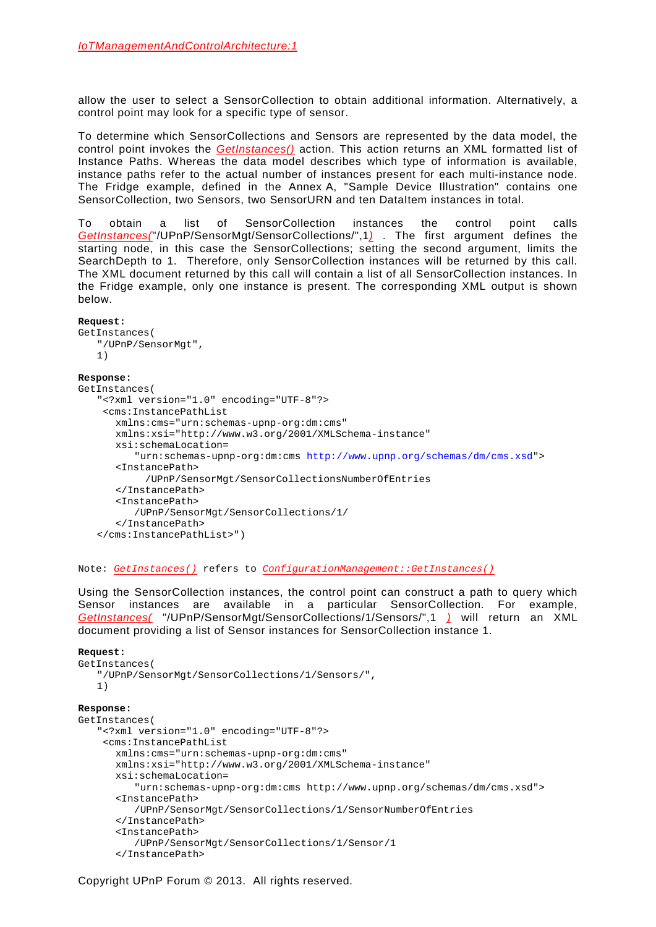allow the user to select a SensorCollection to obtain additional information. Alternatively, a control point may look for a specific type of sensor.

To determine which SensorCollections and Sensors are represented by the data model, the control point invokes the *GetInstances()* action. This action returns an XML formatted list of Instance Paths. Whereas the data model describes which type of information is available, instance paths refer to the actual number of instances present for each multi-instance node. The Fridge example, defined in the [Annex](#page-47-0) A, "Sample Device Illustration" contains one SensorCollection, two Sensors, two SensorURN and ten DataItem instances in total.

To obtain a list of SensorCollection instances the control point calls *GetInstances(*"/UPnP/SensorMgt/SensorCollections/",1*)* . The first argument defines the starting node, in this case the SensorCollections; setting the second argument, limits the SearchDepth to 1. Therefore, only SensorCollection instances will be returned by this call. The XML document returned by this call will contain a list of all SensorCollection instances. In the Fridge example, only one instance is present. The corresponding XML output is shown below.

### **Request:**

```
GetInstances(
   "/UPnP/SensorMgt",
   1)
Response:
GetInstances(
   "<?xml version="1.0" encoding="UTF-8"?>
    <cms:InstancePathList
       xmlns:cms="urn:schemas-upnp-org:dm:cms"
       xmlns:xsi="http://www.w3.org/2001/XMLSchema-instance"
       xsi:schemaLocation=
          "urn:schemas-upnp-org:dm:cms http://www.upnp.org/schemas/dm/cms.xsd">
      <InstancePath>
            /UPnP/SensorMgt/SensorCollectionsNumberOfEntries
       </InstancePath>
      <InstancePath>
           /UPnP/SensorMgt/SensorCollections/1/
       </InstancePath>
   </cms:InstancePathList>")
```
Note: *GetInstances()* refers to *ConfigurationManagement::GetInstances()*

Using the SensorCollection instances, the control point can construct a path to query which Sensor instances are available in a particular SensorCollection. For example, *GetInstances(* "/UPnP/SensorMgt/SensorCollections/1/Sensors/",1 *)* will return an XML document providing a list of Sensor instances for SensorCollection instance 1.

### **Request:**

```
GetInstances(
   "/UPnP/SensorMgt/SensorCollections/1/Sensors/",
   1)
Response:
GetInstances(
   "<?xml version="1.0" encoding="UTF-8"?>
    <cms:InstancePathList
       xmlns:cms="urn:schemas-upnp-org:dm:cms"
       xmlns:xsi="http://www.w3.org/2001/XMLSchema-instance"
       xsi:schemaLocation=
          "urn:schemas-upnp-org:dm:cms http://www.upnp.org/schemas/dm/cms.xsd">
      <InstancePath>
          /UPnP/SensorMgt/SensorCollections/1/SensorNumberOfEntries
       </InstancePath>
      <InstancePath>
          /UPnP/SensorMgt/SensorCollections/1/Sensor/1
       </InstancePath>
```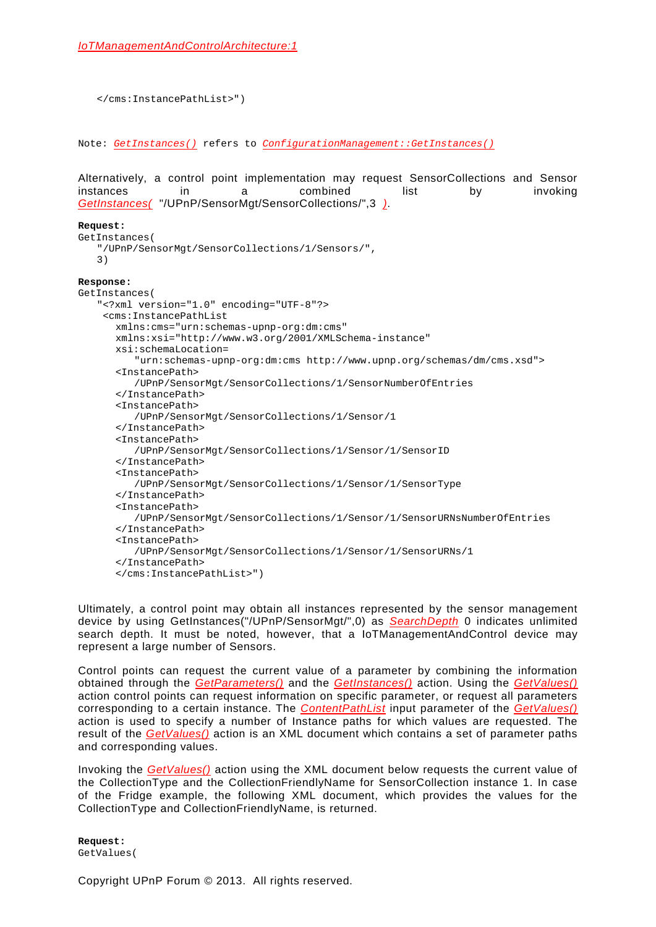```
</cms:InstancePathList>")
```
Note: *GetInstances()* refers to *ConfigurationManagement::GetInstances()*

Alternatively, a control point implementation may request SensorCollections and Sensor instances in a combined list by invoking *GetInstances(* "/UPnP/SensorMgt/SensorCollections/",3 *)*.

```
Request:
GetInstances(
   "/UPnP/SensorMgt/SensorCollections/1/Sensors/",
   3)
Response:
GetInstances(
   "<?xml version="1.0" encoding="UTF-8"?>
    <cms:InstancePathList
       xmlns:cms="urn:schemas-upnp-org:dm:cms"
       xmlns:xsi="http://www.w3.org/2001/XMLSchema-instance"
       xsi:schemaLocation=
         "urn:schemas-upnp-org:dm:cms http://www.upnp.org/schemas/dm/cms.xsd">
      <InstancePath>
          /UPnP/SensorMgt/SensorCollections/1/SensorNumberOfEntries
       </InstancePath>
      <InstancePath>
          /UPnP/SensorMgt/SensorCollections/1/Sensor/1
       </InstancePath>
      <InstancePath>
          /UPnP/SensorMgt/SensorCollections/1/Sensor/1/SensorID
       </InstancePath>
      <InstancePath>
          /UPnP/SensorMgt/SensorCollections/1/Sensor/1/SensorType
       </InstancePath>
      <InstancePath>
          /UPnP/SensorMgt/SensorCollections/1/Sensor/1/SensorURNsNumberOfEntries
       </InstancePath>
      <InstancePath>
          /UPnP/SensorMgt/SensorCollections/1/Sensor/1/SensorURNs/1
       </InstancePath>
      </cms:InstancePathList>")
```
Ultimately, a control point may obtain all instances represented by the sensor management device by using GetInstances("/UPnP/SensorMgt/",0) as *SearchDepth* 0 indicates unlimited search depth. It must be noted, however, that a IoTManagementAndControl device may represent a large number of Sensors.

Control points can request the current value of a parameter by combining the information obtained through the *GetParameters()* and the *GetInstances()* action. Using the *GetValues()*  action control points can request information on specific parameter, or request all parameters corresponding to a certain instance. The *ContentPathList* input parameter of the *GetValues()* action is used to specify a number of Instance paths for which values are requested. The result of the *GetValues()* action is an XML document which contains a set of parameter paths and corresponding values.

Invoking the *GetValues()* action using the XML document below requests the current value of the CollectionType and the CollectionFriendlyName for SensorCollection instance 1. In case of the Fridge example, the following XML document, which provides the values for the CollectionType and CollectionFriendlyName, is returned.

**Request:** GetValues(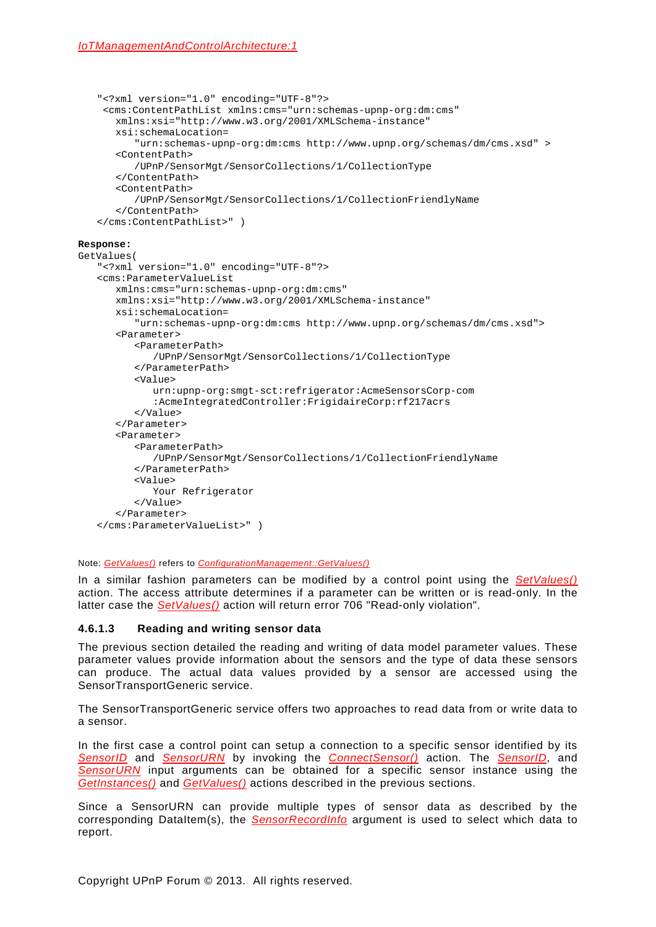```
"<?xml version="1.0" encoding="UTF-8"?>
    <cms:ContentPathList xmlns:cms="urn:schemas-upnp-org:dm:cms"
       xmlns:xsi="http://www.w3.org/2001/XMLSchema-instance"
      xsi:schemaLocation=
          "urn:schemas-upnp-org:dm:cms http://www.upnp.org/schemas/dm/cms.xsd" >
       <ContentPath>
          /UPnP/SensorMgt/SensorCollections/1/CollectionType
       </ContentPath>
       <ContentPath>
          /UPnP/SensorMgt/SensorCollections/1/CollectionFriendlyName
       </ContentPath>
   </cms:ContentPathList>" )
Response:
GetValues(
   "<?xml version="1.0" encoding="UTF-8"?>
   <cms:ParameterValueList
       xmlns:cms="urn:schemas-upnp-org:dm:cms"
       xmlns:xsi="http://www.w3.org/2001/XMLSchema-instance"
       xsi:schemaLocation=
         "urn:schemas-upnp-org:dm:cms http://www.upnp.org/schemas/dm/cms.xsd">
      <Parameter>
```

```
 <ParameterPath>
       /UPnP/SensorMgt/SensorCollections/1/CollectionType
    </ParameterPath>
    <Value>
      urn:upnp-org:smgt-sct:refrigerator:AcmeSensorsCorp-com
      :AcmeIntegratedController:FrigidaireCorp:rf217acrs
    </Value>
</Parameter>
<Parameter>
    <ParameterPath>
       /UPnP/SensorMgt/SensorCollections/1/CollectionFriendlyName
    </ParameterPath>
    <Value>
       Your Refrigerator
    </Value>
</Parameter>
```
### Note: *GetValues()* refers to *ConfigurationManagement::GetValues()*

In a similar fashion parameters can be modified by a control point using the *SetValues()* action. The access attribute determines if a parameter can be written or is read-only. In the latter case the *SetValues()* action will return error 706 "Read-only violation".

### **4.6.1.3 Reading and writing sensor data**

</cms:ParameterValueList>" )

The previous section detailed the reading and writing of data model parameter values. These parameter values provide information about the sensors and the type of data these sensors can produce. The actual data values provided by a sensor are accessed using the SensorTransportGeneric service.

The SensorTransportGeneric service offers two approaches to read data from or write data to a sensor.

In the first case a control point can setup a connection to a specific sensor identified by its *SensorID* and *SensorURN* by invoking the *ConnectSensor()* action. The *SensorID*, and *SensorURN* input arguments can be obtained for a specific sensor instance using the *GetInstances()* and *GetValues()* actions described in the previous sections.

Since a SensorURN can provide multiple types of sensor data as described by the corresponding DataItem(s), the *SensorRecordInfo* argument is used to select which data to report.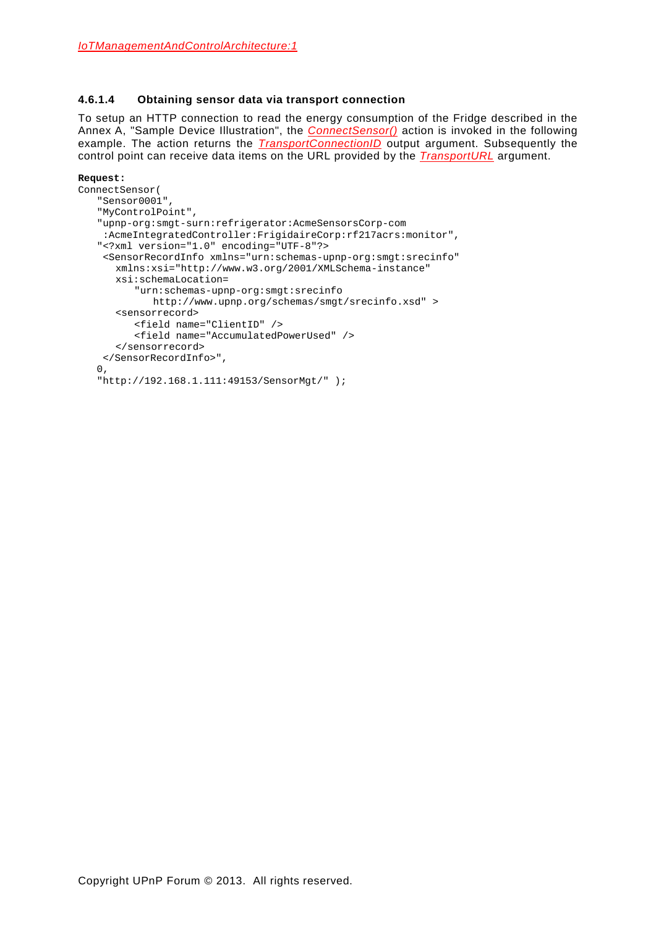### **4.6.1.4 Obtaining sensor data via transport connection**

To setup an HTTP connection to read the energy consumption of the Fridge described in the [Annex](#page-47-0) A, "Sample Device Illustration", the *ConnectSensor()* action is invoked in the following example. The action returns the *TransportConnectionID* output argument. Subsequently the control point can receive data items on the URL provided by the *TransportURL* argument.

### **Request:**

```
ConnectSensor(
   "Sensor0001",
   "MyControlPoint",
   "upnp-org:smgt-surn:refrigerator:AcmeSensorsCorp-com
    :AcmeIntegratedController:FrigidaireCorp:rf217acrs:monitor",
   "<?xml version="1.0" encoding="UTF-8"?>
    <SensorRecordInfo xmlns="urn:schemas-upnp-org:smgt:srecinfo"
       xmlns:xsi="http://www.w3.org/2001/XMLSchema-instance"
      xsi:schemaLocation=
          "urn:schemas-upnp-org:smgt:srecinfo 
            http://www.upnp.org/schemas/smgt/srecinfo.xsd" >
       <sensorrecord>
          <field name="ClientID" />
          <field name="AccumulatedPowerUsed" />
       </sensorrecord> 
    </SensorRecordInfo>", 
   0, 
   "http://192.168.1.111:49153/SensorMgt/" );
```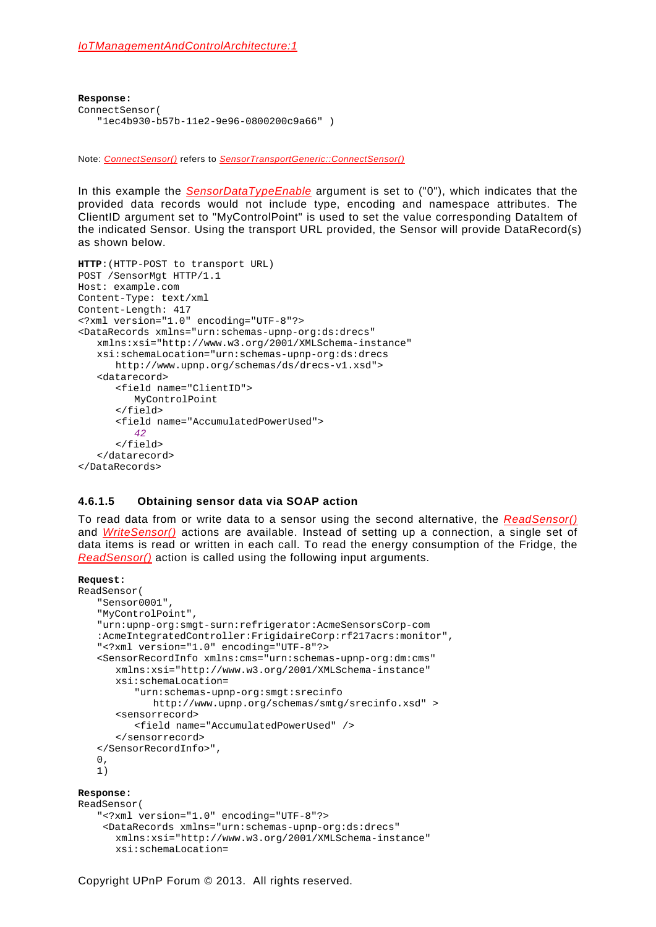```
Response:
ConnectSensor(
   "1ec4b930-b57b-11e2-9e96-0800200c9a66" )
```
Note: *ConnectSensor()* refers to *SensorTransportGeneric::ConnectSensor()*

In this example the *SensorDataTypeEnable* argument is set to ("0"), which indicates that the provided data records would not include type, encoding and namespace attributes. The ClientID argument set to "MyControlPoint" is used to set the value corresponding DataItem of the indicated Sensor. Using the transport URL provided, the Sensor will provide DataRecord(s) as shown below.

```
HTTP:(HTTP-POST to transport URL)
POST /SensorMgt HTTP/1.1
Host: example.com
Content-Type: text/xml
Content-Length: 417
<?xml version="1.0" encoding="UTF-8"?>
<DataRecords xmlns="urn:schemas-upnp-org:ds:drecs"
   xmlns:xsi="http://www.w3.org/2001/XMLSchema-instance"
   xsi:schemaLocation="urn:schemas-upnp-org:ds:drecs 
      http://www.upnp.org/schemas/ds/drecs-v1.xsd">
   <datarecord>
      <field name="ClientID"> 
         MyControlPoint
      </field>
      <field name="AccumulatedPowerUsed"> 
         42
      </field>
   </datarecord>
</DataRecords>
```
### **4.6.1.5 Obtaining sensor data via SOAP action**

To read data from or write data to a sensor using the second alternative, the *ReadSensor()* and *WriteSensor()* actions are available. Instead of setting up a connection, a single set of data items is read or written in each call. To read the energy consumption of the Fridge, the *ReadSensor()* action is called using the following input arguments.

### **Request:**

```
ReadSensor(
   "Sensor0001",
   "MyControlPoint",
   "urn:upnp-org:smgt-surn:refrigerator:AcmeSensorsCorp-com
   :AcmeIntegratedController:FrigidaireCorp:rf217acrs:monitor",
   "<?xml version="1.0" encoding="UTF-8"?>
   <SensorRecordInfo xmlns:cms="urn:schemas-upnp-org:dm:cms"
       xmlns:xsi="http://www.w3.org/2001/XMLSchema-instance"
       xsi:schemaLocation=
          "urn:schemas-upnp-org:smgt:srecinfo
            http://www.upnp.org/schemas/smtg/srecinfo.xsd" >
       <sensorrecord>
          <field name="AccumulatedPowerUsed" />
       </sensorrecord> 
   </SensorRecordInfo>", 
   0,1)
Response:
ReadSensor(
   "<?xml version="1.0" encoding="UTF-8"?>
    <DataRecords xmlns="urn:schemas-upnp-org:ds:drecs"
      xmlns:xsi="http://www.w3.org/2001/XMLSchema-instance"
```

```
xsi:schemaLocation=
```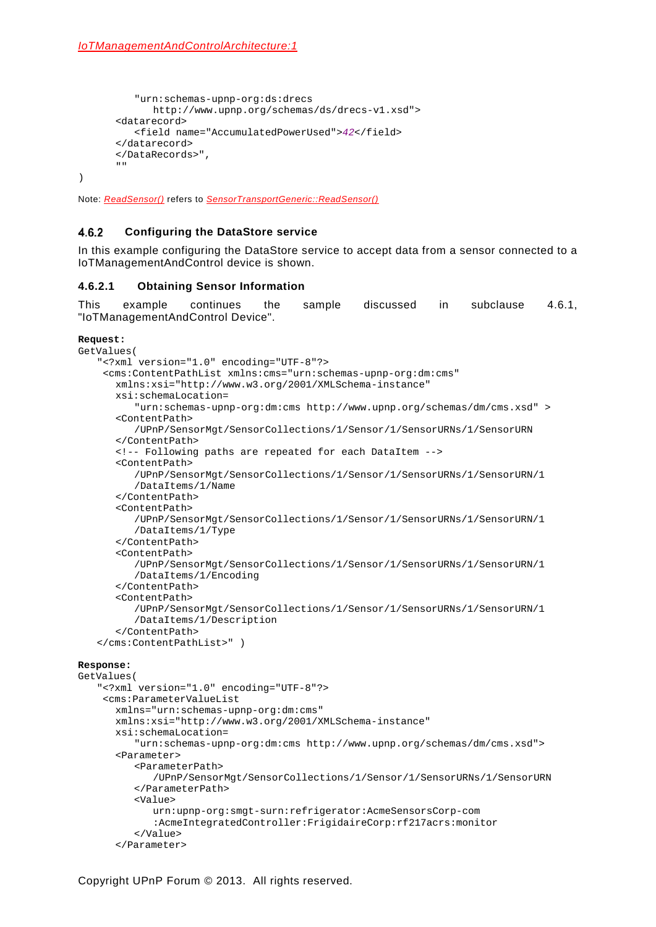```
"urn:schemas-upnp-org:ds:drecs 
            http://www.upnp.org/schemas/ds/drecs-v1.xsd">
      <datarecord>
         <field name="AccumulatedPowerUsed">42</field>
      </datarecord>
      </DataRecords>",
      "" 
)
```
Note: *ReadSensor()* refers to *SensorTransportGeneric::ReadSensor()*

#### $4.6.2$ **Configuring the DataStore service**

In this example configuring the DataStore service to accept data from a sensor connected to a IoTManagementAndControl device is shown.

### **4.6.2.1 Obtaining Sensor Information**

This example continues the sample discussed in subclause [4.6.1,](#page-32-0) "IoTManagementAndControl Device".

```
Request:
```

```
GetValues(
   "<?xml version="1.0" encoding="UTF-8"?>
    <cms:ContentPathList xmlns:cms="urn:schemas-upnp-org:dm:cms"
       xmlns:xsi="http://www.w3.org/2001/XMLSchema-instance"
      xsi:schemaLocation=
          "urn:schemas-upnp-org:dm:cms http://www.upnp.org/schemas/dm/cms.xsd" >
       <ContentPath>
          /UPnP/SensorMgt/SensorCollections/1/Sensor/1/SensorURNs/1/SensorURN
       </ContentPath>
      <!-- Following paths are repeated for each DataItem -->
       <ContentPath>
           /UPnP/SensorMgt/SensorCollections/1/Sensor/1/SensorURNs/1/SensorURN/1
         /DataItems/1/Name
       </ContentPath>
       <ContentPath>
          /UPnP/SensorMgt/SensorCollections/1/Sensor/1/SensorURNs/1/SensorURN/1
          /DataItems/1/Type
       </ContentPath>
       <ContentPath>
           /UPnP/SensorMgt/SensorCollections/1/Sensor/1/SensorURNs/1/SensorURN/1
          /DataItems/1/Encoding
       </ContentPath>
       <ContentPath>
           /UPnP/SensorMgt/SensorCollections/1/Sensor/1/SensorURNs/1/SensorURN/1
          /DataItems/1/Description
       </ContentPath>
   </cms:ContentPathList>" )
```
### **Response:**

```
GetValues(
   "<?xml version="1.0" encoding="UTF-8"?>
    <cms:ParameterValueList
       xmlns="urn:schemas-upnp-org:dm:cms"
       xmlns:xsi="http://www.w3.org/2001/XMLSchema-instance"
       xsi:schemaLocation=
         "urn:schemas-upnp-org:dm:cms http://www.upnp.org/schemas/dm/cms.xsd">
      <Parameter>
          <ParameterPath>
              /UPnP/SensorMgt/SensorCollections/1/Sensor/1/SensorURNs/1/SensorURN
          </ParameterPath>
          <Value>
            urn:upnp-org:smgt-surn:refrigerator:AcmeSensorsCorp-com
             :AcmeIntegratedController:FrigidaireCorp:rf217acrs:monitor
           </Value>
      </Parameter>
```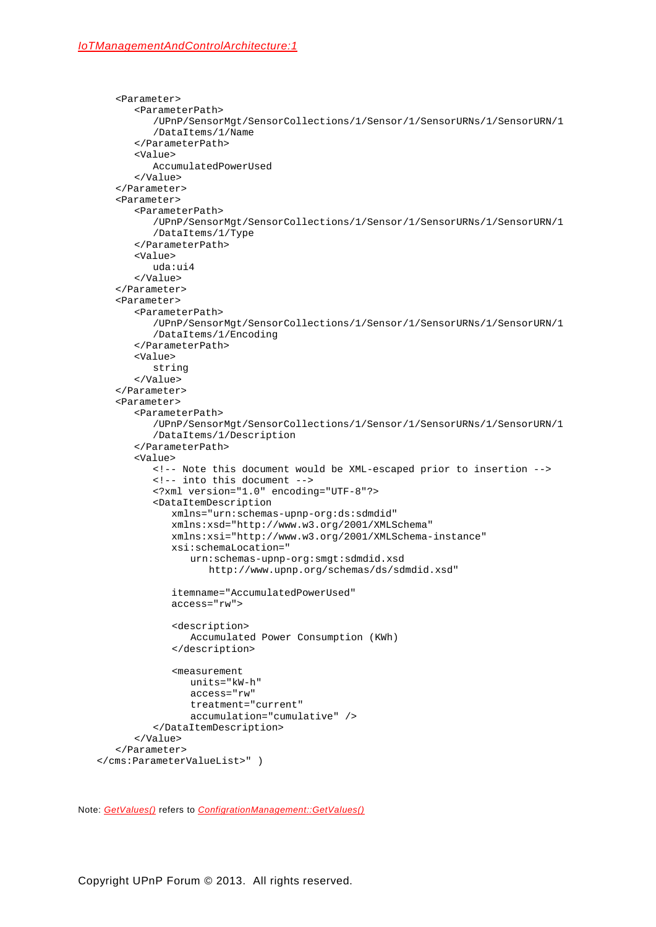```
<Parameter>
       <ParameterPath>
          /UPnP/SensorMgt/SensorCollections/1/Sensor/1/SensorURNs/1/SensorURN/1
          /DataItems/1/Name
       </ParameterPath>
       <Value>
          AccumulatedPowerUsed
       </Value>
   </Parameter>
   <Parameter>
       <ParameterPath>
           /UPnP/SensorMgt/SensorCollections/1/Sensor/1/SensorURNs/1/SensorURN/1
          /DataItems/1/Type
       </ParameterPath>
       <Value>
          uda:ui4
       </Value>
   </Parameter>
   <Parameter>
       <ParameterPath>
           /UPnP/SensorMgt/SensorCollections/1/Sensor/1/SensorURNs/1/SensorURN/1
          /DataItems/1/Encoding
       </ParameterPath>
       <Value>
          string
       </Value>
   </Parameter>
   <Parameter>
       <ParameterPath>
           /UPnP/SensorMgt/SensorCollections/1/Sensor/1/SensorURNs/1/SensorURN/1
          /DataItems/1/Description
       </ParameterPath>
       <Value>
          <!-- Note this document would be XML-escaped prior to insertion --> 
          <!-- into this document -->
           <?xml version="1.0" encoding="UTF-8"?>
          <DataItemDescription
             xmlns="urn:schemas-upnp-org:ds:sdmdid"
              xmlns:xsd="http://www.w3.org/2001/XMLSchema"
              xmlns:xsi="http://www.w3.org/2001/XMLSchema-instance"
              xsi:schemaLocation="
                 urn:schemas-upnp-org:smgt:sdmdid.xsd
                    http://www.upnp.org/schemas/ds/sdmdid.xsd"
              itemname="AccumulatedPowerUsed"
             access="rw">
              <description>
                 Accumulated Power Consumption (KWh)
              </description>
              <measurement
                 units="kW-h"
                 access="rw"
                 treatment="current"
                 accumulation="cumulative" />
          </DataItemDescription>
       </Value>
   </Parameter>
</cms:ParameterValueList>" )
```
Note: *GetValues()* refers to *ConfigrationManagement::GetValues()*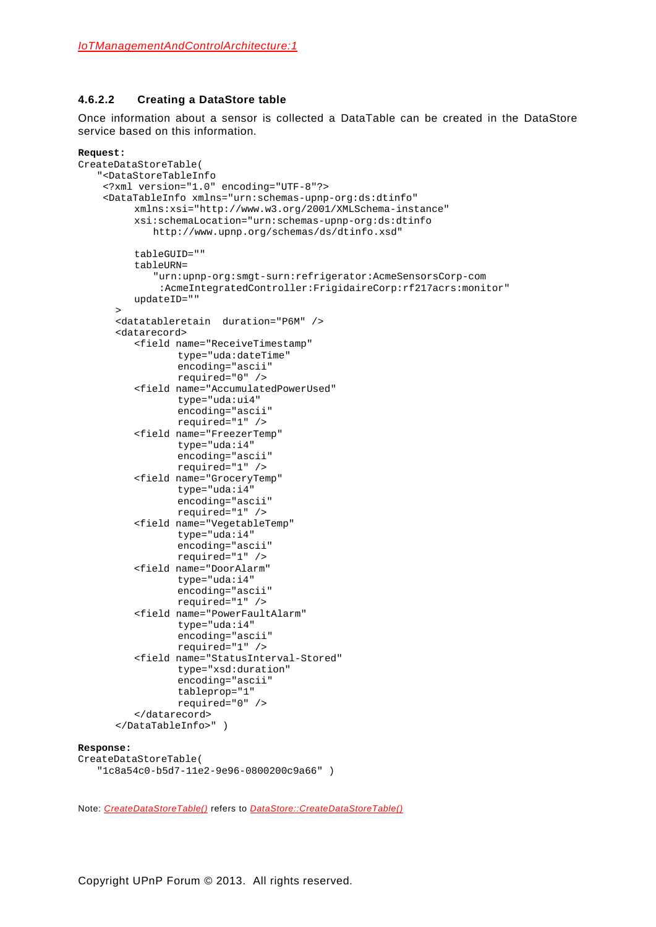### **4.6.2.2 Creating a DataStore table**

Once information about a sensor is collected a DataTable can be created in the DataStore service based on this information.

### **Request:**

```
CreateDataStoreTable(
   "<DataStoreTableInfo
    <?xml version="1.0" encoding="UTF-8"?>
    <DataTableInfo xmlns="urn:schemas-upnp-org:ds:dtinfo"
         xmlns:xsi="http://www.w3.org/2001/XMLSchema-instance"
         xsi:schemaLocation="urn:schemas-upnp-org:ds:dtinfo 
             http://www.upnp.org/schemas/ds/dtinfo.xsd" 
         tableGUID="" 
         tableURN=
             "urn:upnp-org:smgt-surn:refrigerator:AcmeSensorsCorp-com
              :AcmeIntegratedController:FrigidaireCorp:rf217acrs:monitor"
         updateID=""
      >
      <datatableretain duration="P6M" />
      <datarecord>
         <field name="ReceiveTimestamp"
                 type="uda:dateTime"
                 encoding="ascii"
                 required="0" />
          <field name="AccumulatedPowerUsed" 
                 type="uda:ui4"
                 encoding="ascii" 
                 required="1" />
         <field name="FreezerTemp" 
                 type="uda:i4"
                 encoding="ascii" 
                 required="1" />
          <field name="GroceryTemp" 
                 type="uda:i4"
                 encoding="ascii" 
                 required="1" />
         <field name="VegetableTemp" 
                 type="uda:i4"
                 encoding="ascii" 
                 required="1" />
         <field name="DoorAlarm" 
                 type="uda:i4"
                 encoding="ascii" 
                 required="1" />
         <field name="PowerFaultAlarm" 
                 type="uda:i4"
                 encoding="ascii" 
                 required="1" />
          <field name="StatusInterval-Stored" 
                 type="xsd:duration"
                 encoding="ascii"
                 tableprop="1"
                 required="0" />
          </datarecord>
      </DataTableInfo>" )
Response:
CreateDataStoreTable(
```
Note: *CreateDataStoreTable()* refers to *DataStore::CreateDataStoreTable()*

"1c8a54c0-b5d7-11e2-9e96-0800200c9a66" )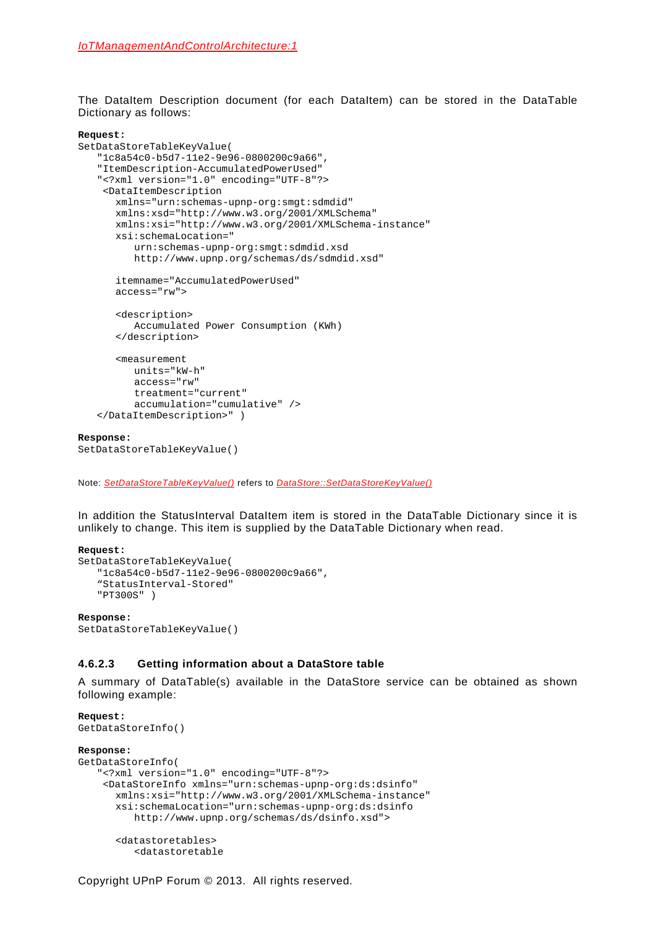The DataItem Description document (for each DataItem) can be stored in the DataTable Dictionary as follows:

### **Request:**

```
SetDataStoreTableKeyValue(
   "1c8a54c0-b5d7-11e2-9e96-0800200c9a66",
   "ItemDescription-AccumulatedPowerUsed"
   "<?xml version="1.0" encoding="UTF-8"?>
    <DataItemDescription
      xmlns="urn:schemas-upnp-org:smgt:sdmdid"
       xmlns:xsd="http://www.w3.org/2001/XMLSchema"
       xmlns:xsi="http://www.w3.org/2001/XMLSchema-instance"
       xsi:schemaLocation="
           urn:schemas-upnp-org:smgt:sdmdid.xsd
           http://www.upnp.org/schemas/ds/sdmdid.xsd"
       itemname="AccumulatedPowerUsed" 
      access="rw">
       <description>
           Accumulated Power Consumption (KWh)
       </description>
       <measurement
          units="kW-h"
           access="rw"
          treatment="current"
          accumulation="cumulative" />
   </DataItemDescription>" )
Response:
```

```
SetDataStoreTableKeyValue()
```
Note: *SetDataStoreTableKeyValue()* refers to *DataStore::SetDataStoreKeyValue()*

In addition the StatusInterval DataItem item is stored in the DataTable Dictionary since it is unlikely to change. This item is supplied by the DataTable Dictionary when read.

### **Request:**

```
SetDataStoreTableKeyValue(
   "1c8a54c0-b5d7-11e2-9e96-0800200c9a66",
   "StatusInterval-Stored"
   "PT300S" )
Response:
```

```
SetDataStoreTableKeyValue()
```
### **4.6.2.3 Getting information about a DataStore table**

A summary of DataTable(s) available in the DataStore service can be obtained as shown following example:

```
Request:
GetDataStoreInfo()
Response:
GetDataStoreInfo(
   "<?xml version="1.0" encoding="UTF-8"?>
    <DataStoreInfo xmlns="urn:schemas-upnp-org:ds:dsinfo"
      xmlns:xsi="http://www.w3.org/2001/XMLSchema-instance"
      xsi:schemaLocation="urn:schemas-upnp-org:ds:dsinfo 
         http://www.upnp.org/schemas/ds/dsinfo.xsd">
      <datastoretables>
```

```
<datastoretable
```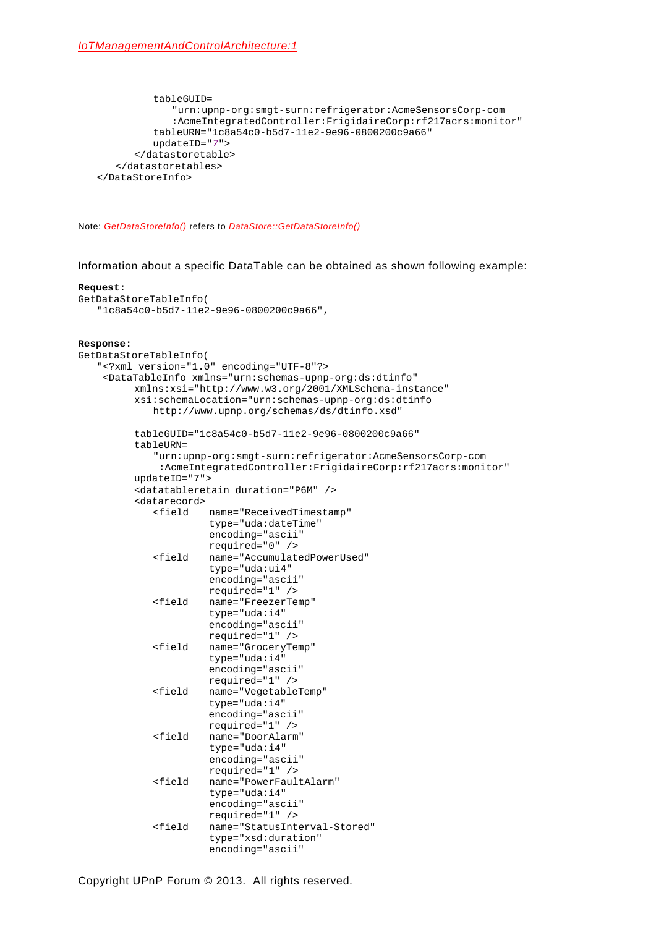```
tableGUID=
             "urn:upnp-org:smgt-surn:refrigerator:AcmeSensorsCorp-com
             :AcmeIntegratedController:FrigidaireCorp:rf217acrs:monitor"
         tableURN="1c8a54c0-b5d7-11e2-9e96-0800200c9a66" 
         updateID="7">
      </datastoretable>
   </datastoretables>
</DataStoreInfo>
```
Note: *GetDataStoreInfo()* refers to *DataStore::GetDataStoreInfo()*

Information about a specific DataTable can be obtained as shown following example:

### **Request:**

```
GetDataStoreTableInfo(
   "1c8a54c0-b5d7-11e2-9e96-0800200c9a66",
```
### **Response:**

```
GetDataStoreTableInfo(
   "<?xml version="1.0" encoding="UTF-8"?>
    <DataTableInfo xmlns="urn:schemas-upnp-org:ds:dtinfo"
         xmlns:xsi="http://www.w3.org/2001/XMLSchema-instance"
         xsi:schemaLocation="urn:schemas-upnp-org:ds:dtinfo 
            http://www.upnp.org/schemas/ds/dtinfo.xsd" 
         tableGUID="1c8a54c0-b5d7-11e2-9e96-0800200c9a66"
         tableURN=
             "urn:upnp-org:smgt-surn:refrigerator:AcmeSensorsCorp-com
             :AcmeIntegratedController:FrigidaireCorp:rf217acrs:monitor"
         updateID="7">
         <datatableretain duration="P6M" />
         <datarecord>
                      <field name="ReceivedTimestamp" 
                      type="uda:dateTime"
                      encoding="ascii" 
                      required="0" />
             <field name="AccumulatedPowerUsed" 
                      type="uda:ui4"
                      encoding="ascii" 
                      required="1" />
             <field name="FreezerTemp" 
                      type="uda:i4"
                      encoding="ascii" 
                      required="1" />
             <field name="GroceryTemp" 
                      type="uda:i4"
                      encoding="ascii" 
                      required="1" />
             <field name="VegetableTemp" 
                      type="uda:i4"
                      encoding="ascii" 
                      required="1" />
             <field name="DoorAlarm" 
                      type="uda:i4"
                      encoding="ascii" 
                      required="1" />
             <field name="PowerFaultAlarm" 
                      type="uda:i4"
                      encoding="ascii" 
                      required="1" />
             <field name="StatusInterval-Stored" 
                      type="xsd:duration"
                      encoding="ascii"
```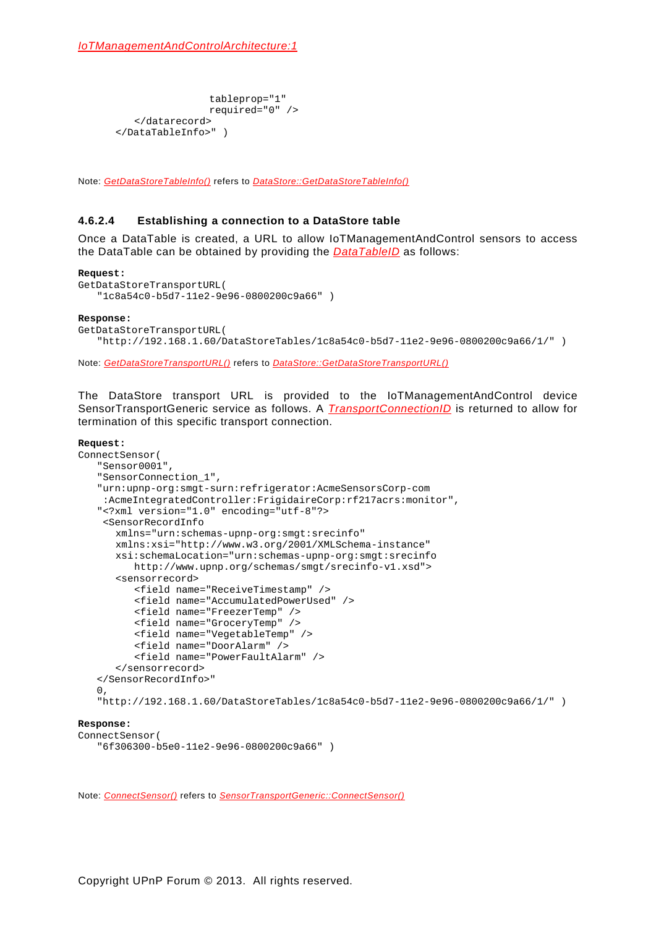```
tableprop="1"
                required="0" />
   </datarecord>
</DataTableInfo>" )
```
Note: *GetDataStoreTableInfo()* refers to *DataStore::GetDataStoreTableInfo()*

### **4.6.2.4 Establishing a connection to a DataStore table**

Once a DataTable is created, a URL to allow IoTManagementAndControl sensors to access the DataTable can be obtained by providing the *DataTableID* as follows:

### **Request:**

```
GetDataStoreTransportURL(
   "1c8a54c0-b5d7-11e2-9e96-0800200c9a66" )
```
### **Response:**

```
GetDataStoreTransportURL(
   "http://192.168.1.60/DataStoreTables/1c8a54c0-b5d7-11e2-9e96-0800200c9a66/1/" )
```
Note: *GetDataStoreTransportURL()* refers to *DataStore::GetDataStoreTransportURL()*

The DataStore transport URL is provided to the IoTManagementAndControl device SensorTransportGeneric service as follows. A *TransportConnectionID* is returned to allow for termination of this specific transport connection.

### **Request:**

```
ConnectSensor(
   "Sensor0001",
   "SensorConnection_1",
   "urn:upnp-org:smgt-surn:refrigerator:AcmeSensorsCorp-com
    :AcmeIntegratedController:FrigidaireCorp:rf217acrs:monitor",
   "<?xml version="1.0" encoding="utf-8"?>
    <SensorRecordInfo
      xmlns="urn:schemas-upnp-org:smgt:srecinfo"
      xmlns:xsi="http://www.w3.org/2001/XMLSchema-instance"
      xsi:schemaLocation="urn:schemas-upnp-org:smgt:srecinfo
         http://www.upnp.org/schemas/smgt/srecinfo-v1.xsd">
      <sensorrecord>
         <field name="ReceiveTimestamp" />
         <field name="AccumulatedPowerUsed" />
         <field name="FreezerTemp" />
         <field name="GroceryTemp" />
         <field name="VegetableTemp" />
         <field name="DoorAlarm" />
         <field name="PowerFaultAlarm" />
      </sensorrecord>
   </SensorRecordInfo>"
   0,"http://192.168.1.60/DataStoreTables/1c8a54c0-b5d7-11e2-9e96-0800200c9a66/1/" )
Response:
ConnectSensor(
   "6f306300-b5e0-11e2-9e96-0800200c9a66" )
```
Note: *ConnectSensor()* refers to *SensorTransportGeneric::ConnectSensor()*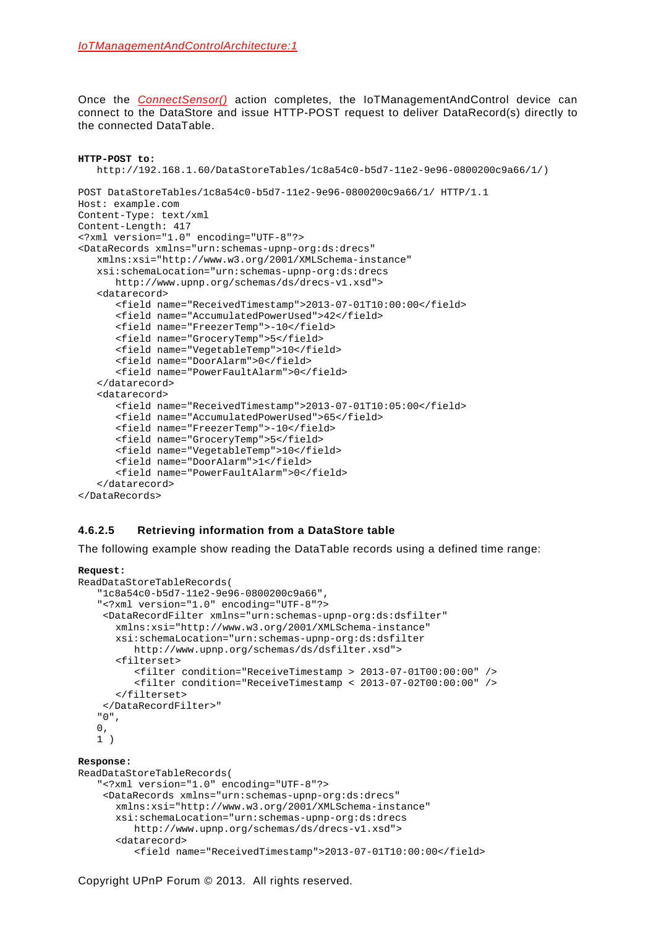Once the *ConnectSensor()* action completes, the IoTManagementAndControl device can connect to the DataStore and issue HTTP-POST request to deliver DataRecord(s) directly to the connected DataTable.

```
HTTP-POST to:
   http://192.168.1.60/DataStoreTables/1c8a54c0-b5d7-11e2-9e96-0800200c9a66/1/)
POST DataStoreTables/1c8a54c0-b5d7-11e2-9e96-0800200c9a66/1/ HTTP/1.1
Host: example.com
Content-Type: text/xml
Content-Length: 417
<?xml version="1.0" encoding="UTF-8"?>
<DataRecords xmlns="urn:schemas-upnp-org:ds:drecs"
   xmlns:xsi="http://www.w3.org/2001/XMLSchema-instance"
   xsi:schemaLocation="urn:schemas-upnp-org:ds:drecs 
      http://www.upnp.org/schemas/ds/drecs-v1.xsd">
   <datarecord>
      <field name="ReceivedTimestamp">2013-07-01T10:00:00</field>
      <field name="AccumulatedPowerUsed">42</field>
      <field name="FreezerTemp">-10</field>
      <field name="GroceryTemp">5</field>
      <field name="VegetableTemp">10</field>
      <field name="DoorAlarm">0</field>
      <field name="PowerFaultAlarm">0</field>
   </datarecord>
   <datarecord>
      <field name="ReceivedTimestamp">2013-07-01T10:05:00</field>
      <field name="AccumulatedPowerUsed">65</field>
      <field name="FreezerTemp">-10</field>
      <field name="GroceryTemp">5</field>
      <field name="VegetableTemp">10</field>
      <field name="DoorAlarm">1</field>
      <field name="PowerFaultAlarm">0</field>
   </datarecord>
</DataRecords>
```
## **4.6.2.5 Retrieving information from a DataStore table**

The following example show reading the DataTable records using a defined time range:

### **Request:**

```
ReadDataStoreTableRecords(
   "1c8a54c0-b5d7-11e2-9e96-0800200c9a66",
   "<?xml version="1.0" encoding="UTF-8"?>
    <DataRecordFilter xmlns="urn:schemas-upnp-org:ds:dsfilter"
      xmlns:xsi="http://www.w3.org/2001/XMLSchema-instance"
      xsi:schemaLocation="urn:schemas-upnp-org:ds:dsfilter 
         http://www.upnp.org/schemas/ds/dsfilter.xsd">
      <filterset>
         <filter condition="ReceiveTimestamp > 2013-07-01T00:00:00" />
         <filter condition="ReceiveTimestamp < 2013-07-02T00:00:00" />
      </filterset>
    </DataRecordFilter>"
   "0",
   0,1 )
Response:
ReadDataStoreTableRecords(
   "<?xml version="1.0" encoding="UTF-8"?>
    <DataRecords xmlns="urn:schemas-upnp-org:ds:drecs"
      xmlns:xsi="http://www.w3.org/2001/XMLSchema-instance"
      xsi:schemaLocation="urn:schemas-upnp-org:ds:drecs 
         http://www.upnp.org/schemas/ds/drecs-v1.xsd">
      <datarecord>
         <field name="ReceivedTimestamp">2013-07-01T10:00:00</field>
```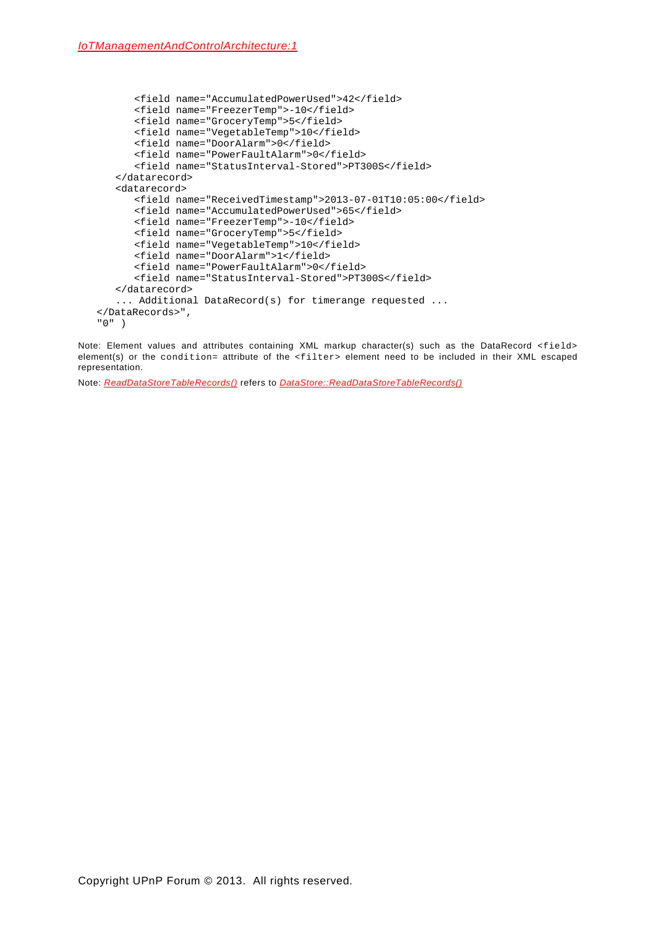```
<field name="AccumulatedPowerUsed">42</field>
      <field name="FreezerTemp">-10</field>
      <field name="GroceryTemp">5</field>
      <field name="VegetableTemp">10</field>
      <field name="DoorAlarm">0</field>
      <field name="PowerFaultAlarm">0</field>
      <field name="StatusInterval-Stored">PT300S</field>
   </datarecord>
   <datarecord>
      <field name="ReceivedTimestamp">2013-07-01T10:05:00</field>
      <field name="AccumulatedPowerUsed">65</field>
      <field name="FreezerTemp">-10</field>
      <field name="GroceryTemp">5</field>
      <field name="VegetableTemp">10</field>
      <field name="DoorAlarm">1</field>
      <field name="PowerFaultAlarm">0</field>
      <field name="StatusInterval-Stored">PT300S</field>
   </datarecord>
   ... Additional DataRecord(s) for timerange requested ...
</DataRecords>",
"0" )
```
Note: Element values and attributes containing XML markup character(s) such as the DataRecord <field> element(s) or the condition= attribute of the <filter> element need to be included in their XML escaped representation.

Note: *ReadDataStoreTableRecords()* refers to *DataStore::ReadDataStoreTableRecords()*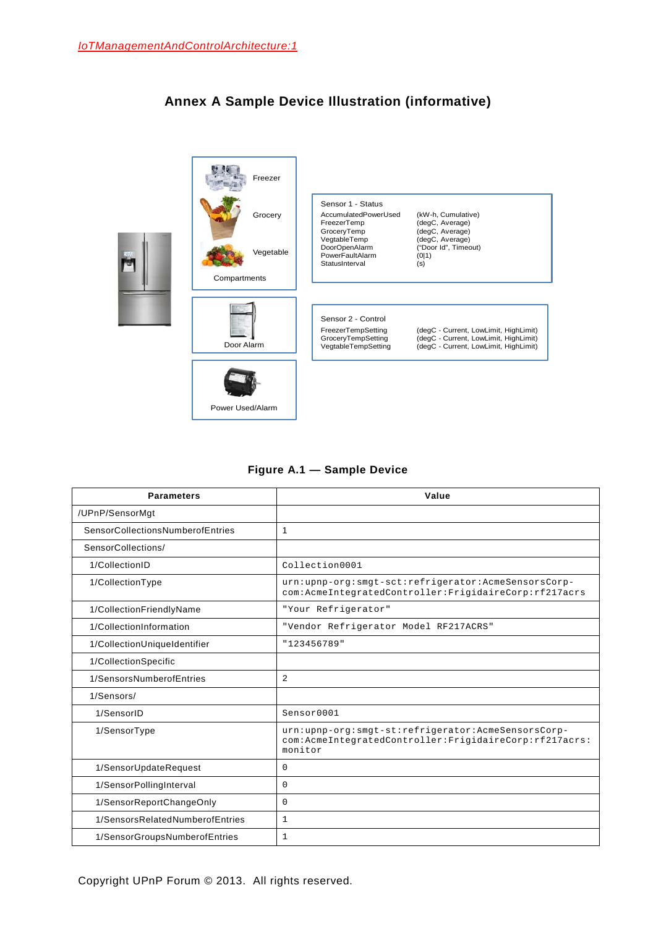<span id="page-47-0"></span>

# **Annex A Sample Device Illustration (informative)**

## **Figure A.1 — Sample Device**

| <b>Parameters</b>                | Value                                                                                                                   |
|----------------------------------|-------------------------------------------------------------------------------------------------------------------------|
| /UPnP/SensorMgt                  |                                                                                                                         |
| SensorCollectionsNumberofEntries | 1                                                                                                                       |
| SensorCollections/               |                                                                                                                         |
| 1/CollectionID                   | Collection0001                                                                                                          |
| 1/CollectionType                 | urn:upnp-org:smgt-sct:refrigerator:AcmeSensorsCorp-<br>com:AcmeIntegratedController:FrigidaireCorp:rf217acrs            |
| 1/CollectionFriendlyName         | "Your Refrigerator"                                                                                                     |
| 1/CollectionInformation          | "Vendor Refrigerator Model RF217ACRS"                                                                                   |
| 1/CollectionUniqueIdentifier     | "123456789"                                                                                                             |
| 1/CollectionSpecific             |                                                                                                                         |
| 1/SensorsNumberofEntries         | $\overline{2}$                                                                                                          |
| 1/Sensors/                       |                                                                                                                         |
| 1/SensorID                       | Sensor0001                                                                                                              |
| 1/SensorType                     | urn:upnp-org:smgt-st:refrigerator:AcmeSensorsCorp-<br>com:AcmeIntegratedController:FrigidaireCorp:rf217acrs:<br>monitor |
| 1/SensorUpdateRequest            | 0                                                                                                                       |
| 1/SensorPollingInterval          | $\mathbf 0$                                                                                                             |
| 1/SensorReportChangeOnly         | $\mathbf 0$                                                                                                             |
| 1/SensorsRelatedNumberofEntries  | 1                                                                                                                       |
| 1/SensorGroupsNumberofEntries    | $\mathbf{1}$                                                                                                            |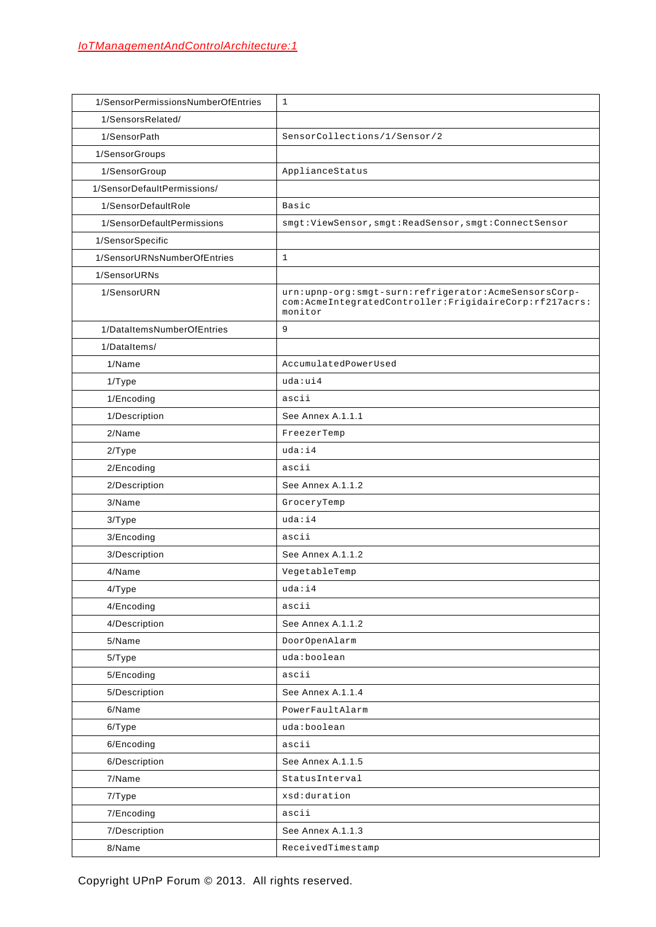| 1/SensorPermissionsNumberOfEntries | $\mathbf{1}$                                                                                                              |
|------------------------------------|---------------------------------------------------------------------------------------------------------------------------|
| 1/SensorsRelated/                  |                                                                                                                           |
| 1/SensorPath                       | SensorCollections/1/Sensor/2                                                                                              |
| 1/SensorGroups                     |                                                                                                                           |
| 1/SensorGroup                      | ApplianceStatus                                                                                                           |
| 1/SensorDefaultPermissions/        |                                                                                                                           |
| 1/SensorDefaultRole                | Basic                                                                                                                     |
| 1/SensorDefaultPermissions         | smgt:ViewSensor, smgt:ReadSensor, smgt:ConnectSensor                                                                      |
| 1/SensorSpecific                   |                                                                                                                           |
| 1/SensorURNsNumberOfEntries        | $\mathbf{1}$                                                                                                              |
| 1/SensorURNs                       |                                                                                                                           |
| 1/SensorURN                        | urn:upnp-org:smgt-surn:refrigerator:AcmeSensorsCorp-<br>com:AcmeIntegratedController:FrigidaireCorp:rf217acrs:<br>monitor |
| 1/DataItemsNumberOfEntries         | 9                                                                                                                         |
| 1/DataItems/                       |                                                                                                                           |
| 1/Name                             | AccumulatedPowerUsed                                                                                                      |
| 1/Type                             | uda:ui4                                                                                                                   |
| 1/Encoding                         | ascii                                                                                                                     |
| 1/Description                      | See Annex A.1.1.1                                                                                                         |
| 2/Name                             | FreezerTemp                                                                                                               |
| 2/Type                             | uda: i4                                                                                                                   |
| 2/Encoding                         | ascii                                                                                                                     |
| 2/Description                      | See Annex A.1.1.2                                                                                                         |
| 3/Name                             | GroceryTemp                                                                                                               |
| 3/Type                             | uda: i4                                                                                                                   |
| 3/Encoding                         | ascii                                                                                                                     |
| 3/Description                      | See Annex A.1.1.2                                                                                                         |
| 4/Name                             | VegetableTemp                                                                                                             |
| 4/Type                             | uda:i4                                                                                                                    |
| 4/Encoding                         | ascii                                                                                                                     |
| 4/Description                      | See Annex A.1.1.2                                                                                                         |
| 5/Name                             | DoorOpenAlarm                                                                                                             |
| 5/Type                             | uda:boolean                                                                                                               |
| 5/Encoding                         | ascii                                                                                                                     |
| 5/Description                      | See Annex A.1.1.4                                                                                                         |
| 6/Name                             | PowerFaultAlarm                                                                                                           |
| 6/Type                             | uda:boolean                                                                                                               |
| 6/Encoding                         | ascii                                                                                                                     |
| 6/Description                      | See Annex A.1.1.5                                                                                                         |
| 7/Name                             | StatusInterval                                                                                                            |
| 7/Type                             | xsd:duration                                                                                                              |
| 7/Encoding                         | ascii                                                                                                                     |
| 7/Description                      | See Annex A.1.1.3                                                                                                         |
| 8/Name                             | ReceivedTimestamp                                                                                                         |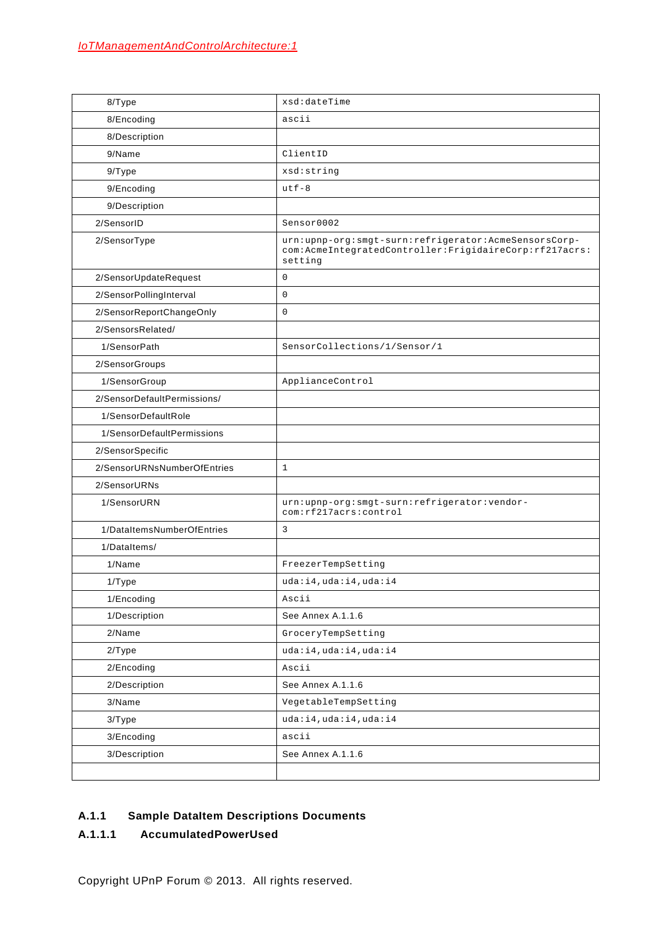| 8/Type                      | xsd:dateTime                                                                                                                 |
|-----------------------------|------------------------------------------------------------------------------------------------------------------------------|
| 8/Encoding                  | ascii                                                                                                                        |
| 8/Description               |                                                                                                                              |
| 9/Name                      | ClientID                                                                                                                     |
| 9/Type                      | xsd:string                                                                                                                   |
| 9/Encoding                  | $utf - 8$                                                                                                                    |
| 9/Description               |                                                                                                                              |
| 2/SensorID                  | Sensor0002                                                                                                                   |
| 2/SensorType                | urn:upnp-org:smgt-surn:refrigerator:AcmeSensorsCorp-<br>com: AcmeIntegratedController: FrigidaireCorp: rf217acrs:<br>setting |
| 2/SensorUpdateRequest       | $\mathsf 0$                                                                                                                  |
| 2/SensorPollingInterval     | $\mathsf 0$                                                                                                                  |
| 2/SensorReportChangeOnly    | $\mathbf 0$                                                                                                                  |
| 2/SensorsRelated/           |                                                                                                                              |
| 1/SensorPath                | SensorCollections/1/Sensor/1                                                                                                 |
| 2/SensorGroups              |                                                                                                                              |
| 1/SensorGroup               | ApplianceControl                                                                                                             |
| 2/SensorDefaultPermissions/ |                                                                                                                              |
| 1/SensorDefaultRole         |                                                                                                                              |
| 1/SensorDefaultPermissions  |                                                                                                                              |
| 2/SensorSpecific            |                                                                                                                              |
| 2/SensorURNsNumberOfEntries | $\mathbf{1}$                                                                                                                 |
| 2/SensorURNs                |                                                                                                                              |
| 1/SensorURN                 | urn:upnp-org:smgt-surn:refrigerator:vendor-<br>com: rf217acrs: control                                                       |
| 1/DataItemsNumberOfEntries  | 3                                                                                                                            |
| 1/DataItems/                |                                                                                                                              |
| 1/Name                      | FreezerTempSetting                                                                                                           |
| $1/T$ ype                   | uda:i4,uda:i4,uda:i4                                                                                                         |
| 1/Encoding                  | Ascii                                                                                                                        |
| 1/Description               | See Annex A.1.1.6                                                                                                            |
| 2/Name                      | GroceryTempSetting                                                                                                           |
| 2/Type                      | uda:i4,uda:i4,uda:i4                                                                                                         |
| 2/Encoding                  | Ascii                                                                                                                        |
| 2/Description               | See Annex A.1.1.6                                                                                                            |
| 3/Name                      | VegetableTempSetting                                                                                                         |
| 3/Type                      | uda:i4,uda:i4,uda:i4                                                                                                         |
| 3/Encoding                  | ascii                                                                                                                        |
| 3/Description               | See Annex A.1.1.6                                                                                                            |
|                             |                                                                                                                              |

# **A.1.1 Sample DataItem Descriptions Documents**

# <span id="page-49-0"></span>**A.1.1.1 AccumulatedPowerUsed**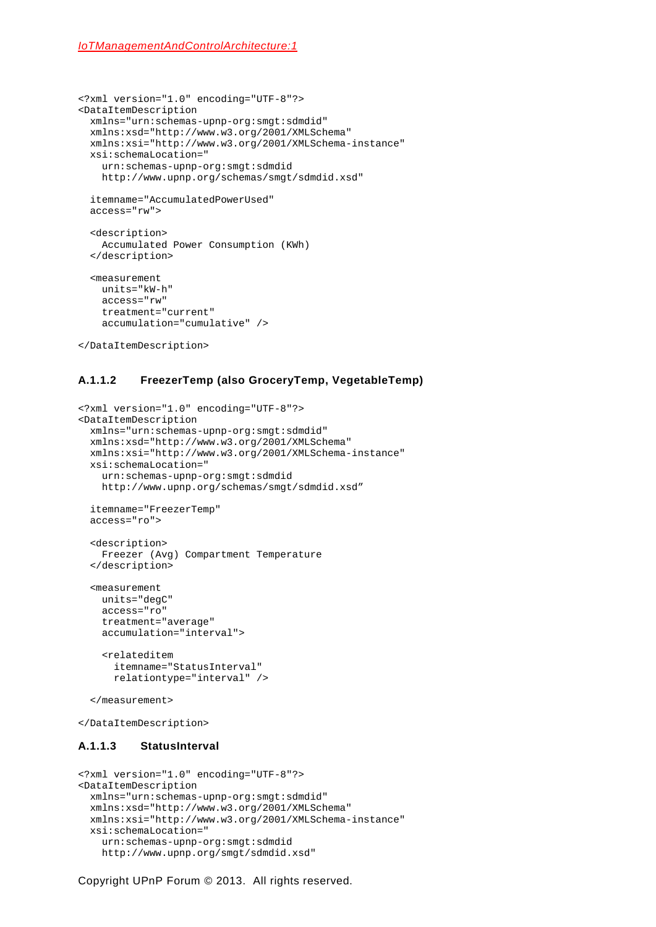```
<?xml version="1.0" encoding="UTF-8"?>
<DataItemDescription
  xmlns="urn:schemas-upnp-org:smgt:sdmdid"
  xmlns:xsd="http://www.w3.org/2001/XMLSchema"
  xmlns:xsi="http://www.w3.org/2001/XMLSchema-instance"
  xsi:schemaLocation="
     urn:schemas-upnp-org:smgt:sdmdid
    http://www.upnp.org/schemas/smgt/sdmdid.xsd"
   itemname="AccumulatedPowerUsed"
   access="rw">
   <description>
    Accumulated Power Consumption (KWh)
   </description>
   <measurement
    units="kW-h"
    access="rw"
    treatment="current"
     accumulation="cumulative" />
```

```
</DataItemDescription>
```
### <span id="page-50-0"></span>**A.1.1.2 FreezerTemp (also GroceryTemp, VegetableTemp)**

```
<?xml version="1.0" encoding="UTF-8"?>
<DataItemDescription
  xmlns="urn:schemas-upnp-org:smgt:sdmdid"
  xmlns:xsd="http://www.w3.org/2001/XMLSchema"
  xmlns:xsi="http://www.w3.org/2001/XMLSchema-instance"
  xsi:schemaLocation="
     urn:schemas-upnp-org:smgt:sdmdid
     http://www.upnp.org/schemas/smgt/sdmdid.xsd"
   itemname="FreezerTemp"
  access="ro">
   <description>
    Freezer (Avg) Compartment Temperature
   </description>
   <measurement
    units="degC"
     access="ro"
    treatment="average"
     accumulation="interval">
     <relateditem 
       itemname="StatusInterval"
       relationtype="interval" />
   </measurement>
</DataItemDescription>
```
### <span id="page-50-1"></span>**A.1.1.3 StatusInterval**

```
<?xml version="1.0" encoding="UTF-8"?>
<DataItemDescription
  xmlns="urn:schemas-upnp-org:smgt:sdmdid"
   xmlns:xsd="http://www.w3.org/2001/XMLSchema"
  xmlns:xsi="http://www.w3.org/2001/XMLSchema-instance"
  xsi:schemaLocation="
     urn:schemas-upnp-org:smgt:sdmdid
     http://www.upnp.org/smgt/sdmdid.xsd"
```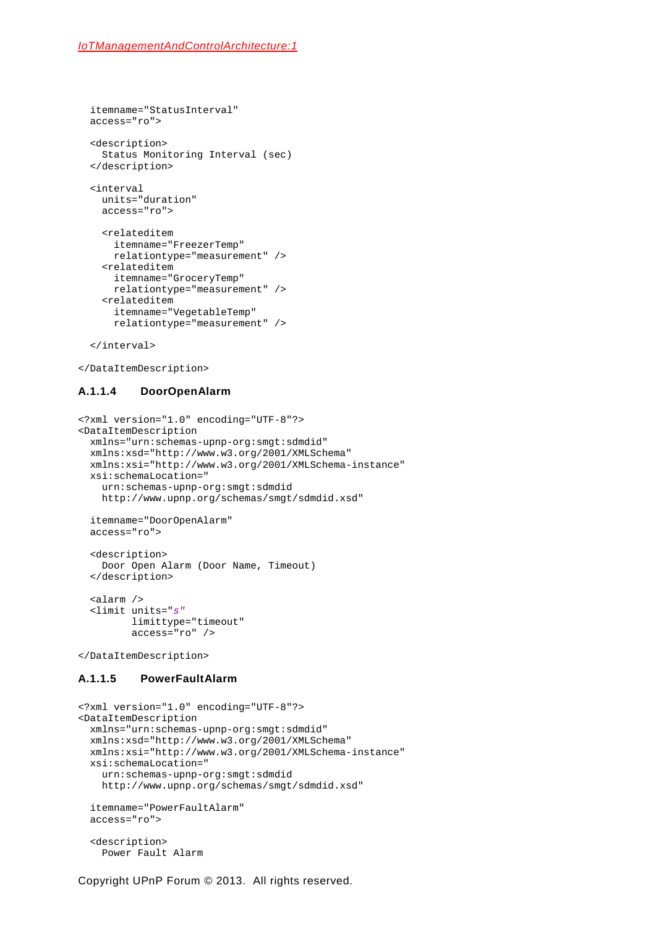```
 itemname="StatusInterval"
 access="ro">
 <description>
   Status Monitoring Interval (sec)
 </description>
 <interval
  units="duration"
   access="ro">
   <relateditem 
    itemname="FreezerTemp"
    relationtype="measurement" />
   <relateditem 
     itemname="GroceryTemp"
     relationtype="measurement" />
   <relateditem 
     itemname="VegetableTemp"
     relationtype="measurement" />
```
</interval>

</DataItemDescription>

### <span id="page-51-0"></span>**A.1.1.4 DoorOpenAlarm**

```
<?xml version="1.0" encoding="UTF-8"?>
<DataItemDescription
  xmlns="urn:schemas-upnp-org:smgt:sdmdid"
  xmlns:xsd="http://www.w3.org/2001/XMLSchema"
  xmlns:xsi="http://www.w3.org/2001/XMLSchema-instance"
  xsi:schemaLocation="
     urn:schemas-upnp-org:smgt:sdmdid
    http://www.upnp.org/schemas/smgt/sdmdid.xsd"
   itemname="DoorOpenAlarm"
  access="ro">
   <description>
    Door Open Alarm (Door Name, Timeout)
   </description>
   <alarm />
   <limit units="s"
          limittype="timeout" 
          access="ro" />
</DataItemDescription>
```
### <span id="page-51-1"></span>**A.1.1.5 PowerFaultAlarm**

```
<?xml version="1.0" encoding="UTF-8"?>
<DataItemDescription
  xmlns="urn:schemas-upnp-org:smgt:sdmdid"
   xmlns:xsd="http://www.w3.org/2001/XMLSchema"
  xmlns:xsi="http://www.w3.org/2001/XMLSchema-instance"
  xsi:schemaLocation="
     urn:schemas-upnp-org:smgt:sdmdid
     http://www.upnp.org/schemas/smgt/sdmdid.xsd"
   itemname="PowerFaultAlarm"
   access="ro">
   <description>
     Power Fault Alarm
```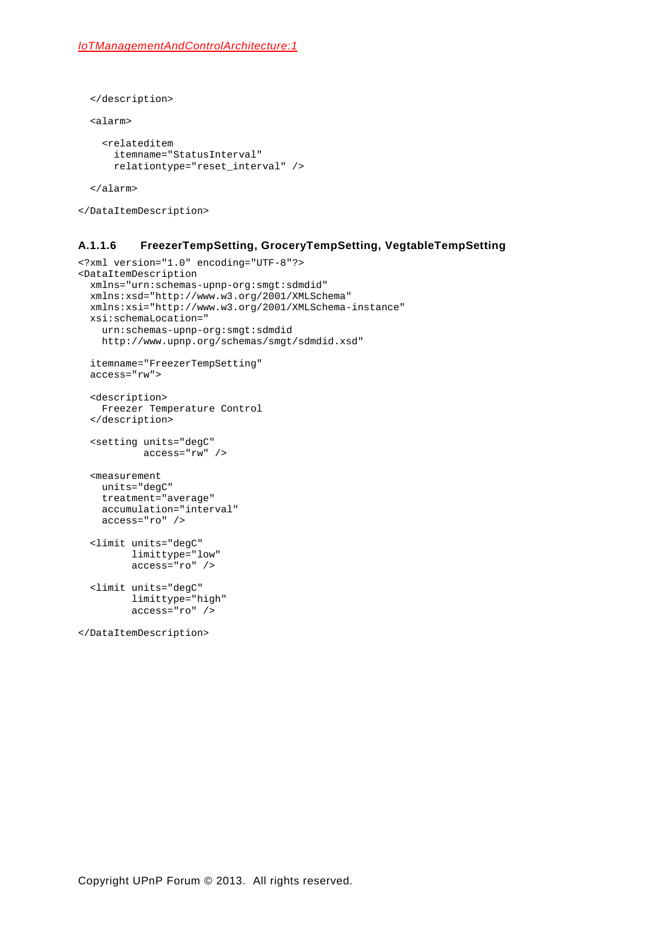```
 </description>
```
<alarm>

```
 <relateditem 
   itemname="StatusInterval"
   relationtype="reset_interval" />
```
</alarm>

```
</DataItemDescription>
```
### <span id="page-52-0"></span>**A.1.1.6 FreezerTempSetting, GroceryTempSetting, VegtableTempSetting**

```
<?xml version="1.0" encoding="UTF-8"?>
<DataItemDescription
  xmlns="urn:schemas-upnp-org:smgt:sdmdid"
  xmlns:xsd="http://www.w3.org/2001/XMLSchema"
  xmlns:xsi="http://www.w3.org/2001/XMLSchema-instance"
  xsi:schemaLocation="
    urn:schemas-upnp-org:smgt:sdmdid
    http://www.upnp.org/schemas/smgt/sdmdid.xsd"
   itemname="FreezerTempSetting"
  access="rw">
   <description>
    Freezer Temperature Control
   </description>
   <setting units="degC"
            access="rw" />
   <measurement
    units="degC"
    treatment="average"
    accumulation="interval"
     access="ro" />
   <limit units="degC" 
          limittype="low" 
          access="ro" />
   <limit units="degC" 
          limittype="high" 
          access="ro" />
</DataItemDescription>
```